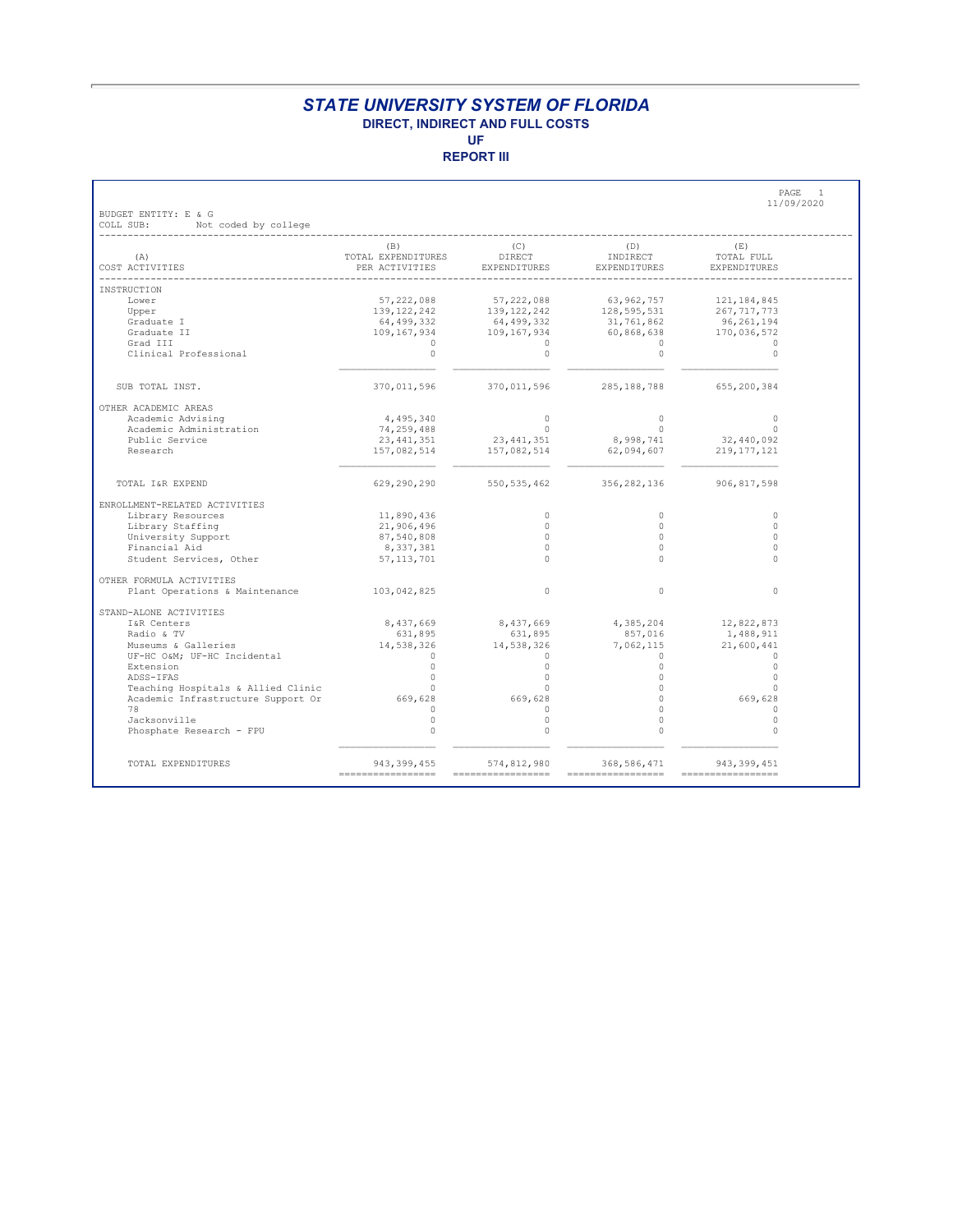**REPORT III**

| (A)<br>COST ACTIVITIES                                                                         | $\begin{array}{cccccccc} & & & & & & & & \\ & & & & & & & & & \\ \text{Total EXPERININIMERS} & & & & & & & \\ \text{D1RECT} & & & & & & & \\ \text{D2} & & & & & & & \\ \text{M3} & & & & & & & \\ \text{M4} & & & & & & & \\ \text{M5} & & & & & & & \\ \text{M6} & & & & & & & \\ \text{M7} & & & & & & & \\ \text{M8} & & & & & & & \\ \text{M9} & & & & & & & \\ \text{M9} & & & & & & & \\ \text{M1} & & & & & & & \\ \text{M2} & & & & & & & \\ \text{M3$<br>PER ACTIVITIES |                                                  | EXPENDITURES EXPENDITURES                                                                                                                                                                                                                                                | EXPENDITURES               |
|------------------------------------------------------------------------------------------------|-----------------------------------------------------------------------------------------------------------------------------------------------------------------------------------------------------------------------------------------------------------------------------------------------------------------------------------------------------------------------------------------------------------------------------------------------------------------------------------|--------------------------------------------------|--------------------------------------------------------------------------------------------------------------------------------------------------------------------------------------------------------------------------------------------------------------------------|----------------------------|
| <b>INSTRUCTION</b>                                                                             |                                                                                                                                                                                                                                                                                                                                                                                                                                                                                   |                                                  |                                                                                                                                                                                                                                                                          |                            |
| Lower                                                                                          |                                                                                                                                                                                                                                                                                                                                                                                                                                                                                   |                                                  |                                                                                                                                                                                                                                                                          |                            |
| Upper                                                                                          |                                                                                                                                                                                                                                                                                                                                                                                                                                                                                   |                                                  | $\begin{array}{l} 57,222,088 \\ 139,122,242 \end{array} \qquad \qquad \begin{array}{l} 57,222,088 \\ 139,122,242 \end{array} \qquad \qquad \begin{array}{l} 63,962,757 \\ 128,595,531 \end{array} \qquad \qquad \begin{array}{l} 121,184,845 \\ 267,717,773 \end{array}$ |                            |
| Graduate I                                                                                     |                                                                                                                                                                                                                                                                                                                                                                                                                                                                                   |                                                  |                                                                                                                                                                                                                                                                          |                            |
| Graduate II                                                                                    |                                                                                                                                                                                                                                                                                                                                                                                                                                                                                   |                                                  | $\begin{array}{cccc} 64,499,332 & 64,499,332 & 31,761,862 & 96,261,194 \\ 109,167,934 & 109,167,934 & 60,868,638 & 170,036,572 \end{array}$                                                                                                                              |                            |
| Grad TTT                                                                                       | $\Omega$                                                                                                                                                                                                                                                                                                                                                                                                                                                                          | $\overline{0}$                                   | $\begin{array}{c} 0 \\ 0 \end{array}$                                                                                                                                                                                                                                    | $\Omega$                   |
| Clinical Professional                                                                          | $\Omega$                                                                                                                                                                                                                                                                                                                                                                                                                                                                          | $\Omega$                                         |                                                                                                                                                                                                                                                                          | $\Omega$                   |
| SUB TOTAL INST.                                                                                |                                                                                                                                                                                                                                                                                                                                                                                                                                                                                   |                                                  | 370,011,596 370,011,596 285,188,788 655,200,384                                                                                                                                                                                                                          |                            |
|                                                                                                |                                                                                                                                                                                                                                                                                                                                                                                                                                                                                   |                                                  |                                                                                                                                                                                                                                                                          |                            |
| OTHER ACADEMIC AREAS                                                                           |                                                                                                                                                                                                                                                                                                                                                                                                                                                                                   |                                                  |                                                                                                                                                                                                                                                                          |                            |
| Academic Advising                                                                              | 4,495,340                                                                                                                                                                                                                                                                                                                                                                                                                                                                         | $\Omega$<br>$\begin{matrix} 0 \\ 0 \end{matrix}$ | $\Omega$                                                                                                                                                                                                                                                                 | $\Omega$<br>$\overline{0}$ |
| Academic Administration                                                                        | 74,259,488                                                                                                                                                                                                                                                                                                                                                                                                                                                                        |                                                  | $\begin{array}{c}\n0 \\ \hline\n\end{array}$                                                                                                                                                                                                                             |                            |
| Public Service                                                                                 |                                                                                                                                                                                                                                                                                                                                                                                                                                                                                   |                                                  | 157,082,514<br>157,082,514<br>157,082,514<br>157,082,514<br>157,082,514<br>157,082,514<br>157,082,514<br>62,094,607<br>219,177,121                                                                                                                                       |                            |
| Research                                                                                       |                                                                                                                                                                                                                                                                                                                                                                                                                                                                                   |                                                  |                                                                                                                                                                                                                                                                          |                            |
| TOTAL I&R EXPEND                                                                               |                                                                                                                                                                                                                                                                                                                                                                                                                                                                                   |                                                  | 629,290,290 550,535,462 356,282,136 906,817,598                                                                                                                                                                                                                          |                            |
| ENROLLMENT-RELATED ACTIVITIES                                                                  |                                                                                                                                                                                                                                                                                                                                                                                                                                                                                   |                                                  |                                                                                                                                                                                                                                                                          |                            |
| Library Resources                                                                              | 11,890,436                                                                                                                                                                                                                                                                                                                                                                                                                                                                        | $\Omega$                                         | $\Omega$                                                                                                                                                                                                                                                                 | $\Omega$                   |
| Library Staffing                                                                               | 21,906,496                                                                                                                                                                                                                                                                                                                                                                                                                                                                        | $\Omega$                                         | $\bigcap$                                                                                                                                                                                                                                                                | $\Omega$                   |
|                                                                                                | 87,540,808                                                                                                                                                                                                                                                                                                                                                                                                                                                                        | $\Omega$                                         | $\Omega$                                                                                                                                                                                                                                                                 | $\Omega$                   |
| University Support<br>Financial Aid                                                            | 8,337,381                                                                                                                                                                                                                                                                                                                                                                                                                                                                         | $\Omega$                                         | $\bigcap$                                                                                                                                                                                                                                                                | $\Omega$                   |
| Student Services, Other                                                                        | 57, 113, 701                                                                                                                                                                                                                                                                                                                                                                                                                                                                      | $\Omega$                                         | $\Omega$                                                                                                                                                                                                                                                                 | $\Omega$                   |
| OTHER FORMULA ACTIVITIES                                                                       |                                                                                                                                                                                                                                                                                                                                                                                                                                                                                   |                                                  |                                                                                                                                                                                                                                                                          |                            |
| Plant Operations & Maintenance 103,042,825                                                     |                                                                                                                                                                                                                                                                                                                                                                                                                                                                                   | $\Omega$                                         | $\Omega$                                                                                                                                                                                                                                                                 | $\circ$                    |
| STAND-ALONE ACTIVITIES                                                                         |                                                                                                                                                                                                                                                                                                                                                                                                                                                                                   |                                                  |                                                                                                                                                                                                                                                                          |                            |
| I&R Centers                                                                                    | 8,437,669                                                                                                                                                                                                                                                                                                                                                                                                                                                                         | 8,437,669                                        | 4,385,204                                                                                                                                                                                                                                                                | 12,822,873                 |
| Radio & TV                                                                                     | 631,895                                                                                                                                                                                                                                                                                                                                                                                                                                                                           | 631,895                                          | 857,016                                                                                                                                                                                                                                                                  | 1,488,911                  |
| Museums & Galleries                                                                            | 14,538,326                                                                                                                                                                                                                                                                                                                                                                                                                                                                        | 14,538,326                                       | 7,062,115                                                                                                                                                                                                                                                                | 21,600,441                 |
| UF-HC O&M UF-HC Incidental                                                                     | $\sim$ 0                                                                                                                                                                                                                                                                                                                                                                                                                                                                          | $\Omega$                                         | $\sim$ 0                                                                                                                                                                                                                                                                 | $\Omega$                   |
| Extension                                                                                      | $\circ$                                                                                                                                                                                                                                                                                                                                                                                                                                                                           | $\circ$                                          | $\circ$                                                                                                                                                                                                                                                                  | $\circ$                    |
| ADSS-IFAS                                                                                      | $\sim$ 0                                                                                                                                                                                                                                                                                                                                                                                                                                                                          | $\Omega$                                         | $\circ$                                                                                                                                                                                                                                                                  | $\Omega$                   |
| Teaching Hospitals & Allied Clinic (1996)<br>Academic Infrastructure Support Or (1997) 669,628 | $\overline{0}$                                                                                                                                                                                                                                                                                                                                                                                                                                                                    | $\Omega$                                         | $\circ$                                                                                                                                                                                                                                                                  | $\Omega$                   |
|                                                                                                |                                                                                                                                                                                                                                                                                                                                                                                                                                                                                   | 669,628                                          | $\Omega$                                                                                                                                                                                                                                                                 | 669,628                    |
| 78                                                                                             | $\Omega$                                                                                                                                                                                                                                                                                                                                                                                                                                                                          | $\circ$                                          | $\circ$                                                                                                                                                                                                                                                                  | $\circ$                    |
| Jacksonville                                                                                   | $\circ$                                                                                                                                                                                                                                                                                                                                                                                                                                                                           | $\circ$                                          | $\Omega$                                                                                                                                                                                                                                                                 | $\circ$                    |
| Phosphate Research - FPU                                                                       | $\Omega$                                                                                                                                                                                                                                                                                                                                                                                                                                                                          | $\Omega$                                         | $\Omega$                                                                                                                                                                                                                                                                 |                            |
| TOTAL EXPENDITURES                                                                             | 943, 399, 455                                                                                                                                                                                                                                                                                                                                                                                                                                                                     | 574,812,980                                      | 368,586,471                                                                                                                                                                                                                                                              | 943, 399, 451              |

PAGE 1 11/09/2020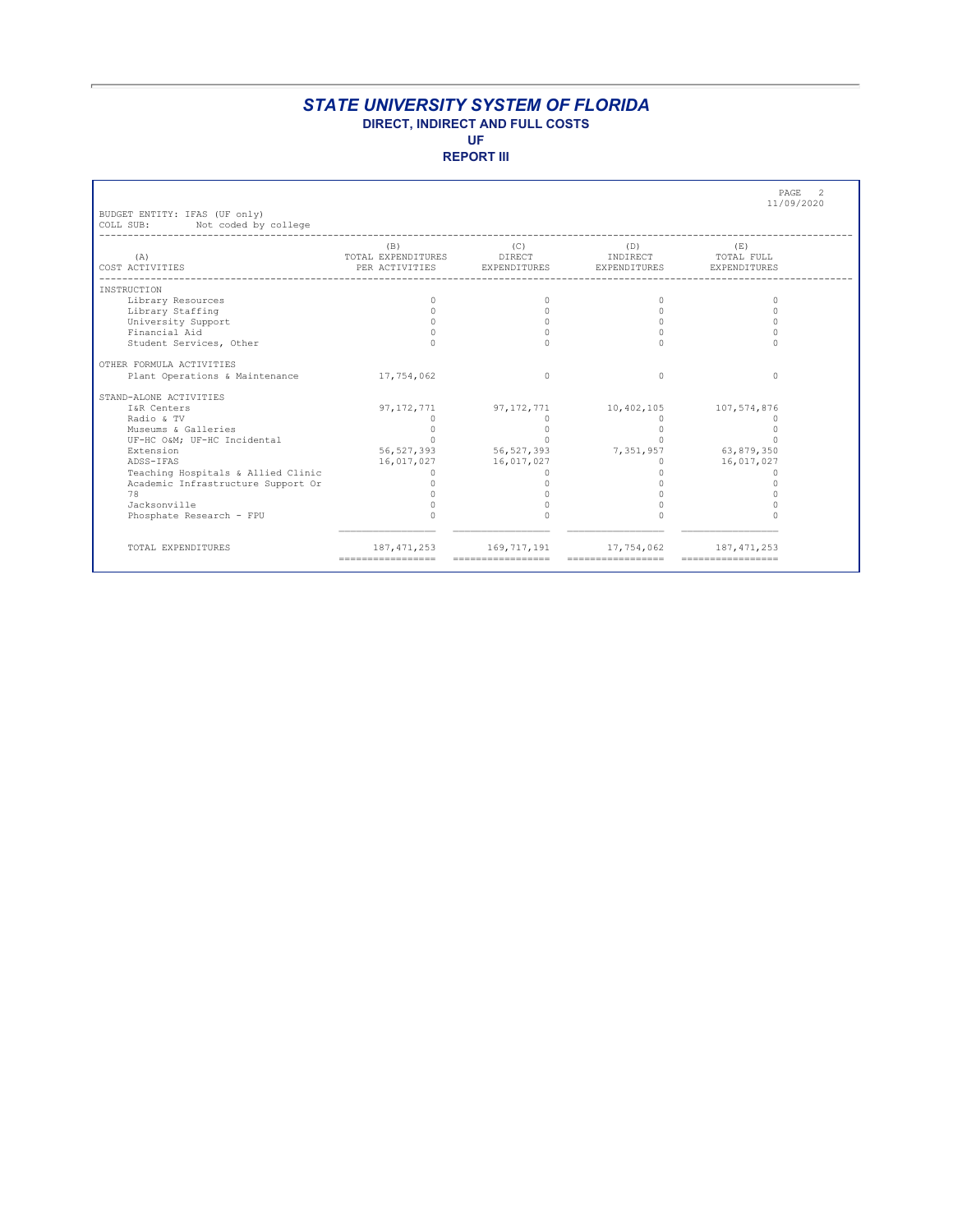**REPORT III**

|                                                                    |                                             |                               |                                 | PAGE<br>-2<br>11/09/2020          |
|--------------------------------------------------------------------|---------------------------------------------|-------------------------------|---------------------------------|-----------------------------------|
| BUDGET ENTITY: IFAS (UF only)<br>Not coded by college<br>COLL SUB: |                                             |                               |                                 |                                   |
| (A)<br>COST ACTIVITIES                                             | (B)<br>TOTAL EXPENDITURES<br>PER ACTIVITIES | (C)<br>DIRECT<br>EXPENDITURES | (D)<br>INDIRECT<br>EXPENDITURES | (E)<br>TOTAL FULL<br>EXPENDITURES |
|                                                                    |                                             |                               |                                 |                                   |
| INSTRUCTION                                                        |                                             |                               |                                 |                                   |
| Library Resources                                                  |                                             | n                             |                                 | $\cap$                            |
| Library Staffing                                                   |                                             | $\cap$                        |                                 |                                   |
| University Support                                                 |                                             |                               |                                 |                                   |
| Financial Aid                                                      |                                             |                               |                                 |                                   |
| Student Services, Other                                            |                                             |                               |                                 |                                   |
| OTHER FORMULA ACTIVITIES                                           |                                             |                               |                                 |                                   |
| Plant Operations & Maintenance                                     | 17,754,062                                  | $\Omega$                      | $\Omega$                        | $\Omega$                          |
| STAND-ALONE ACTIVITIES                                             |                                             |                               |                                 |                                   |
| I&R Centers                                                        | 97, 172, 771                                | 97,172,771                    | 10,402,105                      | 107,574,876                       |
| Radio & TV                                                         |                                             |                               |                                 |                                   |
| Museums & Galleries                                                |                                             |                               |                                 |                                   |
| UF-HC O&M UF-HC Incidental                                         |                                             |                               |                                 |                                   |
| Extension                                                          |                                             | 56, 527, 393 56, 527, 393     |                                 | 7, 351, 957 63, 879, 350          |
| ADSS-TFAS                                                          | 16,017,027                                  | 16,017,027                    | $\Omega$                        | 16,017,027                        |
| Teaching Hospitals & Allied Clinic                                 |                                             |                               |                                 |                                   |
| Academic Infrastructure Support Or                                 |                                             |                               |                                 |                                   |
| 78                                                                 |                                             |                               |                                 |                                   |
| Jacksonville                                                       |                                             |                               |                                 |                                   |
| Phosphate Research - FPU                                           |                                             |                               |                                 |                                   |
| TOTAL EXPENDITURES                                                 | 187, 471, 253                               | 169,717,191                   | 17,754,062                      | 187, 471, 253                     |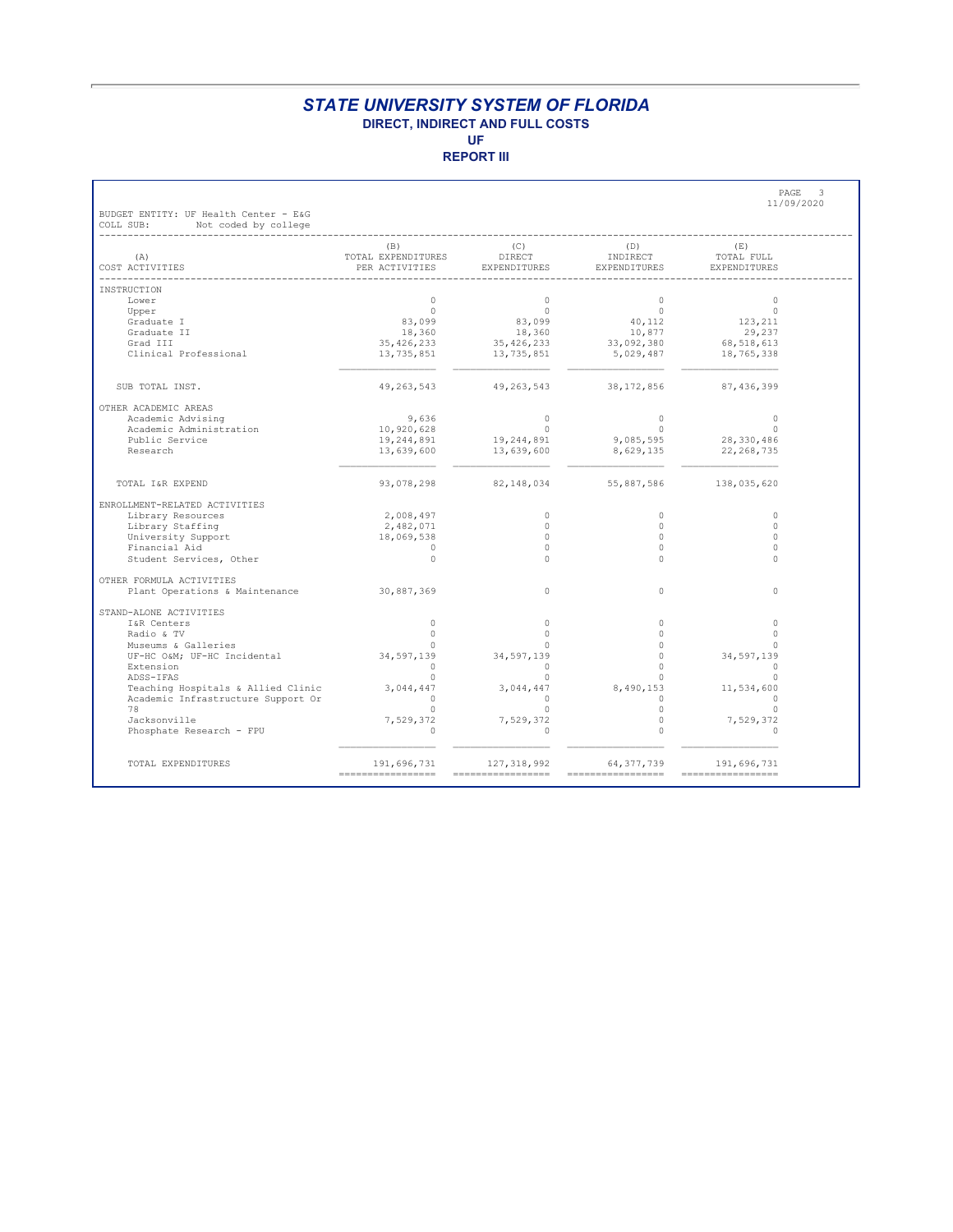**REPORT III**

|                                              | $\begin{array}{ccc} & \text{(B)} & \text{(C)} \\ \text{TOTAL EXPERIDITURES} & \text{DIRECT} \end{array}$ |                          | (D)<br>INDIRECT                                    | (E)<br>TOTAL FULL      |
|----------------------------------------------|----------------------------------------------------------------------------------------------------------|--------------------------|----------------------------------------------------|------------------------|
| (A)<br>COST ACTIVITIES                       | PER ACTIVITIES EXPENDITURES EXPENDITURES                                                                 |                          |                                                    | EXPENDITURES           |
|                                              |                                                                                                          |                          |                                                    |                        |
| INSTRUCTION                                  |                                                                                                          |                          |                                                    |                        |
| Lower                                        | $\circ$                                                                                                  | $\circ$                  | $\circ$<br>$\sim$ 0                                | $\circ$                |
| Upper                                        | $\circ$                                                                                                  | $\sim$ 0                 |                                                    | $\circ$                |
| Graduate I                                   | 83,099<br>18,360                                                                                         | 83,099<br>18,360         | $40,112$<br>$10,877$                               | 123, 211<br>29, 237    |
| Graduate II<br>Grad III                      |                                                                                                          |                          |                                                    |                        |
| Clinical Professional                        |                                                                                                          |                          |                                                    |                        |
|                                              |                                                                                                          |                          |                                                    |                        |
| SUB TOTAL INST.                              |                                                                                                          |                          | 49,263,543 49,263,543 38,172,856 87,436,399        |                        |
| OTHER ACADEMIC AREAS                         |                                                                                                          |                          |                                                    |                        |
| Academic Advising                            | 9,636                                                                                                    | $\Omega$                 | $\bigcirc$                                         | $\Omega$               |
| Academic Administration                      | 10,920,628                                                                                               | $\sim$ 0                 | $\sim$ 0                                           | $\Omega$               |
| Public Service                               |                                                                                                          |                          | 19, 244, 891 19, 244, 891 9, 085, 595 28, 330, 486 |                        |
| Research                                     | 13,639,600                                                                                               | 13,639,600               | 8,629,135                                          | 22, 268, 735           |
| TOTAL I&R EXPEND                             |                                                                                                          |                          | 93,078,298 82,148,034 55,887,586 138,035,620       |                        |
| ENROLLMENT-RELATED ACTIVITIES                |                                                                                                          |                          |                                                    |                        |
| Library Resources                            | 2,008,497                                                                                                | $\circ$                  | $\circ$                                            | $\circ$                |
| Library Staffing                             | 2,482,071                                                                                                | $\circ$                  | $\bigcap$                                          | $\circ$                |
| University Support                           | 18,069,538                                                                                               | $\Omega$                 | $\bigcirc$                                         | $\circ$                |
| Financial Aid                                | $\sim$ 0                                                                                                 | $\Omega$                 | $\Omega$                                           | $\circ$                |
| Student Services, Other                      | $\circ$                                                                                                  | $\Omega$                 | $\Omega$                                           | $\Omega$               |
| OTHER FORMULA ACTIVITIES                     |                                                                                                          |                          |                                                    |                        |
| Plant Operations & Maintenance 30,887,369    |                                                                                                          | $\circ$                  | $\bigcap$                                          | $\Omega$               |
| STAND-ALONE ACTIVITIES                       |                                                                                                          |                          |                                                    |                        |
| I&R Centers                                  | $\Omega$                                                                                                 | $\Omega$                 | $\Omega$                                           | $\Omega$               |
| Radio & TV                                   | $\Omega$                                                                                                 | $\Omega$                 | $\Omega$                                           | $\circ$                |
| Museums & Galleries                          | 34, 597, 139                                                                                             |                          | $\Omega$<br>$\Omega$                               |                        |
| UF-HC O&M UF-HC Incidental<br>Extension      | $\cap$                                                                                                   | 34, 597, 139<br>$\Omega$ | $\Omega$                                           | 34,597,139<br>$\Omega$ |
| ADSS-IFAS                                    | $\Omega$                                                                                                 | $\cap$                   | $\Omega$                                           | $\Omega$               |
| Teaching Hospitals & Allied Clinic 3,044,447 |                                                                                                          | 3,044,447                | 8,490,153                                          | 11,534,600             |
| Academic Infrastructure Support Or           | $\overline{0}$                                                                                           | $\Omega$                 | $\Omega$                                           | $\Omega$               |
| 78                                           | $\bigcirc$                                                                                               | $\Omega$                 | $\circ$                                            | $\Omega$               |
| Jacksonville                                 | 7,529,372                                                                                                | 7,529,372                | $\circ$                                            | 7,529,372              |
| Phosphate Research - FPU                     | $\cap$                                                                                                   | $\cap$                   | $\Omega$                                           | $\Omega$               |
|                                              |                                                                                                          |                          |                                                    |                        |
|                                              |                                                                                                          |                          |                                                    |                        |

PAGE 3 11/09/2020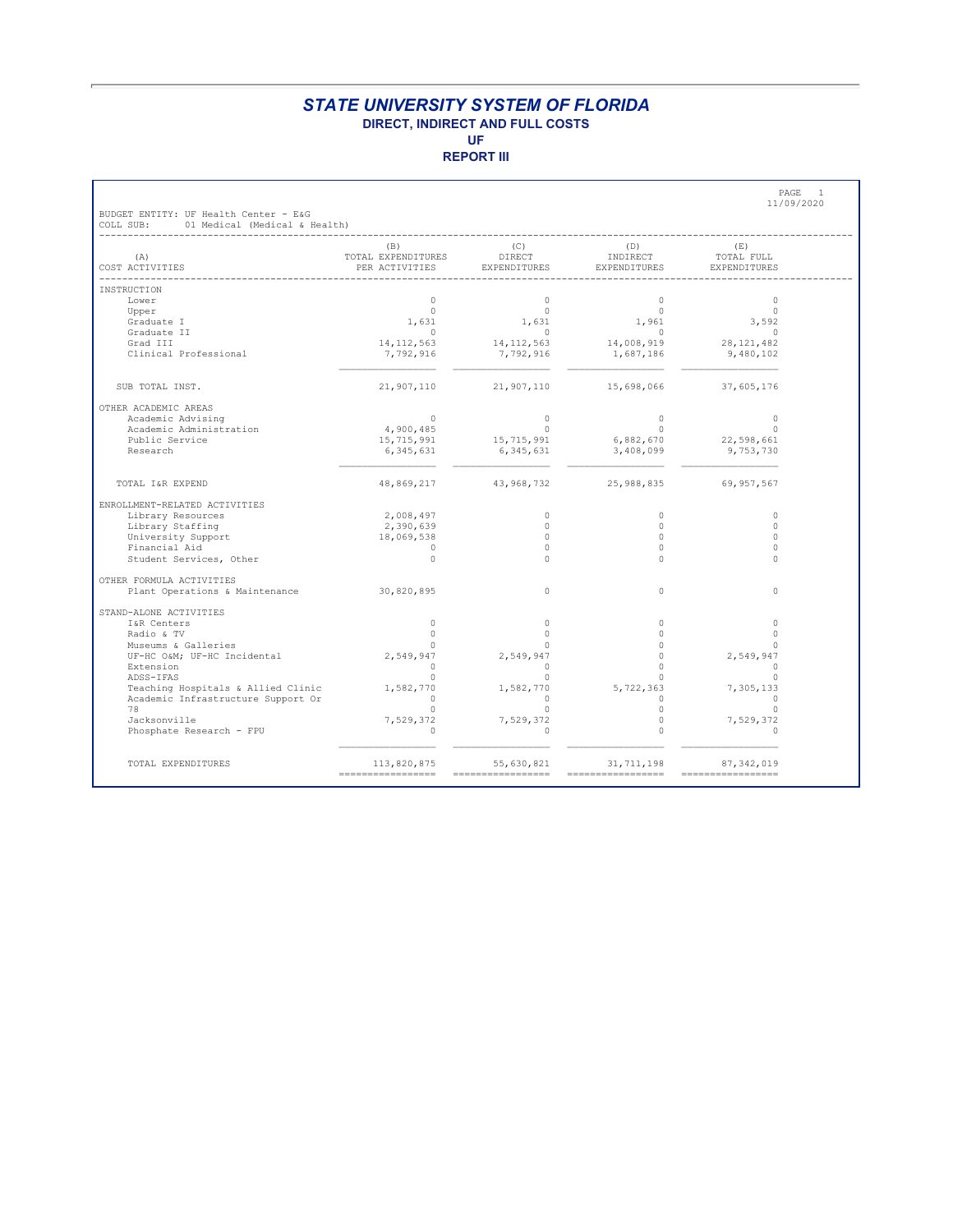**REPORT III**

PAGE 1 11/09/2020

BUDGET ENTITY: UF Health Center - E&G COLL SUB: 01 Medical (Medical & Health)

| COST ACTIVITIES                                             | TOTAL EXPENDITURES<br>PER ACTIVITIES | DIRECT<br>EXPENDITURES | INDIRECT<br>EXPENDITURES                                    | TOTAL FULL<br>EXPENDITURES |
|-------------------------------------------------------------|--------------------------------------|------------------------|-------------------------------------------------------------|----------------------------|
| INSTRUCTION                                                 |                                      |                        |                                                             |                            |
| Lower                                                       | $\Omega$                             | $\Omega$               | $\Omega$                                                    | $\Omega$                   |
| Upper                                                       | $\circ$                              | $\overline{0}$         | $\circ$                                                     | $\circ$                    |
| Graduate I                                                  | 1,631                                | 1,631                  | 1,961                                                       | 3,592                      |
| Graduate II                                                 | $\circ$                              | $\sim$ 0               | $\sim$ 0                                                    | $\Omega$                   |
| Grad III                                                    |                                      |                        | $14, 112, 563$ $14, 112, 563$ $14, 008, 919$ $28, 121, 482$ |                            |
| Clinical Professional                                       | 7,792,916                            | 7,792,916              | 1,687,186                                                   | 9,480,102                  |
| SUB TOTAL INST.                                             |                                      |                        | 21,907,110 21,907,110 15,698,066                            | 37,605,176                 |
| OTHER ACADEMIC AREAS                                        |                                      |                        |                                                             |                            |
| Academic Advising                                           | $\circ$                              | $\Omega$               | $\Omega$                                                    | $\cap$                     |
| Academic Administration                                     | 4,900,485                            | $\Omega$               | $\cap$                                                      |                            |
| Public Service                                              |                                      |                        | $15,715,991$ $15,715,991$ $6,882,670$                       | 22, 598, 661               |
| Research                                                    |                                      |                        | 6,345,631 6,345,631 3,408,099 9,753,730                     |                            |
| TOTAL I&R EXPEND                                            |                                      | 48,869,217 43,968,732  |                                                             | 25,988,835 69,957,567      |
| ENROLLMENT-RELATED ACTIVITIES                               |                                      |                        |                                                             |                            |
| Library Resources                                           | 2,008,497                            | $\Omega$               | $\Omega$                                                    | $\Omega$                   |
| Library Staffing                                            | 2,390,639                            | $\cap$                 | $\bigcap$                                                   | $\cap$                     |
| University Support                                          | 18,069,538                           | $\cap$                 | $\cap$                                                      | $\cap$                     |
| Financial Aid                                               | $\circ$                              | $\cap$                 | $\cap$                                                      | $\cap$                     |
| Student Services, Other                                     | $\Omega$                             | $\cap$                 | $\cap$                                                      |                            |
| OTHER FORMULA ACTIVITIES                                    |                                      |                        |                                                             |                            |
| Plant Operations & Maintenance                              | 30,820,895                           | $\Omega$               | $\Omega$                                                    | $\Omega$                   |
| STAND-ALONE ACTIVITIES                                      |                                      |                        |                                                             |                            |
| I&R Centers                                                 | $\circ$                              | $\Omega$               | $\Omega$                                                    | $\Omega$                   |
| Radio & TV                                                  | $\Omega$                             | $\Omega$               | $\cap$<br>$\cap$                                            |                            |
| Museums & Galleries<br>VI-HC O&M UF-HC Incidental 2,549,947 |                                      | 2,549,947              | $\Omega$                                                    | 2,549,947                  |
| Extension                                                   | $\Omega$                             | $\bigcirc$             | $\Omega$                                                    | $\Omega$                   |
| ADSS-IFAS                                                   | $\circ$                              | $\circ$                | $\Omega$                                                    | $\Omega$                   |
| Teaching Hospitals & Allied Clinic $1,582,770$ $1,582,770$  |                                      |                        | 5,722,363                                                   | 7,305,133                  |
| Academic Infrastructure Support Or                          | $\Omega$                             | $\Omega$               | $\Omega$                                                    | $\Omega$                   |
| 78                                                          | $\Omega$                             | $\Omega$               | $\circ$                                                     |                            |
| Jacksonville                                                | 7,529,372                            | 7,529,372              | $\circ$                                                     | 7,529,372                  |
| Phosphate Research - FPU                                    | $\Omega$                             | $\Omega$               | $\Omega$                                                    | $\cap$                     |
|                                                             |                                      |                        |                                                             |                            |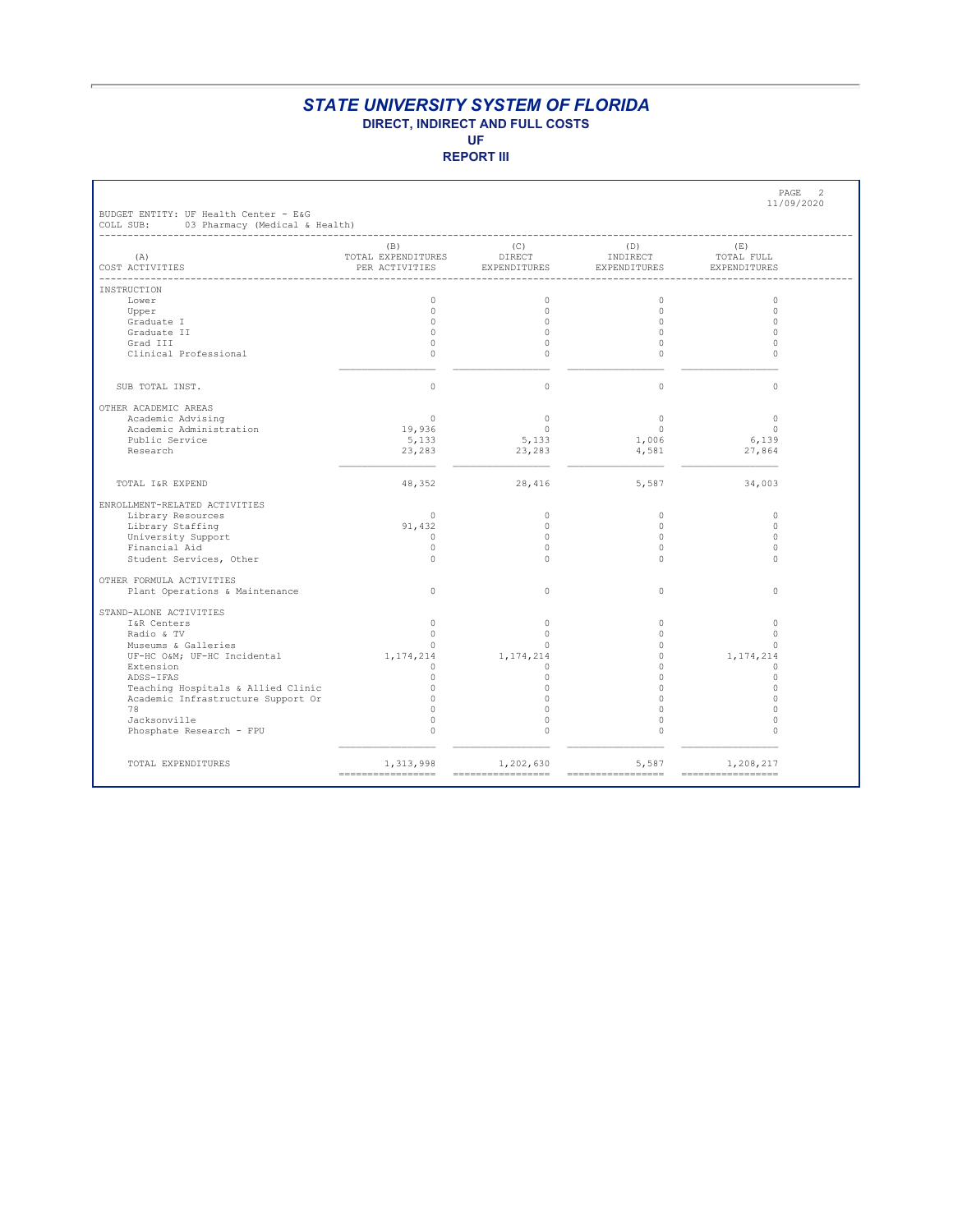**REPORT III**

PAGE 2

| (A)<br>COST ACTIVITIES                                        | (B)<br>U) (E)<br>TOTAL EXPENDITURES DIRECT TIDIRECT TOTAL FULL<br>PER ACTIVITIES EXPENDITURES EXPENDITURES EXPENDITURES | (C)                     | (D)                 | (E)                    |
|---------------------------------------------------------------|-------------------------------------------------------------------------------------------------------------------------|-------------------------|---------------------|------------------------|
| INSTRUCTION                                                   |                                                                                                                         |                         |                     |                        |
| Lower                                                         | 0                                                                                                                       | $\circ$                 | $\circ$             | $\circ$                |
| Upper                                                         | $\Omega$                                                                                                                | $\Omega$                | $\bigcirc$          | $\Omega$               |
| Graduate I                                                    | $\Omega$                                                                                                                | $\Omega$                | $\bigcap$           | $\circ$                |
| Graduate II                                                   | $\Omega$                                                                                                                | $\Omega$                | $\Omega$            | $\Omega$               |
| Grad III                                                      | 0                                                                                                                       | $\circ$                 | $\circ$             | $\circ$                |
| Clinical Professional                                         | $\Omega$                                                                                                                | $\Omega$                | $\Omega$            | $\Omega$               |
| SUB TOTAL INST.                                               | $\Omega$                                                                                                                | $\Omega$                | $\Omega$            | $\Omega$               |
| OTHER ACADEMIC AREAS                                          |                                                                                                                         |                         |                     |                        |
| Academic Advising                                             | $\overline{0}$                                                                                                          | $\circ$                 | $\bigcap$           | $\circ$                |
| Academic Administration                                       | 19,936                                                                                                                  | $\circ$                 | $\bigcirc$          | $\Omega$               |
| Public Service                                                | 5,133                                                                                                                   | 5,133                   | 1,006               | 6,139                  |
| Research                                                      | 23,283                                                                                                                  | 23,283                  | 4,581               | 27,864                 |
| TOTAL I&R EXPEND                                              |                                                                                                                         | 48,352 28,416           | 5,587               | 34,003                 |
| ENROLLMENT-RELATED ACTIVITIES                                 |                                                                                                                         |                         |                     |                        |
| Library Resources                                             | $\Omega$                                                                                                                | $\Omega$                | $\bigcap$           | $\circ$                |
| Library Staffing                                              | 91,432                                                                                                                  | $\Omega$                | $\circ$             | $\circ$                |
| University Support                                            | $\Omega$                                                                                                                | $\cap$                  | $\bigcap$           | $\Omega$               |
| Financial Aid                                                 | $\circ$                                                                                                                 | $\Omega$                | $\Omega$            | $\Omega$               |
| Student Services, Other                                       | $\Omega$                                                                                                                | $\cap$                  | $\cap$              | $\Omega$               |
| OTHER FORMULA ACTIVITIES                                      |                                                                                                                         |                         |                     |                        |
| Plant Operations & Maintenance                                | $\circ$                                                                                                                 | $\circ$                 | $\circ$             | $\circ$                |
| STAND-ALONE ACTIVITIES                                        |                                                                                                                         |                         |                     |                        |
| I&R Centers                                                   | $\Omega$                                                                                                                | $\Omega$                | $\Omega$            | $\circ$                |
| Radio & TV                                                    | $\circ$                                                                                                                 | $\circ$                 | $\circ$<br>$\Omega$ | $\circ$                |
| Museums & Galleries<br>UF-HC O&M UF-HC Incidental 1, 174, 214 | $\Omega$                                                                                                                | $\circ$                 | $\circ$             | $\circ$<br>1, 174, 214 |
|                                                               | $\cap$                                                                                                                  | 1, 174, 214<br>$\Omega$ | $\cap$              | $\Omega$               |
| Extension<br>ADSS-IFAS                                        | 0                                                                                                                       | $\circ$                 | $\Omega$            | $\circ$                |
| Teaching Hospitals & Allied Clinic                            | $\circ$                                                                                                                 | $\Omega$                | $\Omega$            | $\Omega$               |
| Academic Infrastructure Support Or                            | $\circ$                                                                                                                 | $\circ$                 | $\Omega$            | $\circ$                |
| 78                                                            | $\Omega$                                                                                                                | $\Omega$                | $\Omega$            | $\circ$                |
| Jacksonville                                                  | $\Omega$                                                                                                                | $\Omega$                | $\Omega$            | $\Omega$               |
| Phosphate Research - FPU                                      | $\mathbf 0$                                                                                                             | $\circ$                 | $\circ$             | $\Omega$               |
|                                                               |                                                                                                                         |                         |                     |                        |
| TOTAL EXPENDITURES                                            | 1,313,998                                                                                                               | 1,202,630               | 5,587               | 1,208,217              |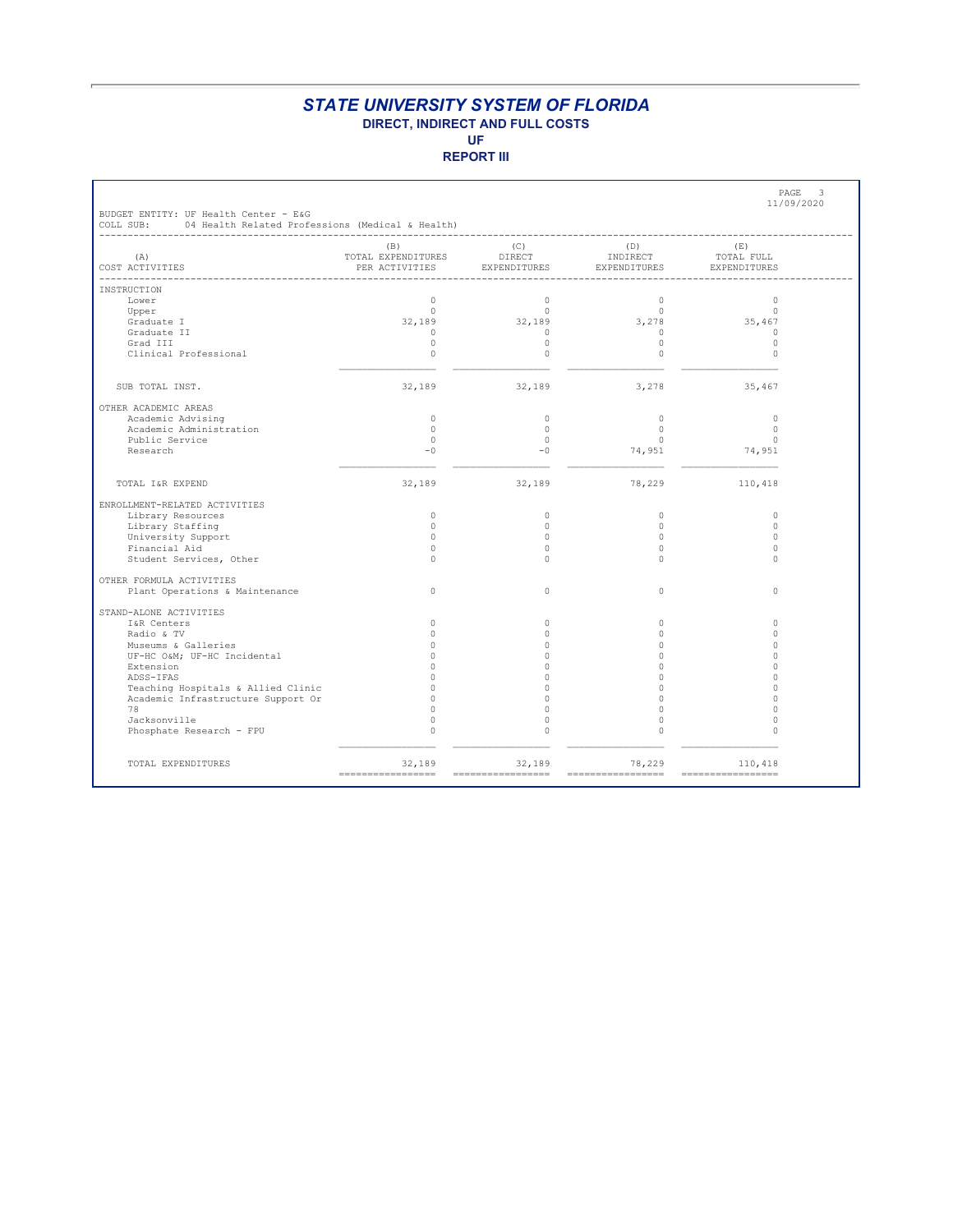#### **REPORT III**

Г

| BUDGET ENTITY: UF Health Center - E&G<br>COLL SUB: 04 Health Related Professions (Medical & Health) |                                                       |               |                 | PAGE<br>$\overline{\mathbf{3}}$<br>11/09/2020 |
|-----------------------------------------------------------------------------------------------------|-------------------------------------------------------|---------------|-----------------|-----------------------------------------------|
| (A)                                                                                                 | (B)<br>TOTAL EXPENDITURES                             | (C)<br>DIRECT | (D)<br>INDIRECT | (E)<br>TOTAL FULL                             |
| COST ACTIVITIES                                                                                     | PER ACTIVITIES EXPENDITURES EXPENDITURES EXPENDITURES |               |                 |                                               |
| <b>INSTRUCTION</b>                                                                                  |                                                       |               |                 |                                               |
| Lower                                                                                               | $\Omega$                                              | $\Omega$      | $\Omega$        | $\Omega$                                      |
| Upper                                                                                               | $\Omega$                                              | $\Omega$      | $\bigcirc$      | $\Omega$                                      |
| Graduate I                                                                                          | 32,189                                                | 32,189        | 3,278           | 35,467                                        |
| Graduate II                                                                                         | $\Omega$                                              | $\Omega$      | $\Omega$        | $\Omega$                                      |
| Grad III                                                                                            | $\circ$                                               | $\Omega$      | $\Omega$        | $\bigcirc$                                    |
| Clinical Professional                                                                               | $\Omega$                                              | $\Omega$      | $\Omega$        | $\Omega$                                      |
|                                                                                                     |                                                       |               |                 |                                               |
| SUB TOTAL INST.                                                                                     | 32,189                                                | 32,189        | 3,278           | 35,467                                        |
| OTHER ACADEMIC AREAS                                                                                |                                                       |               |                 |                                               |
| Academic Advising                                                                                   | $\Omega$                                              | $\Omega$      | $\Omega$        | $\circ$                                       |
| Academic Administration                                                                             | $\cap$                                                | $\cap$        | $\bigcap$       | $\bigcirc$                                    |
| Public Service                                                                                      | $\circ$                                               | $\circ$       | $\bigcirc$      | $\overline{0}$                                |
| Research                                                                                            | $-0$                                                  | $-0$          | 74,951          | 74,951                                        |
|                                                                                                     |                                                       |               |                 |                                               |
| TOTAL I&R EXPEND                                                                                    | 32,189                                                | 32,189        | 78,229          | 110,418                                       |
| ENROLLMENT-RELATED ACTIVITIES                                                                       |                                                       |               |                 |                                               |
| Library Resources                                                                                   | $\Omega$                                              | $\Omega$      | $\bigcap$       | $\Omega$                                      |
| Library Staffing                                                                                    | $\Omega$                                              | $\cap$        | $\cap$          | $\Omega$                                      |
| University Support                                                                                  | $\Omega$                                              | $\Omega$      | $\Omega$        | $\Omega$                                      |
| Financial Aid                                                                                       | $\Omega$                                              | $\Omega$      | $\bigcap$       | $\Omega$                                      |
| Student Services, Other                                                                             | $\cap$                                                | $\cap$        | $\cap$          | $\cap$                                        |
| OTHER FORMULA ACTIVITIES                                                                            |                                                       |               |                 |                                               |
| Plant Operations & Maintenance                                                                      | $\Omega$                                              | $\Omega$      | $\bigcap$       | $\Omega$                                      |
| STAND-ALONE ACTIVITIES                                                                              |                                                       |               |                 |                                               |
| I&R Centers                                                                                         | $\Omega$                                              | $\Omega$      | $\Omega$        | $\Omega$                                      |
| Radio & TV                                                                                          | $\Omega$                                              | $\Omega$      | $\Omega$        | $\Omega$                                      |
| Museums & Galleries                                                                                 | $\Omega$                                              | $\Omega$      | $\Omega$        | $\Omega$                                      |
| UF-HC O&M UF-HC Incidental                                                                          | $\Omega$                                              | $\Omega$      | $\Omega$        | $\Omega$                                      |
| Extension                                                                                           | $\cap$                                                | O.            | $\cap$          | $\cap$                                        |
| ADSS-IFAS                                                                                           | $\Omega$                                              | 0             | $\Omega$        | $\Omega$                                      |
| Teaching Hospitals & Allied Clinic                                                                  | $\Omega$                                              | $\cap$        | $\Omega$        | C                                             |
| Academic Infrastructure Support Or                                                                  | $\Omega$                                              | $\cap$        | $\cap$          | $\Omega$                                      |
| 78                                                                                                  | $\Omega$                                              | $\Omega$      | $\Omega$        | $\Omega$                                      |
| Jacksonville                                                                                        | $\Omega$                                              | $\Omega$      | $\Omega$        | $\Omega$                                      |
| Phosphate Research - FPU                                                                            | $\Omega$                                              | $\Omega$      | $\Omega$        | $\Omega$                                      |
|                                                                                                     |                                                       |               |                 |                                               |
| TOTAL EXPENDITURES                                                                                  | 32,189                                                | 32,189        | 78,229          | 110,418                                       |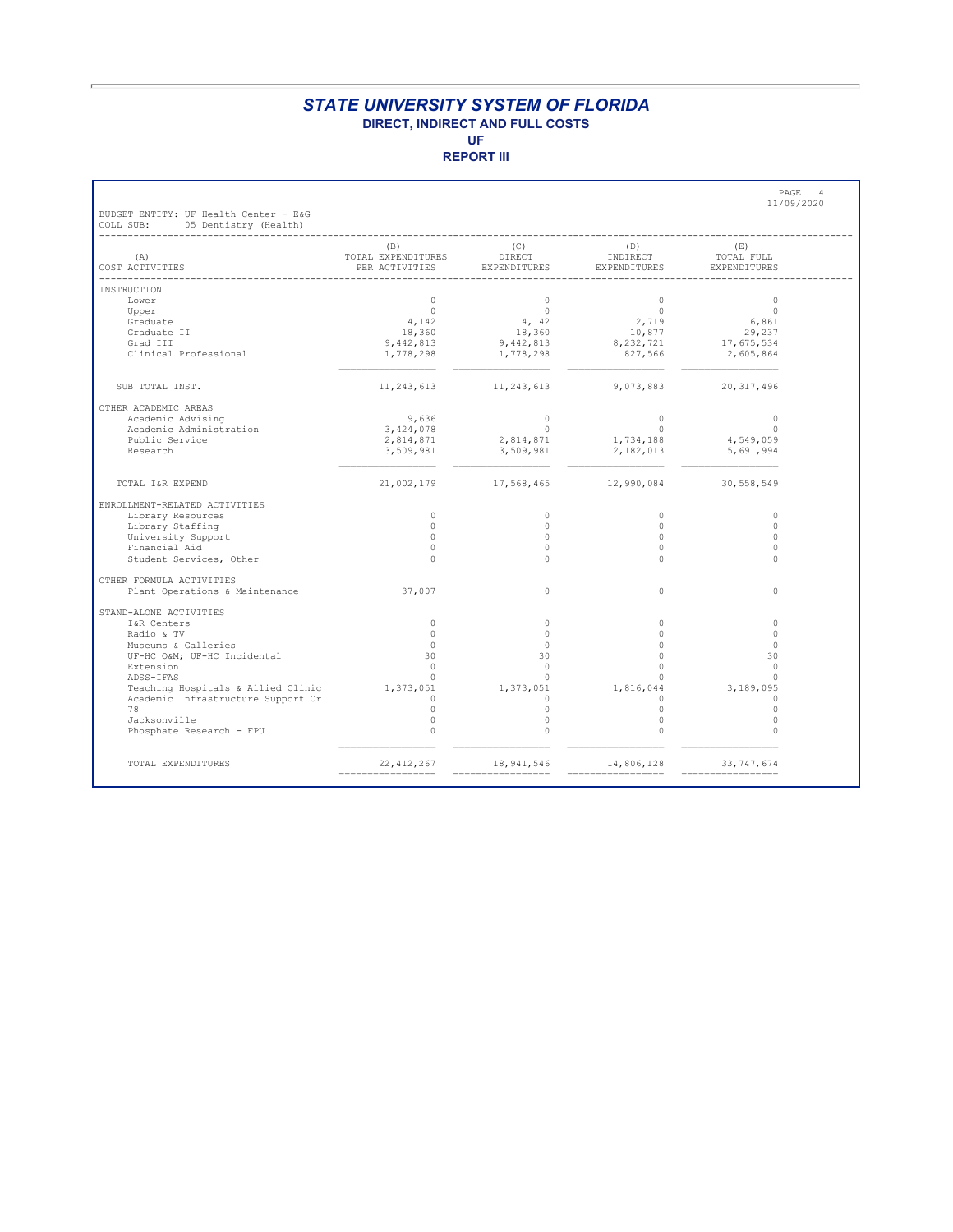**REPORT III**

| BUDGET ENTITY: UF Health Center - E&G<br>COLL SUB: 05 Dentistry (Health) |                                             |                                     |                                                                                                                           | PAGE<br>$\overline{4}$<br>11/09/2020            |
|--------------------------------------------------------------------------|---------------------------------------------|-------------------------------------|---------------------------------------------------------------------------------------------------------------------------|-------------------------------------------------|
| (A)<br>COST ACTIVITIES                                                   | (B)<br>TOTAL EXPENDITURES<br>PER ACTIVITIES | (C)<br>DIRECT                       | $\begin{array}{c} (\nu)\\ \text{INDIRECT}\\ \hline \text{--min}_{\mathcal{R}}\\ \end{array}$<br>EXPENDITURES EXPENDITURES | (F <sub>i</sub> )<br>TOTAL FULL<br>EXPENDITURES |
| INSTRUCTION                                                              |                                             |                                     |                                                                                                                           |                                                 |
| Lower                                                                    | $\Omega$                                    | $\Omega$                            | $\bigcirc$                                                                                                                | $\Omega$                                        |
| Upper                                                                    | $\overline{0}$                              | $\overline{0}$                      |                                                                                                                           | $\Omega$                                        |
| Graduate I                                                               | 4,142                                       | $0$<br>4,142<br>18,360<br>9,442,813 | $0$<br>2,719<br>10,877                                                                                                    | 6,861                                           |
| Graduate II                                                              | 18,360                                      |                                     |                                                                                                                           | 29,237<br>29,237<br>17,675,534                  |
| Grad III                                                                 | 9,442,813                                   |                                     | 8, 232, 721                                                                                                               |                                                 |
| Clinical Professional                                                    | 1,778,298                                   | 1,778,298                           | 827,566                                                                                                                   | 2,605,864                                       |
| SUB TOTAL INST.                                                          |                                             | 11, 243, 613 11, 243, 613           | 9,073,883 20,317,496                                                                                                      |                                                 |
| OTHER ACADEMIC AREAS                                                     |                                             |                                     |                                                                                                                           |                                                 |
| Academic Advising                                                        | 9,636                                       | $\Omega$                            | $\bigcirc$                                                                                                                | $\circ$                                         |
| Academic Administration                                                  | 3,424,078                                   | $\overline{0}$                      | $\sim$ 0                                                                                                                  | $\circ$                                         |
| Public Service                                                           | 2,814,871                                   |                                     | 2,814,871 1,734,188                                                                                                       | 4,549,059                                       |
| Research                                                                 |                                             |                                     | 3,509,981 3,509,981 2,182,013 5,691,994                                                                                   |                                                 |
| TOTAL I&R EXPEND                                                         |                                             |                                     | 21,002,179 17,568,465 12,990,084 30,558,549                                                                               |                                                 |
| ENROLLMENT-RELATED ACTIVITIES                                            |                                             |                                     |                                                                                                                           |                                                 |
| Library Resources                                                        | $\circ$                                     | $\Omega$                            | $\circ$                                                                                                                   | $\circ$                                         |
| Library Staffing                                                         | $\Omega$                                    | $\cap$                              | $\Omega$                                                                                                                  | $\Omega$                                        |
| University Support                                                       | $\Omega$                                    | $\Omega$                            | $\Omega$                                                                                                                  | $\Omega$                                        |
| Financial Aid                                                            | $\Omega$                                    | $\Omega$                            | $\bigcap$                                                                                                                 | $\Omega$                                        |
| Student Services, Other                                                  | $\Omega$                                    | $\cap$                              | $\cap$                                                                                                                    | $\Omega$                                        |
| OTHER FORMULA ACTIVITIES                                                 |                                             |                                     |                                                                                                                           |                                                 |
| Plant Operations & Maintenance                                           | 37,007                                      | $\Omega$                            | $\Omega$                                                                                                                  | $\circ$                                         |
| STAND-ALONE ACTIVITIES                                                   |                                             |                                     |                                                                                                                           |                                                 |
| I&R Centers                                                              | $\circ$                                     | $\bigcap$                           | $\Omega$                                                                                                                  | $\circ$                                         |
| Radio & TV                                                               | $\Omega$                                    | $\Omega$                            | $\Omega$                                                                                                                  | $\Omega$                                        |
| Museums & Galleries                                                      | $\bigcirc$                                  | $\bigcirc$                          | $\Omega$                                                                                                                  | $\circ$                                         |
| UF-HC O&M UF-HC Incidental<br>Extension                                  | 30<br>$\Omega$                              | 30<br>$\cap$                        | $\Omega$<br>$\cap$                                                                                                        | 30<br>$\Omega$                                  |
| ADSS-IFAS                                                                | $\Omega$                                    | $\bigcap$                           | $\Omega$                                                                                                                  | $\Omega$                                        |
| Teaching Hospitals & Allied Clinic 1,373,051                             |                                             | 1,373,051                           | 1,816,044                                                                                                                 | 3,189,095                                       |
| Academic Infrastructure Support Or                                       | $\Omega$                                    | $\cap$                              | $\Omega$                                                                                                                  | $\Omega$                                        |
| 78                                                                       | $\Omega$                                    | $\cap$                              | $\Omega$                                                                                                                  | $\Omega$                                        |
| Jacksonville                                                             | $\circ$                                     | $\bigcirc$                          | $\circ$                                                                                                                   | $\circ$                                         |
| Phosphate Research - FPU                                                 | $\Omega$                                    | $\cap$                              | $\cap$                                                                                                                    | $\Omega$                                        |
|                                                                          |                                             |                                     |                                                                                                                           |                                                 |
| TOTAL EXPENDITURES                                                       | 22, 412, 267                                |                                     | 18,941,546 14,806,128 33,747,674                                                                                          |                                                 |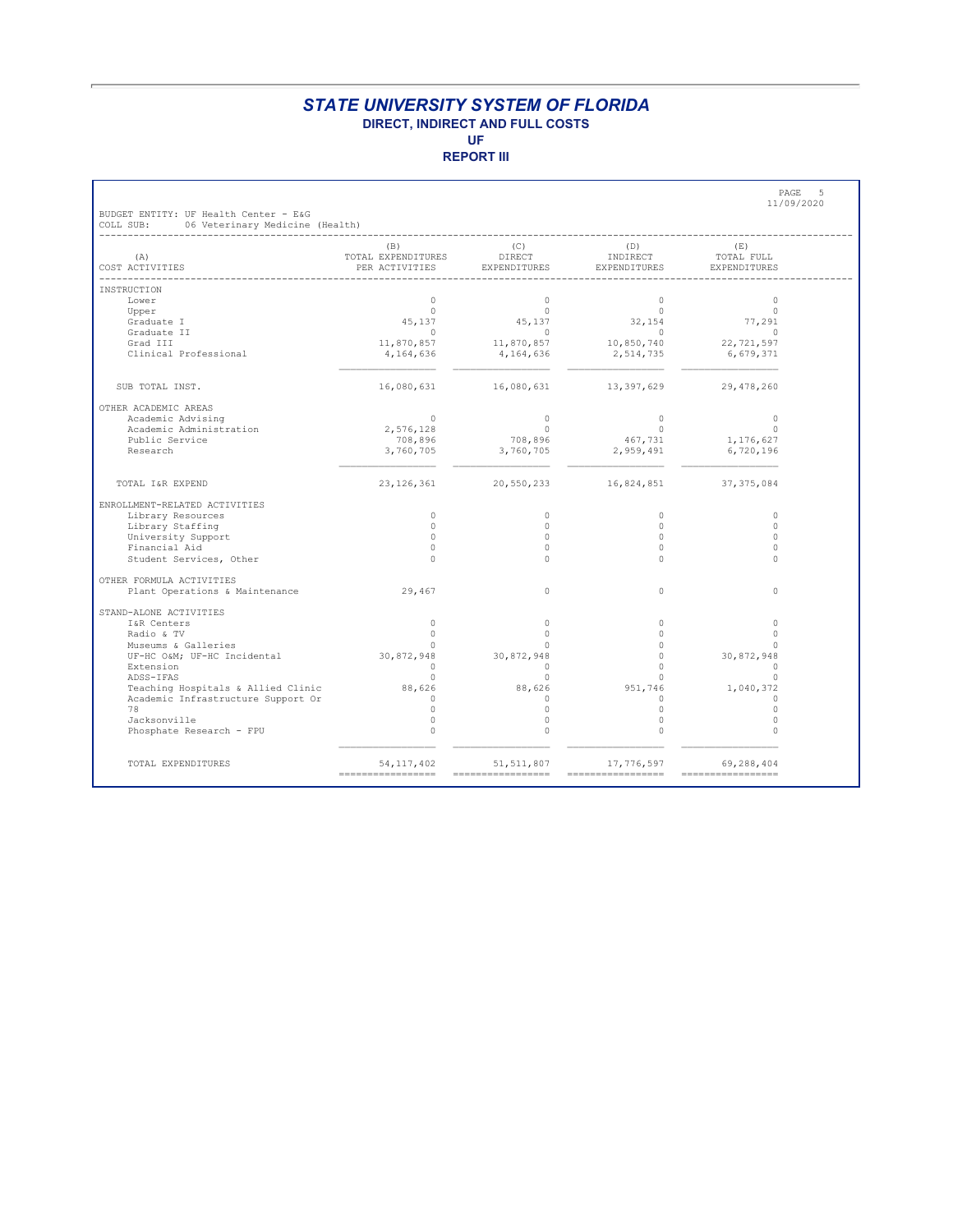**REPORT III**

PAGE 5

| TOTAL EXPENDITURES DIRECT TNDIRECT<br>PER ACTIVITIES<br>EXPENDITURES<br>EXPENDITURES<br>EXPENDITURES<br>$\Omega$<br>$\Omega$<br>$\Omega$<br>$\Omega$<br>Lower<br>$\Omega$<br>$\Omega$<br>$\bigcirc$<br>$\Omega$<br>Upper<br>32,154<br>45,137<br>77,291<br>Graduate I<br>45,137<br>$\overline{0}$<br>Graduate II<br>$\sim$ 0<br>$\sim$ 0<br>$\sim$ 0<br>11,870,857 11,870,857 10,850,740 22,721,597<br>Grad III<br>Clinical Professional<br>4,164,636<br>4,164,636<br>2,514,735<br>6,679,371<br>16,080,631<br>16,080,631 13,397,629 29,478,260<br>SUB TOTAL INST.<br>Academic Advising<br>$\circ$<br>$\circ$<br>$\Omega$<br>$\circ$<br>$\sim$ 0<br>Academic Administration<br>$\bigcirc$<br>2,576,128<br>$\Omega$<br>Public Service<br>$(1, 176, 627)$<br>3,760,705<br>3,760,705<br>3,760,705<br>3,760,705<br>2,959,491<br>6,720.196<br>Research<br>23, 126, 361 20, 550, 233 16, 824, 851 37, 375, 084<br>TOTAL I&R EXPEND<br>$\circ$<br>Library Resources<br>$\circ$<br>$\circ$<br>$\circ$<br>$\Omega$<br>Library Staffing<br>$\Omega$<br>$\bigcirc$<br>$\circ$<br>University Support<br>$\Omega$<br>$\cap$<br>$\cap$<br>$\Omega$<br>$\Omega$<br>$\bigcirc$<br>$\Omega$<br>Financial Aid<br>$\cap$<br>Student Services, Other<br>$\Omega$<br>$\Omega$<br>$\bigcap$<br>$\Omega$<br>OTHER FORMULA ACTIVITIES<br>Plant Operations & Maintenance 29,467<br>$\Omega$<br>$\bigcap$<br>$\circ$<br>$\circ$<br>I&R Centers<br>$\circ$<br>$\Omega$<br>$\circ$<br>Radio & TV<br>$\cap$<br>$\Omega$<br>$\Omega$<br>$\circ$<br>Museums & Galleries<br>$\Omega$<br>$\bigcap$<br>$\cap$<br>$\Omega$<br>UF-HC O&M UF-HC Incidental 30,872,948<br>30,872,948<br>$\Omega$<br>30,872,948<br>Extension<br>$\Omega$<br>$\cap$<br>$\Omega$<br>$\Omega$<br>$\Omega$<br>$\Omega$<br>ADSS-IFAS<br>$\Omega$<br>$\Omega$<br>Teaching Hospitals & Allied Clinic<br>88,626<br>88,626<br>951,746<br>1,040,372<br>Academic Infrastructure Support Or<br>$\Omega$<br>$\Omega$<br>$\Omega$<br>$\Omega$<br>78<br>$\cap$<br>$\cap$<br>$\Omega$<br>$\Omega$<br>Jacksonville<br>$\circ$<br>$\circ$<br>$\circ$<br>$\Omega$<br>$\Omega$<br>Phosphate Research - FPU<br>$\Omega$<br>$\Omega$<br>$\Omega$ |                               | (B) | (C) | (D) | (E)        |
|-------------------------------------------------------------------------------------------------------------------------------------------------------------------------------------------------------------------------------------------------------------------------------------------------------------------------------------------------------------------------------------------------------------------------------------------------------------------------------------------------------------------------------------------------------------------------------------------------------------------------------------------------------------------------------------------------------------------------------------------------------------------------------------------------------------------------------------------------------------------------------------------------------------------------------------------------------------------------------------------------------------------------------------------------------------------------------------------------------------------------------------------------------------------------------------------------------------------------------------------------------------------------------------------------------------------------------------------------------------------------------------------------------------------------------------------------------------------------------------------------------------------------------------------------------------------------------------------------------------------------------------------------------------------------------------------------------------------------------------------------------------------------------------------------------------------------------------------------------------------------------------------------------------------------------------------------------------------------------------------------------------------------------------------------------------------------------------------------------------------------------------------------------------------|-------------------------------|-----|-----|-----|------------|
|                                                                                                                                                                                                                                                                                                                                                                                                                                                                                                                                                                                                                                                                                                                                                                                                                                                                                                                                                                                                                                                                                                                                                                                                                                                                                                                                                                                                                                                                                                                                                                                                                                                                                                                                                                                                                                                                                                                                                                                                                                                                                                                                                                   | (A)<br>COST ACTIVITIES        |     |     |     | TOTAL FULL |
|                                                                                                                                                                                                                                                                                                                                                                                                                                                                                                                                                                                                                                                                                                                                                                                                                                                                                                                                                                                                                                                                                                                                                                                                                                                                                                                                                                                                                                                                                                                                                                                                                                                                                                                                                                                                                                                                                                                                                                                                                                                                                                                                                                   | INSTRUCTION                   |     |     |     |            |
|                                                                                                                                                                                                                                                                                                                                                                                                                                                                                                                                                                                                                                                                                                                                                                                                                                                                                                                                                                                                                                                                                                                                                                                                                                                                                                                                                                                                                                                                                                                                                                                                                                                                                                                                                                                                                                                                                                                                                                                                                                                                                                                                                                   |                               |     |     |     |            |
|                                                                                                                                                                                                                                                                                                                                                                                                                                                                                                                                                                                                                                                                                                                                                                                                                                                                                                                                                                                                                                                                                                                                                                                                                                                                                                                                                                                                                                                                                                                                                                                                                                                                                                                                                                                                                                                                                                                                                                                                                                                                                                                                                                   |                               |     |     |     |            |
|                                                                                                                                                                                                                                                                                                                                                                                                                                                                                                                                                                                                                                                                                                                                                                                                                                                                                                                                                                                                                                                                                                                                                                                                                                                                                                                                                                                                                                                                                                                                                                                                                                                                                                                                                                                                                                                                                                                                                                                                                                                                                                                                                                   |                               |     |     |     |            |
|                                                                                                                                                                                                                                                                                                                                                                                                                                                                                                                                                                                                                                                                                                                                                                                                                                                                                                                                                                                                                                                                                                                                                                                                                                                                                                                                                                                                                                                                                                                                                                                                                                                                                                                                                                                                                                                                                                                                                                                                                                                                                                                                                                   |                               |     |     |     |            |
|                                                                                                                                                                                                                                                                                                                                                                                                                                                                                                                                                                                                                                                                                                                                                                                                                                                                                                                                                                                                                                                                                                                                                                                                                                                                                                                                                                                                                                                                                                                                                                                                                                                                                                                                                                                                                                                                                                                                                                                                                                                                                                                                                                   |                               |     |     |     |            |
|                                                                                                                                                                                                                                                                                                                                                                                                                                                                                                                                                                                                                                                                                                                                                                                                                                                                                                                                                                                                                                                                                                                                                                                                                                                                                                                                                                                                                                                                                                                                                                                                                                                                                                                                                                                                                                                                                                                                                                                                                                                                                                                                                                   |                               |     |     |     |            |
|                                                                                                                                                                                                                                                                                                                                                                                                                                                                                                                                                                                                                                                                                                                                                                                                                                                                                                                                                                                                                                                                                                                                                                                                                                                                                                                                                                                                                                                                                                                                                                                                                                                                                                                                                                                                                                                                                                                                                                                                                                                                                                                                                                   |                               |     |     |     |            |
|                                                                                                                                                                                                                                                                                                                                                                                                                                                                                                                                                                                                                                                                                                                                                                                                                                                                                                                                                                                                                                                                                                                                                                                                                                                                                                                                                                                                                                                                                                                                                                                                                                                                                                                                                                                                                                                                                                                                                                                                                                                                                                                                                                   | OTHER ACADEMIC AREAS          |     |     |     |            |
|                                                                                                                                                                                                                                                                                                                                                                                                                                                                                                                                                                                                                                                                                                                                                                                                                                                                                                                                                                                                                                                                                                                                                                                                                                                                                                                                                                                                                                                                                                                                                                                                                                                                                                                                                                                                                                                                                                                                                                                                                                                                                                                                                                   |                               |     |     |     |            |
|                                                                                                                                                                                                                                                                                                                                                                                                                                                                                                                                                                                                                                                                                                                                                                                                                                                                                                                                                                                                                                                                                                                                                                                                                                                                                                                                                                                                                                                                                                                                                                                                                                                                                                                                                                                                                                                                                                                                                                                                                                                                                                                                                                   |                               |     |     |     |            |
|                                                                                                                                                                                                                                                                                                                                                                                                                                                                                                                                                                                                                                                                                                                                                                                                                                                                                                                                                                                                                                                                                                                                                                                                                                                                                                                                                                                                                                                                                                                                                                                                                                                                                                                                                                                                                                                                                                                                                                                                                                                                                                                                                                   |                               |     |     |     |            |
|                                                                                                                                                                                                                                                                                                                                                                                                                                                                                                                                                                                                                                                                                                                                                                                                                                                                                                                                                                                                                                                                                                                                                                                                                                                                                                                                                                                                                                                                                                                                                                                                                                                                                                                                                                                                                                                                                                                                                                                                                                                                                                                                                                   |                               |     |     |     |            |
|                                                                                                                                                                                                                                                                                                                                                                                                                                                                                                                                                                                                                                                                                                                                                                                                                                                                                                                                                                                                                                                                                                                                                                                                                                                                                                                                                                                                                                                                                                                                                                                                                                                                                                                                                                                                                                                                                                                                                                                                                                                                                                                                                                   |                               |     |     |     |            |
|                                                                                                                                                                                                                                                                                                                                                                                                                                                                                                                                                                                                                                                                                                                                                                                                                                                                                                                                                                                                                                                                                                                                                                                                                                                                                                                                                                                                                                                                                                                                                                                                                                                                                                                                                                                                                                                                                                                                                                                                                                                                                                                                                                   | ENROLLMENT-RELATED ACTIVITIES |     |     |     |            |
|                                                                                                                                                                                                                                                                                                                                                                                                                                                                                                                                                                                                                                                                                                                                                                                                                                                                                                                                                                                                                                                                                                                                                                                                                                                                                                                                                                                                                                                                                                                                                                                                                                                                                                                                                                                                                                                                                                                                                                                                                                                                                                                                                                   |                               |     |     |     |            |
|                                                                                                                                                                                                                                                                                                                                                                                                                                                                                                                                                                                                                                                                                                                                                                                                                                                                                                                                                                                                                                                                                                                                                                                                                                                                                                                                                                                                                                                                                                                                                                                                                                                                                                                                                                                                                                                                                                                                                                                                                                                                                                                                                                   |                               |     |     |     |            |
|                                                                                                                                                                                                                                                                                                                                                                                                                                                                                                                                                                                                                                                                                                                                                                                                                                                                                                                                                                                                                                                                                                                                                                                                                                                                                                                                                                                                                                                                                                                                                                                                                                                                                                                                                                                                                                                                                                                                                                                                                                                                                                                                                                   |                               |     |     |     |            |
|                                                                                                                                                                                                                                                                                                                                                                                                                                                                                                                                                                                                                                                                                                                                                                                                                                                                                                                                                                                                                                                                                                                                                                                                                                                                                                                                                                                                                                                                                                                                                                                                                                                                                                                                                                                                                                                                                                                                                                                                                                                                                                                                                                   |                               |     |     |     |            |
|                                                                                                                                                                                                                                                                                                                                                                                                                                                                                                                                                                                                                                                                                                                                                                                                                                                                                                                                                                                                                                                                                                                                                                                                                                                                                                                                                                                                                                                                                                                                                                                                                                                                                                                                                                                                                                                                                                                                                                                                                                                                                                                                                                   |                               |     |     |     |            |
|                                                                                                                                                                                                                                                                                                                                                                                                                                                                                                                                                                                                                                                                                                                                                                                                                                                                                                                                                                                                                                                                                                                                                                                                                                                                                                                                                                                                                                                                                                                                                                                                                                                                                                                                                                                                                                                                                                                                                                                                                                                                                                                                                                   |                               |     |     |     |            |
|                                                                                                                                                                                                                                                                                                                                                                                                                                                                                                                                                                                                                                                                                                                                                                                                                                                                                                                                                                                                                                                                                                                                                                                                                                                                                                                                                                                                                                                                                                                                                                                                                                                                                                                                                                                                                                                                                                                                                                                                                                                                                                                                                                   |                               |     |     |     |            |
|                                                                                                                                                                                                                                                                                                                                                                                                                                                                                                                                                                                                                                                                                                                                                                                                                                                                                                                                                                                                                                                                                                                                                                                                                                                                                                                                                                                                                                                                                                                                                                                                                                                                                                                                                                                                                                                                                                                                                                                                                                                                                                                                                                   | STAND-ALONE ACTIVITIES        |     |     |     |            |
|                                                                                                                                                                                                                                                                                                                                                                                                                                                                                                                                                                                                                                                                                                                                                                                                                                                                                                                                                                                                                                                                                                                                                                                                                                                                                                                                                                                                                                                                                                                                                                                                                                                                                                                                                                                                                                                                                                                                                                                                                                                                                                                                                                   |                               |     |     |     |            |
|                                                                                                                                                                                                                                                                                                                                                                                                                                                                                                                                                                                                                                                                                                                                                                                                                                                                                                                                                                                                                                                                                                                                                                                                                                                                                                                                                                                                                                                                                                                                                                                                                                                                                                                                                                                                                                                                                                                                                                                                                                                                                                                                                                   |                               |     |     |     |            |
|                                                                                                                                                                                                                                                                                                                                                                                                                                                                                                                                                                                                                                                                                                                                                                                                                                                                                                                                                                                                                                                                                                                                                                                                                                                                                                                                                                                                                                                                                                                                                                                                                                                                                                                                                                                                                                                                                                                                                                                                                                                                                                                                                                   |                               |     |     |     |            |
|                                                                                                                                                                                                                                                                                                                                                                                                                                                                                                                                                                                                                                                                                                                                                                                                                                                                                                                                                                                                                                                                                                                                                                                                                                                                                                                                                                                                                                                                                                                                                                                                                                                                                                                                                                                                                                                                                                                                                                                                                                                                                                                                                                   |                               |     |     |     |            |
|                                                                                                                                                                                                                                                                                                                                                                                                                                                                                                                                                                                                                                                                                                                                                                                                                                                                                                                                                                                                                                                                                                                                                                                                                                                                                                                                                                                                                                                                                                                                                                                                                                                                                                                                                                                                                                                                                                                                                                                                                                                                                                                                                                   |                               |     |     |     |            |
|                                                                                                                                                                                                                                                                                                                                                                                                                                                                                                                                                                                                                                                                                                                                                                                                                                                                                                                                                                                                                                                                                                                                                                                                                                                                                                                                                                                                                                                                                                                                                                                                                                                                                                                                                                                                                                                                                                                                                                                                                                                                                                                                                                   |                               |     |     |     |            |
|                                                                                                                                                                                                                                                                                                                                                                                                                                                                                                                                                                                                                                                                                                                                                                                                                                                                                                                                                                                                                                                                                                                                                                                                                                                                                                                                                                                                                                                                                                                                                                                                                                                                                                                                                                                                                                                                                                                                                                                                                                                                                                                                                                   |                               |     |     |     |            |
|                                                                                                                                                                                                                                                                                                                                                                                                                                                                                                                                                                                                                                                                                                                                                                                                                                                                                                                                                                                                                                                                                                                                                                                                                                                                                                                                                                                                                                                                                                                                                                                                                                                                                                                                                                                                                                                                                                                                                                                                                                                                                                                                                                   |                               |     |     |     |            |
|                                                                                                                                                                                                                                                                                                                                                                                                                                                                                                                                                                                                                                                                                                                                                                                                                                                                                                                                                                                                                                                                                                                                                                                                                                                                                                                                                                                                                                                                                                                                                                                                                                                                                                                                                                                                                                                                                                                                                                                                                                                                                                                                                                   |                               |     |     |     |            |
|                                                                                                                                                                                                                                                                                                                                                                                                                                                                                                                                                                                                                                                                                                                                                                                                                                                                                                                                                                                                                                                                                                                                                                                                                                                                                                                                                                                                                                                                                                                                                                                                                                                                                                                                                                                                                                                                                                                                                                                                                                                                                                                                                                   |                               |     |     |     |            |
| TOTAL EXPENDITURES<br>54, 117, 402 51, 511, 807<br>17,776,597<br>69,288,404                                                                                                                                                                                                                                                                                                                                                                                                                                                                                                                                                                                                                                                                                                                                                                                                                                                                                                                                                                                                                                                                                                                                                                                                                                                                                                                                                                                                                                                                                                                                                                                                                                                                                                                                                                                                                                                                                                                                                                                                                                                                                       |                               |     |     |     |            |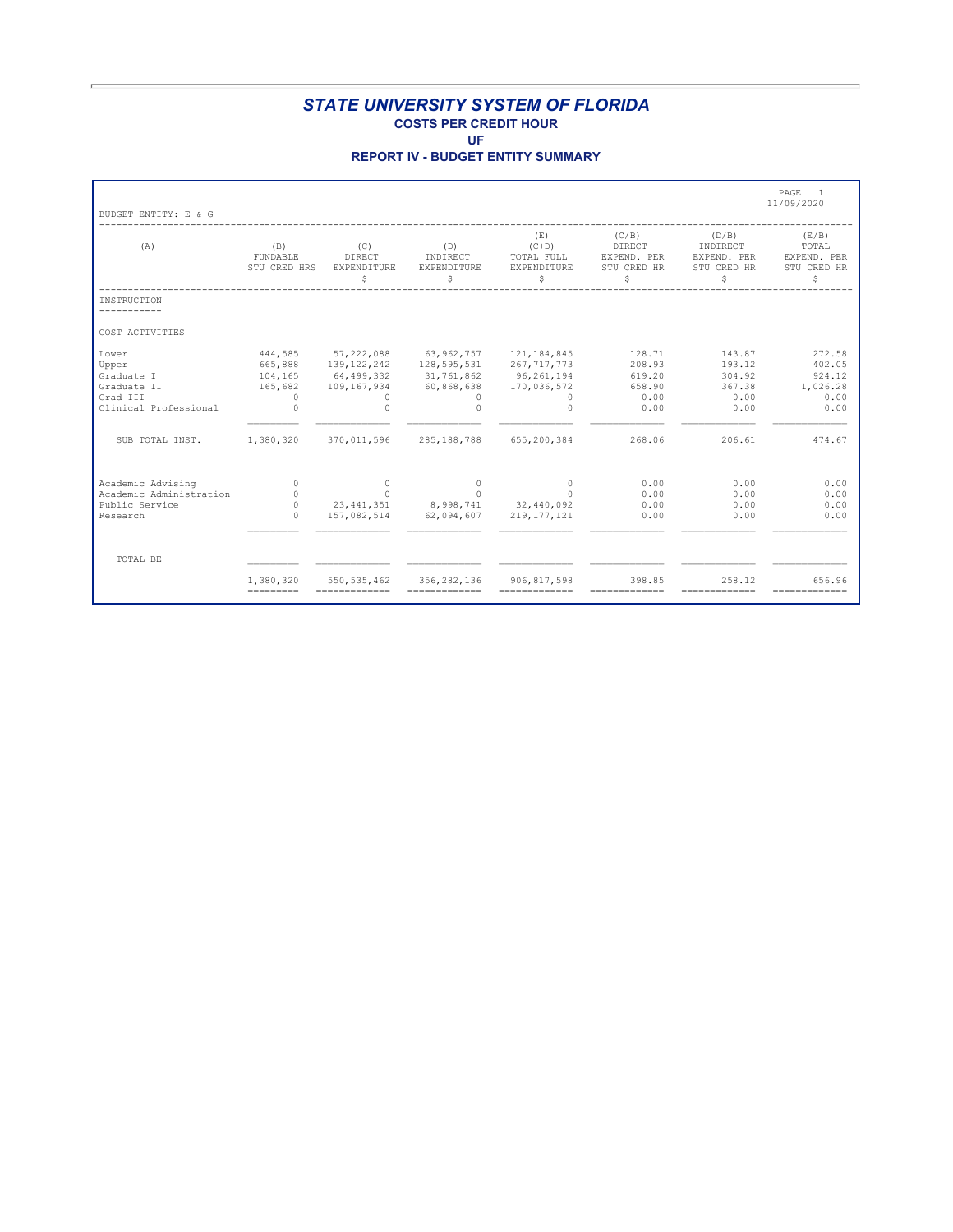#### **REPORT IV - BUDGET ENTITY SUMMARY**

| BUDGET ENTITY: E & G                                                             |                                                                  |                                                                                    |                                                                               |                                                                                     |                                                      |                                                      | PAGE<br>$\overline{1}$<br>11/09/2020                   |
|----------------------------------------------------------------------------------|------------------------------------------------------------------|------------------------------------------------------------------------------------|-------------------------------------------------------------------------------|-------------------------------------------------------------------------------------|------------------------------------------------------|------------------------------------------------------|--------------------------------------------------------|
| (A)                                                                              | (B)<br>FUNDABLE<br>STU CRED HRS                                  | (C)<br>DIRECT<br>EXPENDITURE<br>\$.                                                | (D)<br>INDIRECT<br>EXPENDITURE<br>\$                                          | (E)<br>$(C+D)$<br>TOTAL FULL<br>EXPENDITURE<br>S                                    | (C/B)<br>DIRECT<br>EXPEND. PER<br>STU CRED HR<br>S   | (D/B)<br>INDIRECT<br>EXPEND. PER<br>STU CRED HR<br>S | (E/B)<br>TOTAL<br>EXPEND. PER<br>STU CRED HR<br>S      |
| INSTRUCTION                                                                      |                                                                  |                                                                                    |                                                                               |                                                                                     |                                                      |                                                      |                                                        |
| COST ACTIVITIES                                                                  |                                                                  |                                                                                    |                                                                               |                                                                                     |                                                      |                                                      |                                                        |
| Lower<br>Upper<br>Graduate I<br>Graduate II<br>Grad III<br>Clinical Professional | 444,585<br>665,888<br>104,165<br>165,682<br>$\Omega$<br>$\Omega$ | 57,222,088<br>139, 122, 242<br>64,499,332<br>109, 167, 934<br>$\Omega$<br>$\Omega$ | 63,962,757<br>128,595,531<br>31,761,862<br>60,868,638<br>$\Omega$<br>$\Omega$ | 121, 184, 845<br>267, 717, 773<br>96,261,194<br>170,036,572<br>$\Omega$<br>$\Omega$ | 128.71<br>208.93<br>619.20<br>658.90<br>0.00<br>0.00 | 143.87<br>193.12<br>304.92<br>367.38<br>0.00<br>0.00 | 272.58<br>402.05<br>924.12<br>1,026.28<br>0.00<br>0.00 |
| SUB TOTAL INST.                                                                  | 1,380,320                                                        | 370,011,596                                                                        | 285, 188, 788                                                                 | 655,200,384                                                                         | 268.06                                               | 206.61                                               | 474.67                                                 |
| Academic Advising<br>Academic Administration<br>Public Service<br>Research       | $\Omega$<br>$\Omega$<br>$\Omega$<br>$\Omega$                     | $\circ$<br>$\Omega$<br>23, 441, 351<br>157,082,514                                 | $\Omega$<br>$\cap$<br>8,998,741<br>62,094,607                                 | $\circ$<br>$\cap$<br>32,440,092<br>219, 177, 121                                    | 0.00<br>0.00<br>0.00<br>0.00                         | 0.00<br>0.00<br>0.00<br>0.00                         | 0.00<br>0.00<br>0.00<br>0.00                           |
| TOTAL BE                                                                         |                                                                  |                                                                                    |                                                                               |                                                                                     |                                                      |                                                      |                                                        |
|                                                                                  | 1,380,320                                                        | 550, 535, 462<br>=============                                                     | 356,282,136<br>=============                                                  | 906,817,598<br>=============                                                        | 398.85<br>=============                              | 258.12<br>=============                              | 656.96<br>=============                                |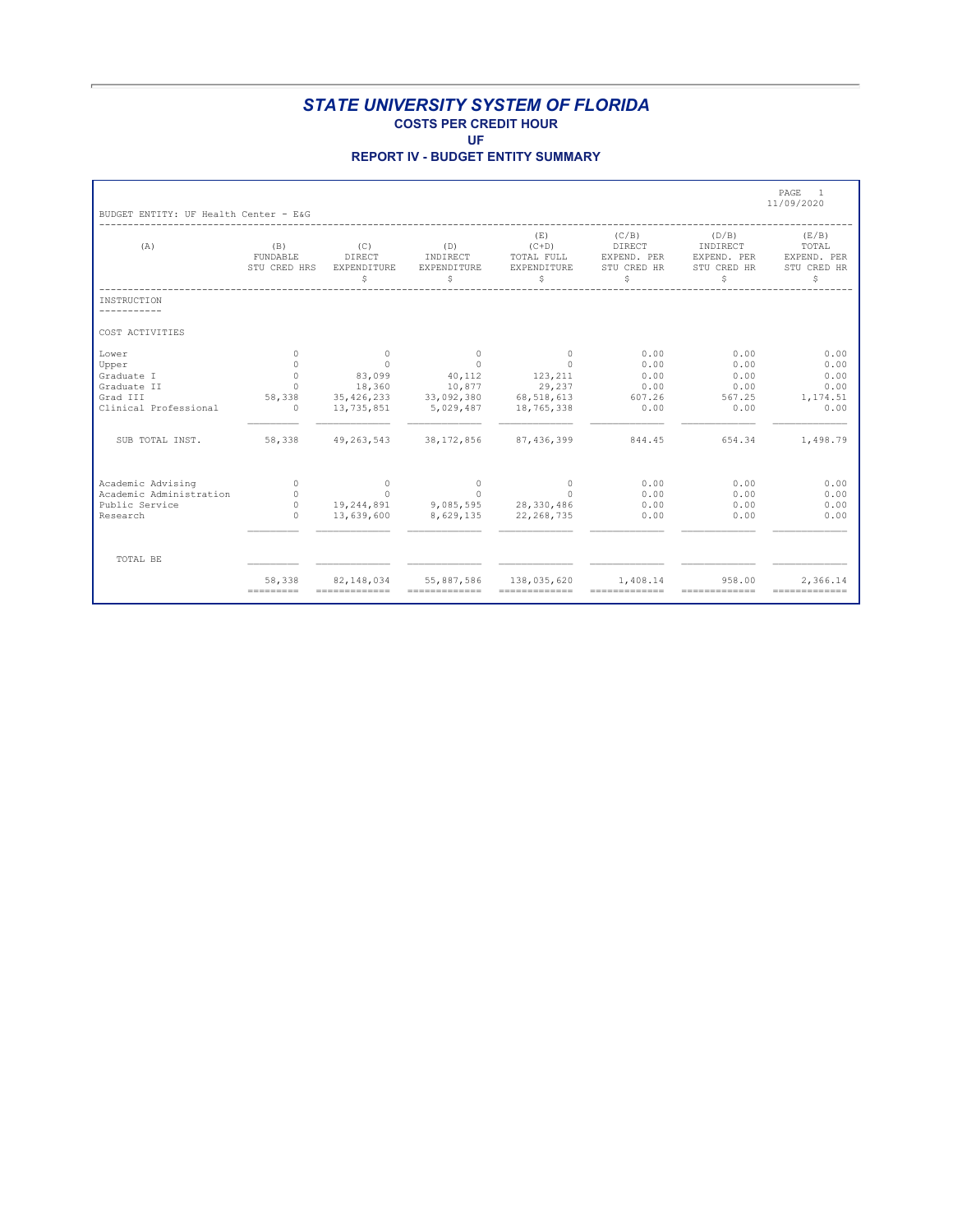## **REPORT IV - BUDGET ENTITY SUMMARY**

| BUDGET ENTITY: UF Health Center - E&G |                                 |                                     |                                      |                                                  |                                                    |                                                      | PAGE<br>$\overline{1}$<br>11/09/2020              |
|---------------------------------------|---------------------------------|-------------------------------------|--------------------------------------|--------------------------------------------------|----------------------------------------------------|------------------------------------------------------|---------------------------------------------------|
| (A)                                   | (B)<br>FUNDABLE<br>STU CRED HRS | (C)<br>DIRECT<br>EXPENDITURE<br>\$. | (D)<br>INDIRECT<br>EXPENDITURE<br>\$ | (E)<br>$(C+D)$<br>TOTAL FULL<br>EXPENDITURE<br>S | (C/B)<br>DIRECT<br>EXPEND. PER<br>STU CRED HR<br>S | (D/B)<br>INDIRECT<br>EXPEND. PER<br>STU CRED HR<br>S | (E/B)<br>TOTAL<br>EXPEND. PER<br>STU CRED HR<br>S |
| INSTRUCTION                           |                                 |                                     |                                      |                                                  |                                                    |                                                      |                                                   |
| COST ACTIVITIES                       |                                 |                                     |                                      |                                                  |                                                    |                                                      |                                                   |
| Lower                                 | $\circ$                         | $\circ$                             | $\circ$                              | $\circ$                                          | 0.00                                               | 0.00                                                 | 0.00                                              |
| Upper                                 | $\Omega$                        | $\Omega$                            | $\Omega$                             | $\Omega$                                         | 0.00                                               | 0.00                                                 | 0.00                                              |
| Graduate I                            | $\Omega$                        | 83,099                              | 40,112                               | 123,211                                          | 0.00                                               | 0.00                                                 | 0.00                                              |
| Graduate II                           | $\Omega$                        | 18,360                              | 10,877                               | 29,237                                           | 0.00                                               | 0.00                                                 | 0.00                                              |
| Grad III                              | 58,338                          | 35, 426, 233                        | 33,092,380                           | 68,518,613                                       | 607.26                                             | 567.25                                               | 1,174.51                                          |
| Clinical Professional                 | $\circ$                         | 13,735,851                          | 5,029,487                            | 18,765,338                                       | 0.00                                               | 0.00                                                 | 0.00                                              |
| SUB TOTAL INST.                       | 58,338                          | 49, 263, 543                        |                                      | 38, 172, 856 87, 436, 399                        | 844.45                                             | 654.34                                               | 1,498.79                                          |
| Academic Advising                     | $\circ$                         | $\circ$                             | $\circ$                              | $\circ$                                          | 0.00                                               | 0.00                                                 | 0.00                                              |
| Academic Administration               | $\circ$                         | $\circ$                             | $\Omega$                             | $\Omega$                                         | 0.00                                               | 0.00                                                 | 0.00                                              |
| Public Service                        | $\circ$                         | 19,244,891                          | 9,085,595                            | 28,330,486                                       | 0.00                                               | 0.00                                                 | 0.00                                              |
| Research                              | $\Omega$                        | 13,639,600                          | 8,629,135                            | 22, 268, 735                                     | 0.00                                               | 0.00                                                 | 0.00                                              |
| TOTAL BE                              |                                 |                                     |                                      |                                                  |                                                    |                                                      |                                                   |
|                                       | 58,338<br>=========             | 82,148,034                          | 55,887,586<br>--------------         | 138,035,620<br>-------------                     | 1,408.14<br>=============                          | 958.00                                               | 2,366.14<br>--------------                        |
|                                       |                                 |                                     |                                      |                                                  |                                                    |                                                      |                                                   |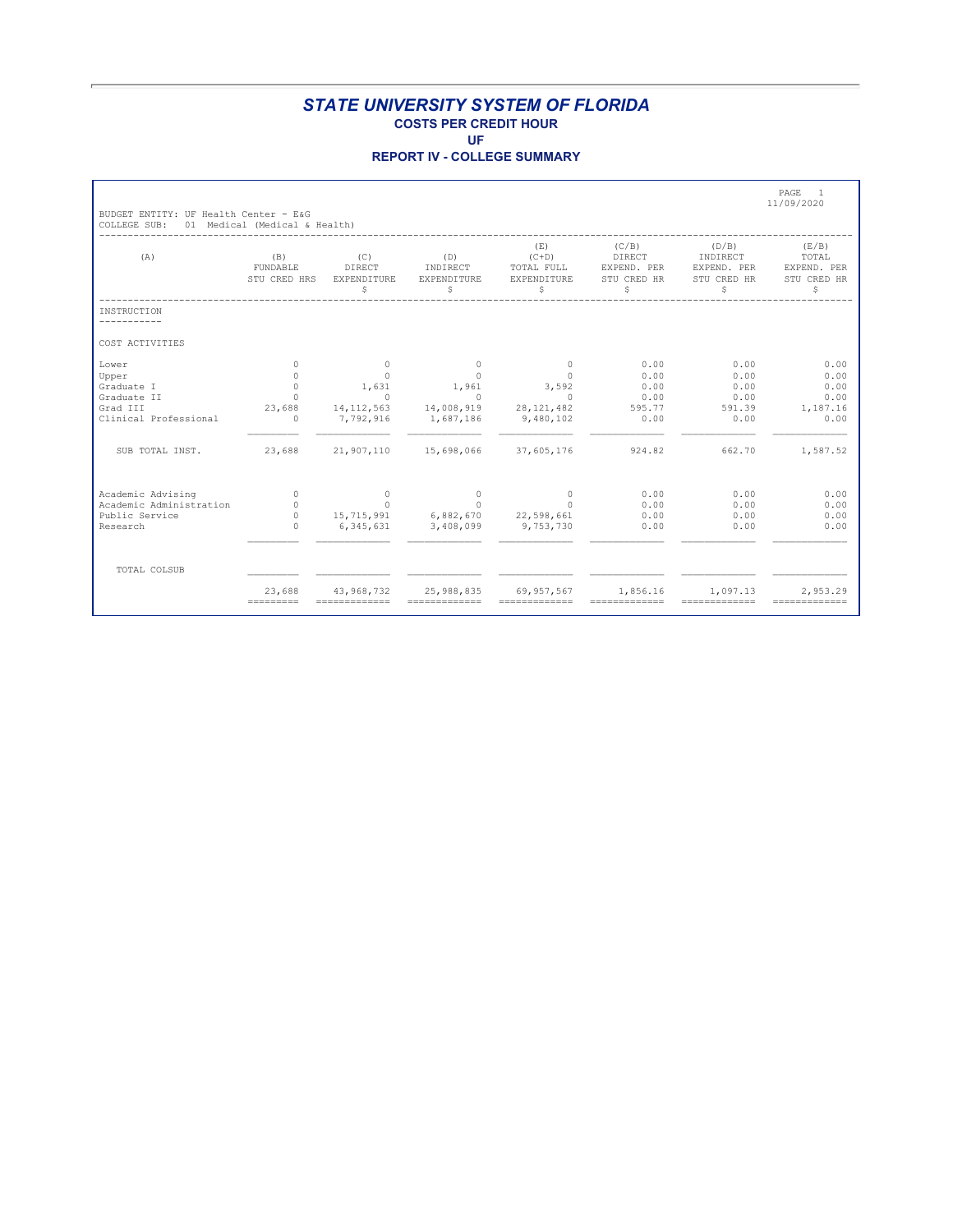#### **REPORT IV - COLLEGE SUMMARY**

| BUDGET ENTITY: UF Health Center - E&G             |                                 |                                    |                                             |                                                  |                                                    |                                                      | PAGE<br>$\overline{1}$<br>11/09/2020              |
|---------------------------------------------------|---------------------------------|------------------------------------|---------------------------------------------|--------------------------------------------------|----------------------------------------------------|------------------------------------------------------|---------------------------------------------------|
| COLLEGE SUB: 01 Medical (Medical & Health)<br>(A) | (B)<br>FUNDABLE<br>STU CRED HRS | (C)<br>DIRECT<br>EXPENDITURE<br>\$ | (D)<br>INDIRECT<br>EXPENDITURE<br>\$        | (E)<br>$(C+D)$<br>TOTAL FULL<br>EXPENDITURE<br>S | (C/B)<br>DIRECT<br>EXPEND. PER<br>STU CRED HR<br>S | (D/B)<br>INDIRECT<br>EXPEND, PER<br>STU CRED HR<br>S | (E/B)<br>TOTAL<br>EXPEND. PER<br>STU CRED HR<br>S |
| INSTRUCTION<br>------------                       |                                 |                                    |                                             |                                                  |                                                    |                                                      |                                                   |
| COST ACTIVITIES                                   |                                 |                                    |                                             |                                                  |                                                    |                                                      |                                                   |
| Lower                                             | $\circ$                         | $\circ$                            | $\circ$                                     | $\circ$                                          | 0.00                                               | 0.00                                                 | 0.00                                              |
| Upper                                             | $\Omega$                        | $\Omega$                           | $\Omega$                                    | $\Omega$                                         | 0.00                                               | 0.00                                                 | 0.00                                              |
| Graduate I                                        | $\circ$                         | 1,631                              | 1,961                                       | 3,592                                            | 0.00                                               | 0.00                                                 | 0.00                                              |
| Graduate II                                       | $\cap$                          | $\Omega$                           | $\Omega$                                    | $\Omega$                                         | 0.00                                               | 0.00                                                 | 0.00                                              |
| Grad TTT                                          | 23,688                          | 14, 112, 563                       | 14,008,919                                  | 28, 121, 482                                     | 595.77                                             | 591.39                                               | 1,187.16                                          |
| Clinical Professional                             | $\Omega$                        | 7,792,916                          | 1,687,186                                   | 9,480,102                                        | 0.00                                               | 0.00                                                 | 0.00                                              |
| SUB TOTAL INST.                                   | 23,688                          |                                    | 21,907,110 15,698,066 37,605,176            |                                                  | 924.82                                             | 662.70                                               | 1,587.52                                          |
|                                                   |                                 |                                    |                                             |                                                  |                                                    |                                                      |                                                   |
| Academic Advising                                 | $\circ$                         | $\circ$<br>$\sim$ 0                | $\circ$                                     | $\circ$                                          | 0.00                                               | 0.00                                                 | 0.00                                              |
| Academic Administration<br>Public Service         | $\circ$<br>$\Omega$             |                                    | $\Omega$<br>15,715,991 6,882,670 22,598,661 | $\Omega$                                         | 0.00<br>0.00                                       | 0.00<br>0.00                                         | 0.00<br>0.00                                      |
|                                                   |                                 |                                    |                                             |                                                  |                                                    |                                                      |                                                   |
| Research                                          | $\cap$                          | 6,345,631                          | 3,408,099                                   | 9,753,730                                        | 0.00                                               | 0.00                                                 | 0.00                                              |
| TOTAL COLSUB                                      |                                 |                                    |                                             |                                                  |                                                    |                                                      |                                                   |
|                                                   | 23,688<br>$=$ = = = = = = = = = | 43,968,732                         | 25,988,835                                  | 69,957,567                                       | 1,856.16                                           | 1,097.13                                             | 2,953.29                                          |
|                                                   |                                 |                                    |                                             |                                                  |                                                    |                                                      |                                                   |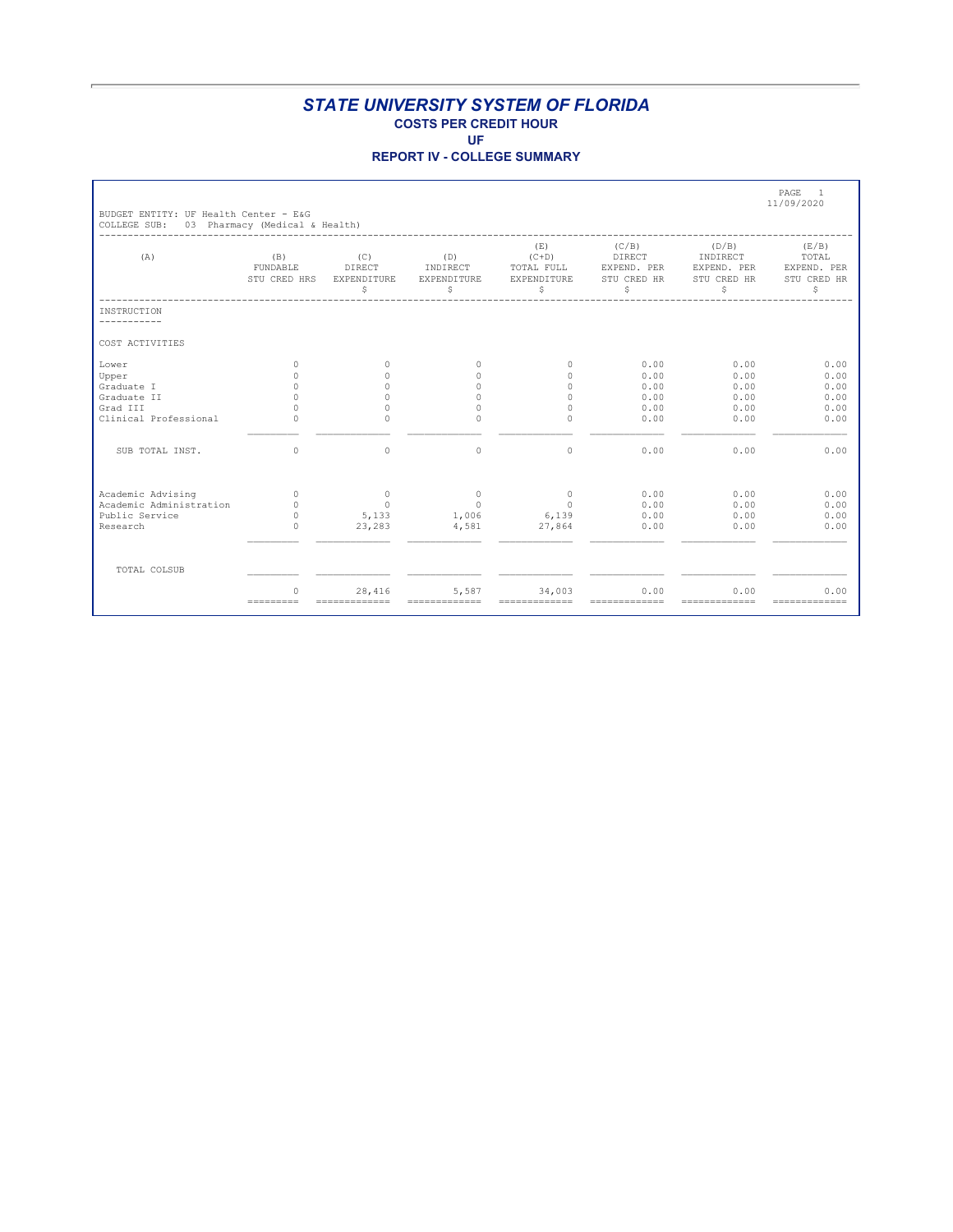#### **REPORT IV - COLLEGE SUMMARY**

| BUDGET ENTITY: UF Health Center - E&G              |                                             |                         |                                                                                                                                                                                                                                                                                                                                                                                                                                                                                                                                                            |                                                                                                                                                                                                                                                                                                                                                                                                                                                                                                  |                                                     |                                                      | PAGE<br>$\overline{1}$<br>11/09/2020              |
|----------------------------------------------------|---------------------------------------------|-------------------------|------------------------------------------------------------------------------------------------------------------------------------------------------------------------------------------------------------------------------------------------------------------------------------------------------------------------------------------------------------------------------------------------------------------------------------------------------------------------------------------------------------------------------------------------------------|--------------------------------------------------------------------------------------------------------------------------------------------------------------------------------------------------------------------------------------------------------------------------------------------------------------------------------------------------------------------------------------------------------------------------------------------------------------------------------------------------|-----------------------------------------------------|------------------------------------------------------|---------------------------------------------------|
| COLLEGE SUB: 03 Pharmacy (Medical & Health)<br>(A) | (B)<br>FUNDABLE<br>STU CRED HRS EXPENDITURE | (C)<br>DIRECT<br>\$     | (D)<br>INDIRECT<br>EXPENDITURE<br>\$                                                                                                                                                                                                                                                                                                                                                                                                                                                                                                                       | (E)<br>$(C+D)$<br>TOTAL FULL<br>EXPENDITURE<br>\$                                                                                                                                                                                                                                                                                                                                                                                                                                                | (C/B)<br>DIRECT<br>EXPEND. PER<br>STU CRED HR<br>\$ | (D/B)<br>INDIRECT<br>EXPEND. PER<br>STU CRED HR<br>S | (E/B)<br>TOTAL<br>EXPEND. PER<br>STU CRED HR<br>S |
| INSTRUCTION                                        |                                             |                         |                                                                                                                                                                                                                                                                                                                                                                                                                                                                                                                                                            |                                                                                                                                                                                                                                                                                                                                                                                                                                                                                                  |                                                     |                                                      |                                                   |
| COST ACTIVITIES                                    |                                             |                         |                                                                                                                                                                                                                                                                                                                                                                                                                                                                                                                                                            |                                                                                                                                                                                                                                                                                                                                                                                                                                                                                                  |                                                     |                                                      |                                                   |
| Lower                                              | $\Omega$                                    | $\Omega$                | $\bigcap$                                                                                                                                                                                                                                                                                                                                                                                                                                                                                                                                                  | $\Omega$                                                                                                                                                                                                                                                                                                                                                                                                                                                                                         | 0.00                                                | 0.00                                                 | 0.00                                              |
| Upper                                              | $\cap$                                      | $\cap$                  | $\cap$                                                                                                                                                                                                                                                                                                                                                                                                                                                                                                                                                     | $\cap$                                                                                                                                                                                                                                                                                                                                                                                                                                                                                           | 0.00                                                | 0.00                                                 | 0.00                                              |
| Graduate I                                         | $\cap$                                      | $\cap$                  | $\cap$                                                                                                                                                                                                                                                                                                                                                                                                                                                                                                                                                     | $\cap$                                                                                                                                                                                                                                                                                                                                                                                                                                                                                           | 0.00                                                | 0.00                                                 | 0.00                                              |
| Graduate II                                        | $\cap$                                      | $\cap$                  | $\cap$                                                                                                                                                                                                                                                                                                                                                                                                                                                                                                                                                     | $\Omega$                                                                                                                                                                                                                                                                                                                                                                                                                                                                                         | 0.00                                                | 0.00                                                 | 0.00                                              |
| Grad III                                           | $\cap$                                      | $\cap$                  | $\cap$                                                                                                                                                                                                                                                                                                                                                                                                                                                                                                                                                     | $\Omega$                                                                                                                                                                                                                                                                                                                                                                                                                                                                                         | 0.00                                                | 0.00                                                 | 0.00                                              |
| Clinical Professional                              | $\Omega$                                    | $\Omega$                | $\Omega$                                                                                                                                                                                                                                                                                                                                                                                                                                                                                                                                                   | $\Omega$                                                                                                                                                                                                                                                                                                                                                                                                                                                                                         | 0.00                                                | 0.00                                                 | 0.00                                              |
| SUB TOTAL INST.                                    | $\Omega$                                    | $\Omega$                | $\Omega$                                                                                                                                                                                                                                                                                                                                                                                                                                                                                                                                                   | $\Omega$                                                                                                                                                                                                                                                                                                                                                                                                                                                                                         | 0.00                                                | 0.00                                                 | 0.00                                              |
| Academic Advising                                  | $\Omega$                                    | $\sim$ 0                | $\sim$ 0                                                                                                                                                                                                                                                                                                                                                                                                                                                                                                                                                   | $\Omega$                                                                                                                                                                                                                                                                                                                                                                                                                                                                                         | 0.00                                                | 0.00                                                 | 0.00                                              |
| Academic Administration                            | $\cap$                                      | $\Omega$                | $\Omega$                                                                                                                                                                                                                                                                                                                                                                                                                                                                                                                                                   | $\Omega$                                                                                                                                                                                                                                                                                                                                                                                                                                                                                         | 0.00                                                | 0.00                                                 | 0.00                                              |
| Public Service                                     | $\Omega$                                    | 5,133                   |                                                                                                                                                                                                                                                                                                                                                                                                                                                                                                                                                            | 1,006 6,139                                                                                                                                                                                                                                                                                                                                                                                                                                                                                      | 0.00                                                | 0.00                                                 | 0.00                                              |
| Research                                           | $\Omega$                                    | 23,283                  | 4,581                                                                                                                                                                                                                                                                                                                                                                                                                                                                                                                                                      | 27,864                                                                                                                                                                                                                                                                                                                                                                                                                                                                                           | 0.00                                                | 0.00                                                 | 0.00                                              |
| TOTAL COLSUB                                       |                                             |                         |                                                                                                                                                                                                                                                                                                                                                                                                                                                                                                                                                            |                                                                                                                                                                                                                                                                                                                                                                                                                                                                                                  |                                                     |                                                      |                                                   |
|                                                    |                                             | 28,416<br>============= | 5,587<br>$\begin{array}{cccccccccc} \multicolumn{2}{c}{{\color{red}\boldsymbol{=}}} & \multicolumn{2}{c}{{\color{red}\boldsymbol{=}}} & \multicolumn{2}{c}{{\color{red}\boldsymbol{=}}} & \multicolumn{2}{c}{{\color{red}\boldsymbol{=}}} & \multicolumn{2}{c}{{\color{red}\boldsymbol{=}}} & \multicolumn{2}{c}{{\color{red}\boldsymbol{=}}} & \multicolumn{2}{c}{{\color{red}\boldsymbol{=}}} & \multicolumn{2}{c}{{\color{red}\boldsymbol{=}}} & \multicolumn{2}{c}{{\color{red}\boldsymbol{=}}} & \multicolumn{2}{c}{{\color{red}\boldsymbol{=}}} & \$ | 34,003<br>$\begin{array}{cccccccccccccc} \multicolumn{2}{c}{} & \multicolumn{2}{c}{} & \multicolumn{2}{c}{} & \multicolumn{2}{c}{} & \multicolumn{2}{c}{} & \multicolumn{2}{c}{} & \multicolumn{2}{c}{} & \multicolumn{2}{c}{} & \multicolumn{2}{c}{} & \multicolumn{2}{c}{} & \multicolumn{2}{c}{} & \multicolumn{2}{c}{} & \multicolumn{2}{c}{} & \multicolumn{2}{c}{} & \multicolumn{2}{c}{} & \multicolumn{2}{c}{} & \multicolumn{2}{c}{} & \multicolumn{2}{c}{} & \multicolumn{2}{c}{} & \$ | 0.00<br>=============                               | 0.00<br>=============                                | 0.00<br>=============                             |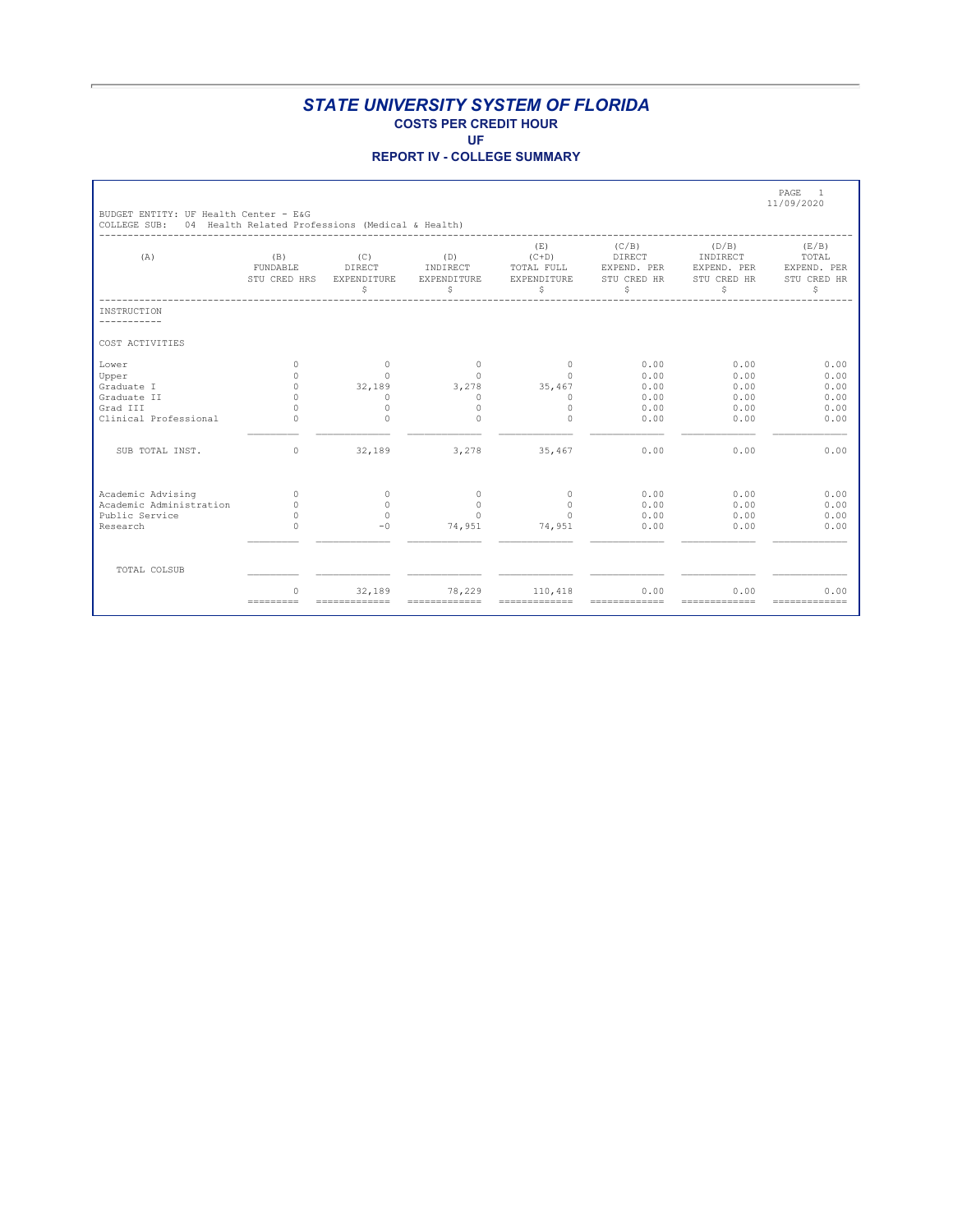#### **REPORT IV - COLLEGE SUMMARY**

| BUDGET ENTITY: UF Health Center - E&G |                                                                                     |                                   |                                     |                                                  |                                                    |                                                       | <b>PAGE</b><br>$\overline{1}$<br>11/09/2020       |
|---------------------------------------|-------------------------------------------------------------------------------------|-----------------------------------|-------------------------------------|--------------------------------------------------|----------------------------------------------------|-------------------------------------------------------|---------------------------------------------------|
| COLLEGE SUB:<br>(A)                   | 04 Health Related Professions (Medical & Health)<br>(B)<br>FUNDABLE<br>STU CRED HRS | (C)<br>DIRECT<br>EXPENDITURE<br>S | (D)<br>INDIRECT<br>EXPENDITURE<br>S | (E)<br>$(C+D)$<br>TOTAL FULL<br>EXPENDITURE<br>S | (C/B)<br>DIRECT<br>EXPEND. PER<br>STU CRED HR<br>S | (D/B)<br>INDIRECT<br>EXPEND. PER<br>STU CRED HR<br>Ŝ. | (E/B)<br>TOTAL<br>EXPEND. PER<br>STU CRED HR<br>S |
| INSTRUCTION                           |                                                                                     |                                   |                                     |                                                  |                                                    |                                                       |                                                   |
| COST ACTIVITIES                       |                                                                                     |                                   |                                     |                                                  |                                                    |                                                       |                                                   |
| Lower                                 | $\Omega$                                                                            | $\circ$                           | $\Omega$                            | $\Omega$                                         | 0.00                                               | 0.00                                                  | 0.00                                              |
| Upper                                 | $\cap$                                                                              | $\Omega$                          | $\Omega$                            | $\Omega$                                         | 0.00                                               | 0.00                                                  | 0.00                                              |
| Graduate I                            | $\circ$                                                                             | 32,189                            | 3,278                               | 35,467                                           | 0.00                                               | 0.00                                                  | 0.00                                              |
| Graduate II                           | $\Omega$<br>$\Omega$                                                                | $\circ$                           | $\circ$                             | $\circ$                                          | 0.00                                               | 0.00                                                  | 0.00                                              |
| Grad III<br>Clinical Professional     | $\Omega$                                                                            | $\Omega$<br>$\Omega$              | $\Omega$<br>$\Omega$                | $\Omega$<br>$\Omega$                             | 0.00<br>0.00                                       | 0.00<br>0.00                                          | 0.00<br>0.00                                      |
| SUB TOTAL INST.                       | $\Omega$                                                                            | 32,189                            | 3,278                               | 35,467                                           | 0.00                                               | 0.00                                                  | 0.00                                              |
| Academic Advising                     | $\Omega$                                                                            | $\Omega$                          | $\Omega$                            | $\Omega$                                         | 0.00                                               | 0.00                                                  | 0.00                                              |
| Academic Administration               | $\cap$                                                                              | $\Omega$                          | $\cap$                              | $\Omega$                                         | 0.00                                               | 0.00                                                  | 0.00                                              |
| Public Service                        | $\Omega$                                                                            | $\bigcirc$                        | $\cap$                              | $\Omega$                                         | 0.00                                               | 0.00                                                  | 0.00                                              |
| Research                              | $\cap$                                                                              | $-0$                              | 74,951                              | 74,951                                           | 0.00                                               | 0.00                                                  | 0.00                                              |
| TOTAL COLSUB                          |                                                                                     |                                   |                                     |                                                  |                                                    |                                                       |                                                   |
|                                       | 0<br>---------                                                                      | 32,189<br>-------------           | 78,229<br>============              | 110,418<br>-------------                         | 0.00<br>-------------                              | 0.00<br>=============                                 | 0.00<br>-------------                             |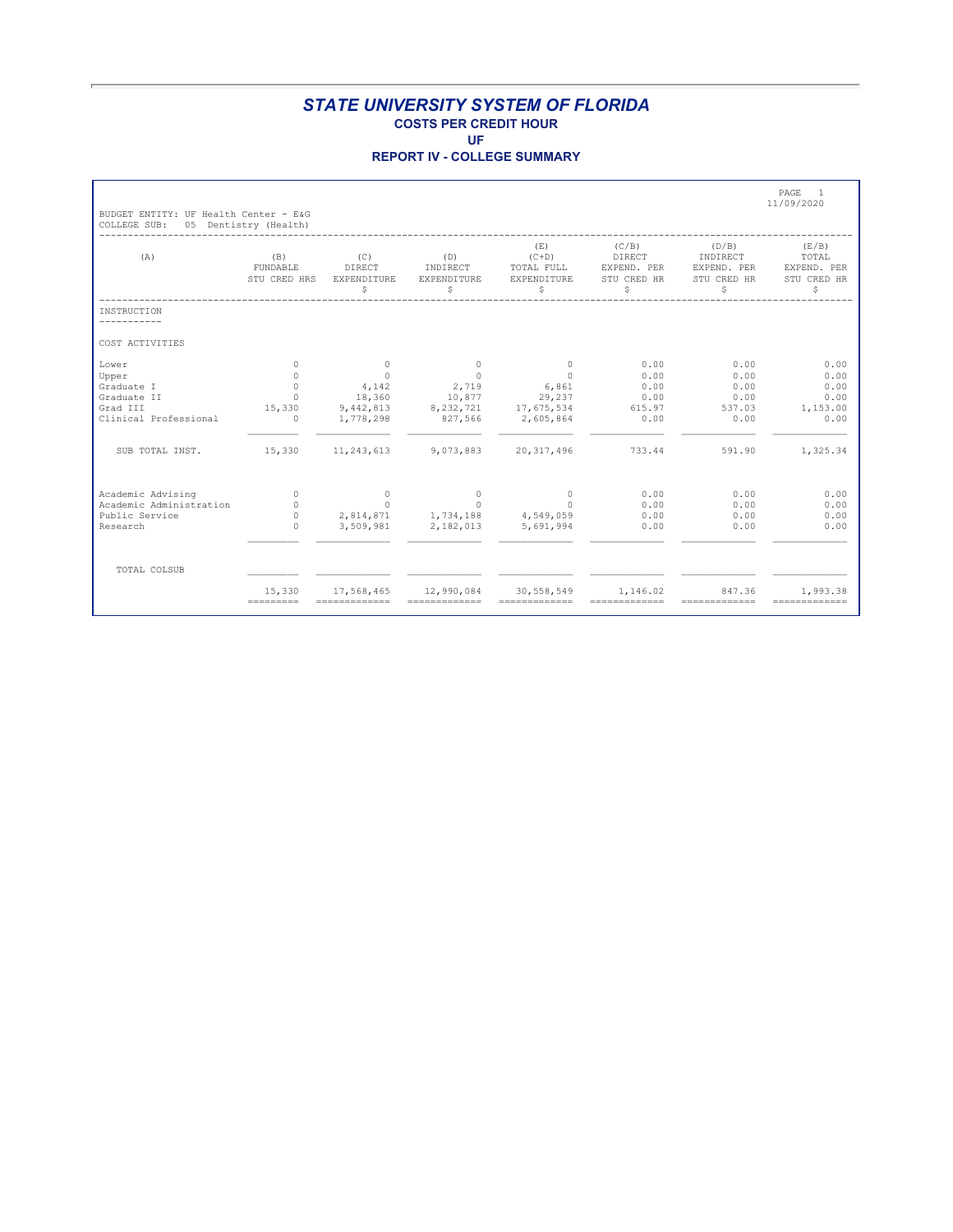#### **REPORT IV - COLLEGE SUMMARY**

|                                                       |                                 |                                    |                                      |                                                   |                                                     |                                                      | PAGE<br>$\overline{1}$<br>11/09/2020              |
|-------------------------------------------------------|---------------------------------|------------------------------------|--------------------------------------|---------------------------------------------------|-----------------------------------------------------|------------------------------------------------------|---------------------------------------------------|
| BUDGET ENTITY: UF Health Center - E&G<br>COLLEGE SUB: | 05 Dentistry (Health)           |                                    |                                      |                                                   |                                                     |                                                      |                                                   |
| (A)                                                   | (B)<br>FUNDABLE<br>STU CRED HRS | (C)<br>DIRECT<br>EXPENDITURE<br>\$ | (D)<br>INDIRECT<br>EXPENDITURE<br>\$ | (E)<br>$(C+D)$<br>TOTAL FULL<br>EXPENDITURE<br>\$ | (C/B)<br>DIRECT<br>EXPEND. PER<br>STU CRED HR<br>\$ | (D/B)<br>INDIRECT<br>EXPEND. PER<br>STU CRED HR<br>Ŝ | (E/B)<br>TOTAL<br>EXPEND. PER<br>STU CRED HR<br>S |
| INSTRUCTION                                           |                                 |                                    |                                      |                                                   |                                                     |                                                      |                                                   |
| COST ACTIVITIES                                       |                                 |                                    |                                      |                                                   |                                                     |                                                      |                                                   |
| Lower<br>Upper<br>Graduate I                          | $\circ$<br>$\Omega$<br>$\circ$  | $\circ$<br>$\Omega$<br>4,142       | $\circ$<br>$\Omega$<br>2,719         | $\circ$<br>$\Omega$<br>6,861                      | 0.00<br>0.00<br>0.00                                | 0.00<br>0.00<br>0.00                                 | 0.00<br>0.00<br>0.00                              |
| Graduate II<br>Grad III                               | $\Omega$<br>15,330              | 18,360<br>9,442,813                | 10,877                               | 29,237<br>8, 232, 721 17, 675, 534                | 0.00<br>615.97                                      | 0.00<br>537.03                                       | 0.00<br>1,153.00                                  |
| Clinical Professional                                 | $\circ$                         | 1,778,298                          | 827,566                              | 2,605,864                                         | 0.00                                                | 0.00                                                 | 0.00                                              |
| SUB TOTAL INST.                                       | 15,330                          | 11, 243, 613                       | 9,073,883                            | 20, 317, 496                                      | 733.44                                              | 591.90                                               | 1,325.34                                          |
| Academic Advising                                     | $\circ$                         | $\circ$                            | $\circ$                              | $\circ$                                           | 0.00                                                | 0.00                                                 | 0.00                                              |
| Academic Administration<br>Public Service             | $\circ$<br>$\Omega$             | $\Omega$                           | 2,814,871 1,734,188                  | $\cap$<br>4,549,059                               | 0.00<br>0.00                                        | 0.00<br>0.00                                         | 0.00<br>0.00                                      |
| Research                                              | $\Omega$                        | 3,509,981                          | 2,182,013                            | 5,691,994                                         | 0.00                                                | 0.00                                                 | 0.00                                              |
| TOTAL COLSUB                                          |                                 |                                    |                                      |                                                   |                                                     |                                                      |                                                   |
|                                                       | 15,330<br>=========             | 17,568,465<br>=============        | 12,990,084<br>=============          | 30,558,549<br>-------------                       | 1,146.02<br>-------------                           | 847.36<br>_____________                              | 1,993.38<br>=============                         |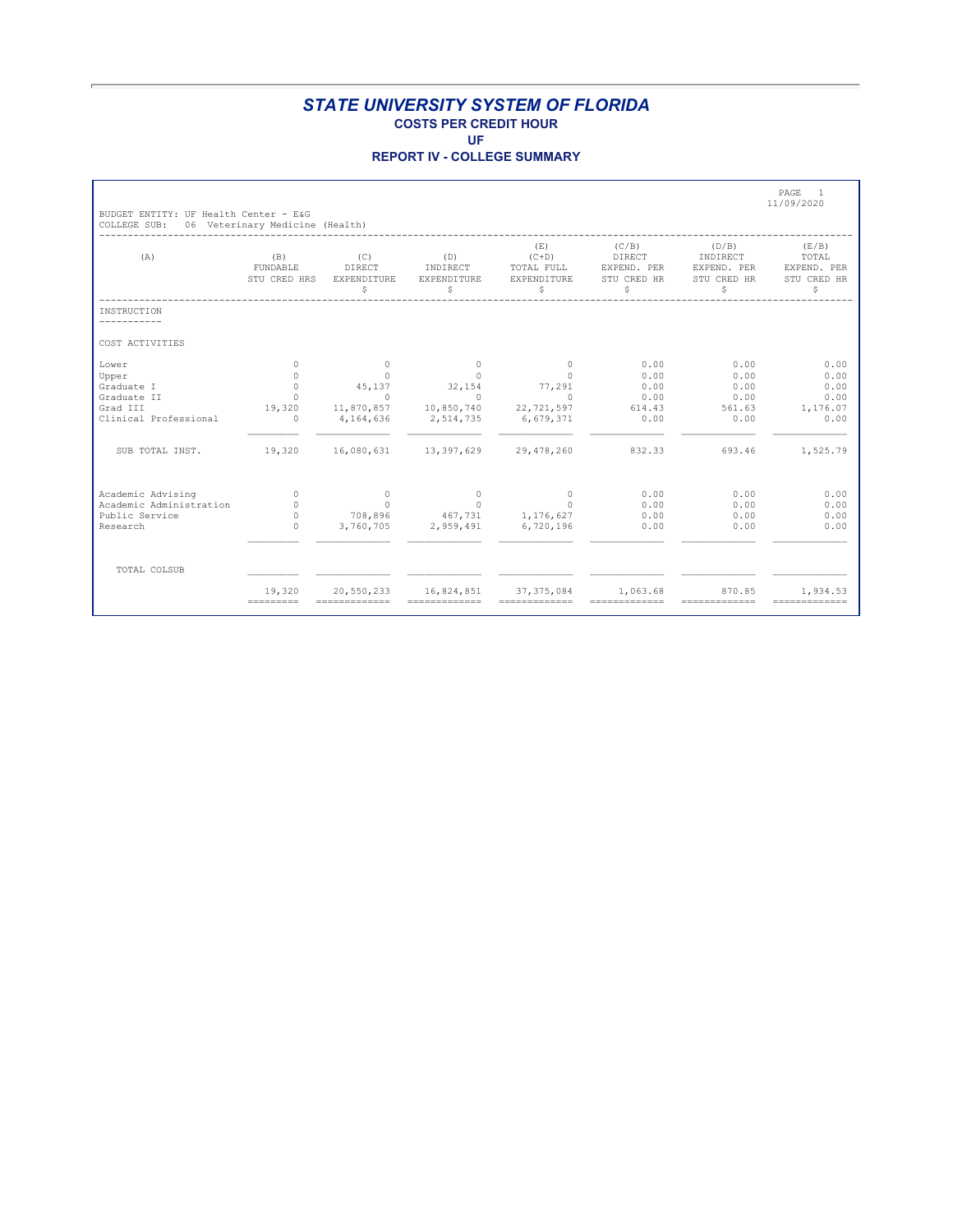#### **REPORT IV - COLLEGE SUMMARY**

| BUDGET ENTITY: UF Health Center - E&G |                                 |                                                                                         |                                        |                                                   |                                                     |                                                       | PAGE<br>$\overline{1}$<br>11/09/2020              |
|---------------------------------------|---------------------------------|-----------------------------------------------------------------------------------------|----------------------------------------|---------------------------------------------------|-----------------------------------------------------|-------------------------------------------------------|---------------------------------------------------|
| COLLEGE SUB:                          | 06 Veterinary Medicine (Health) |                                                                                         |                                        |                                                   |                                                     |                                                       |                                                   |
| (A)                                   | (B)<br>FUNDABLE<br>STU CRED HRS | (C)<br>DIRECT<br>EXPENDITURE<br>\$                                                      | (D)<br>INDIRECT<br>EXPENDITURE<br>\$   | (E)<br>$(C+D)$<br>TOTAL FULL<br>EXPENDITURE<br>\$ | (C/B)<br>DIRECT<br>EXPEND. PER<br>STU CRED HR<br>\$ | (D/B)<br>INDIRECT<br>EXPEND, PER<br>STU CRED HR<br>\$ | (E/B)<br>TOTAL<br>EXPEND. PER<br>STU CRED HR<br>S |
| INSTRUCTION                           |                                 |                                                                                         |                                        |                                                   |                                                     |                                                       |                                                   |
| COST ACTIVITIES                       |                                 |                                                                                         |                                        |                                                   |                                                     |                                                       |                                                   |
| Lower                                 | $\circ$                         | $^{\circ}$                                                                              | $\circ$                                | $\circ$                                           | 0.00                                                | 0.00                                                  | 0.00                                              |
| Upper                                 | $\Omega$                        | $\Omega$                                                                                | $\Omega$                               | $\Omega$                                          | 0.00                                                | 0.00                                                  | 0.00                                              |
| Graduate I                            | $\circ$<br>$\Omega$             | 45,137                                                                                  | 32,154                                 | 77,291                                            | 0.00                                                | 0.00                                                  | 0.00                                              |
| Graduate II<br>Grad III               | 19,320                          | $\circ$                                                                                 | $\bigcirc$                             | $\Omega$                                          | 0.00<br>614.43                                      | 0.00<br>561.63                                        | 0.00                                              |
| Clinical Professional                 | $\overline{0}$                  | 11,870,857 10,850,740<br>4,164,636                                                      | 2,514,735                              | 22,721,597<br>6,679,371                           | 0.00                                                | 0.00                                                  | 1,176.07<br>0.00                                  |
|                                       |                                 |                                                                                         |                                        |                                                   |                                                     |                                                       |                                                   |
| SUB TOTAL INST.                       | 19,320                          |                                                                                         | 16,080,631 13,397,629 29,478,260       |                                                   | 832.33                                              | 693.46                                                | 1,525.79                                          |
| Academic Advising                     | $\circ$                         | $\sim$ 0                                                                                | $\sim$ 0                               | $\Omega$                                          | 0.00                                                | 0.00                                                  | 0.00                                              |
| Academic Administration               | $\Omega$                        | $\Omega$                                                                                | $\Omega$                               | $\Omega$                                          | 0.00                                                | 0.00                                                  | 0.00                                              |
| Public Service                        | $\Omega$                        |                                                                                         | 708,896 467,731 1,176,627              |                                                   | 0.00                                                | 0.00                                                  | 0.00                                              |
| Research                              | $\Omega$                        | 3,760,705                                                                               | 2,959,491                              | 6,720,196                                         | 0.00                                                | 0.00                                                  | 0.00                                              |
|                                       |                                 |                                                                                         |                                        |                                                   |                                                     |                                                       |                                                   |
| TOTAL COLSUB                          |                                 |                                                                                         |                                        |                                                   |                                                     |                                                       |                                                   |
|                                       | 19,320<br>=========             | $\begin{array}{cccccccccc} = & = & = & = & = & = & = & = & = & = & = & = & \end{array}$ | 20,550,233 16,824,851<br>============= | 37, 375, 084<br>=============                     | 1,063.68<br>-------------                           | 870.85<br>=============                               | 1,934.53<br>=============                         |
|                                       |                                 |                                                                                         |                                        |                                                   |                                                     |                                                       |                                                   |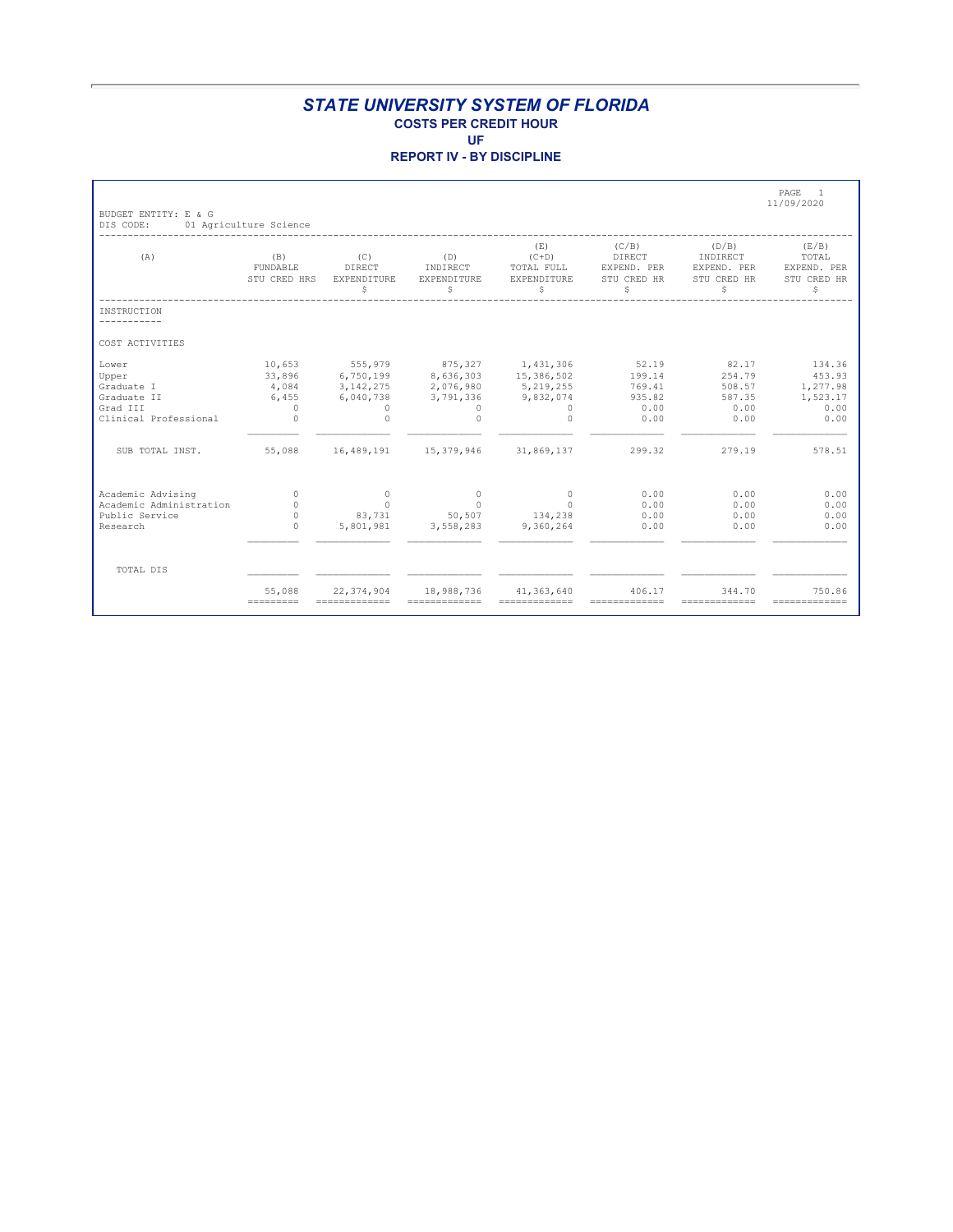**REPORT IV - BY DISCIPLINE**

| BUDGET ENTITY: E & G                                                             |                                                              |                                                                                                                                                                                                                                                                                                                                                                                                                                                                                                        |                                                                                                       |                                                           |                                                     |                                                       | PAGE<br>$\overline{1}$<br>11/09/2020                     |
|----------------------------------------------------------------------------------|--------------------------------------------------------------|--------------------------------------------------------------------------------------------------------------------------------------------------------------------------------------------------------------------------------------------------------------------------------------------------------------------------------------------------------------------------------------------------------------------------------------------------------------------------------------------------------|-------------------------------------------------------------------------------------------------------|-----------------------------------------------------------|-----------------------------------------------------|-------------------------------------------------------|----------------------------------------------------------|
| DIS CODE:<br>(A)                                                                 | 01 Agriculture Science<br>(B)<br>FUNDABLE<br>STU CRED HRS    | (C)<br>DIRECT<br>EXPENDITURE<br>\$                                                                                                                                                                                                                                                                                                                                                                                                                                                                     | (D)<br>INDIRECT<br>EXPENDITURE<br>\$                                                                  | (E)<br>$(C+D)$<br>TOTAL FULL<br>EXPENDITURE<br>S          | (C/B)<br>DIRECT<br>EXPEND. PER<br>STU CRED HR<br>\$ | (D/B)<br>INDIRECT<br>EXPEND. PER<br>STU CRED HR<br>\$ | (E/B)<br>TOTAL<br>EXPEND. PER<br>STU CRED HR<br>S        |
| INSTRUCTION                                                                      |                                                              |                                                                                                                                                                                                                                                                                                                                                                                                                                                                                                        |                                                                                                       |                                                           |                                                     |                                                       |                                                          |
| COST ACTIVITIES                                                                  |                                                              |                                                                                                                                                                                                                                                                                                                                                                                                                                                                                                        |                                                                                                       |                                                           |                                                     |                                                       |                                                          |
| Lower<br>Upper<br>Graduate I<br>Graduate II<br>Grad III<br>Clinical Professional | 10,653<br>33,896<br>4,084<br>6,455<br>$\bigcirc$<br>$\Omega$ | 555,979<br>6,750,199<br>3, 142, 275<br>6,040,738<br>$\Omega$<br>$\Omega$                                                                                                                                                                                                                                                                                                                                                                                                                               | 875, 327 1, 431, 306<br>2,076,980 5,219,255<br>3,791,336<br>$\Omega$<br>$\Omega$                      | 8,636,303 15,386,502<br>9,832,074<br>$\Omega$<br>$\Omega$ | 52.19<br>199.14<br>769.41<br>935.82<br>0.00<br>0.00 | 82.17<br>254.79<br>508.57<br>587.35<br>0.00<br>0.00   | 134.36<br>453.93<br>1,277.98<br>1,523.17<br>0.00<br>0.00 |
| SUB TOTAL INST.                                                                  | 55,088                                                       | 16,489,191                                                                                                                                                                                                                                                                                                                                                                                                                                                                                             |                                                                                                       | 15,379,946 31,869,137                                     | 299.32                                              | 279.19                                                | 578.51                                                   |
| Academic Advising<br>Academic Administration<br>Public Service<br>Research       | $\Omega$<br>$\cap$<br>$\Omega$<br>$\Omega$                   | $\Omega$<br>$\Omega$<br>83,731<br>5,801,981                                                                                                                                                                                                                                                                                                                                                                                                                                                            | $\Omega$<br>$\Omega$<br>50,507<br>3,558,283                                                           | $\circ$<br>$\Omega$<br>134,238<br>9,360,264               | 0.00<br>0.00<br>0.00<br>0.00                        | 0.00<br>0.00<br>0.00<br>0.00                          | 0.00<br>0.00<br>0.00<br>0.00                             |
| TOTAL DIS                                                                        |                                                              |                                                                                                                                                                                                                                                                                                                                                                                                                                                                                                        |                                                                                                       |                                                           |                                                     |                                                       |                                                          |
|                                                                                  | 55,088                                                       | 22, 374, 904<br>$\begin{array}{cccccccccc} \multicolumn{2}{c}{} & \multicolumn{2}{c}{} & \multicolumn{2}{c}{} & \multicolumn{2}{c}{} & \multicolumn{2}{c}{} & \multicolumn{2}{c}{} & \multicolumn{2}{c}{} & \multicolumn{2}{c}{} & \multicolumn{2}{c}{} & \multicolumn{2}{c}{} & \multicolumn{2}{c}{} & \multicolumn{2}{c}{} & \multicolumn{2}{c}{} & \multicolumn{2}{c}{} & \multicolumn{2}{c}{} & \multicolumn{2}{c}{} & \multicolumn{2}{c}{} & \multicolumn{2}{c}{} & \multicolumn{2}{c}{} & \mult$ | 18,988,736<br>$\begin{array}{cccccccccc} = & = & = & = & = & = & = & = & = & = & = & = & \end{array}$ | 41,363,640<br>$=$ = = = = = = = = = = = = =               | 406.17<br>=============                             | 344.70<br>=============                               | 750.86<br>=============                                  |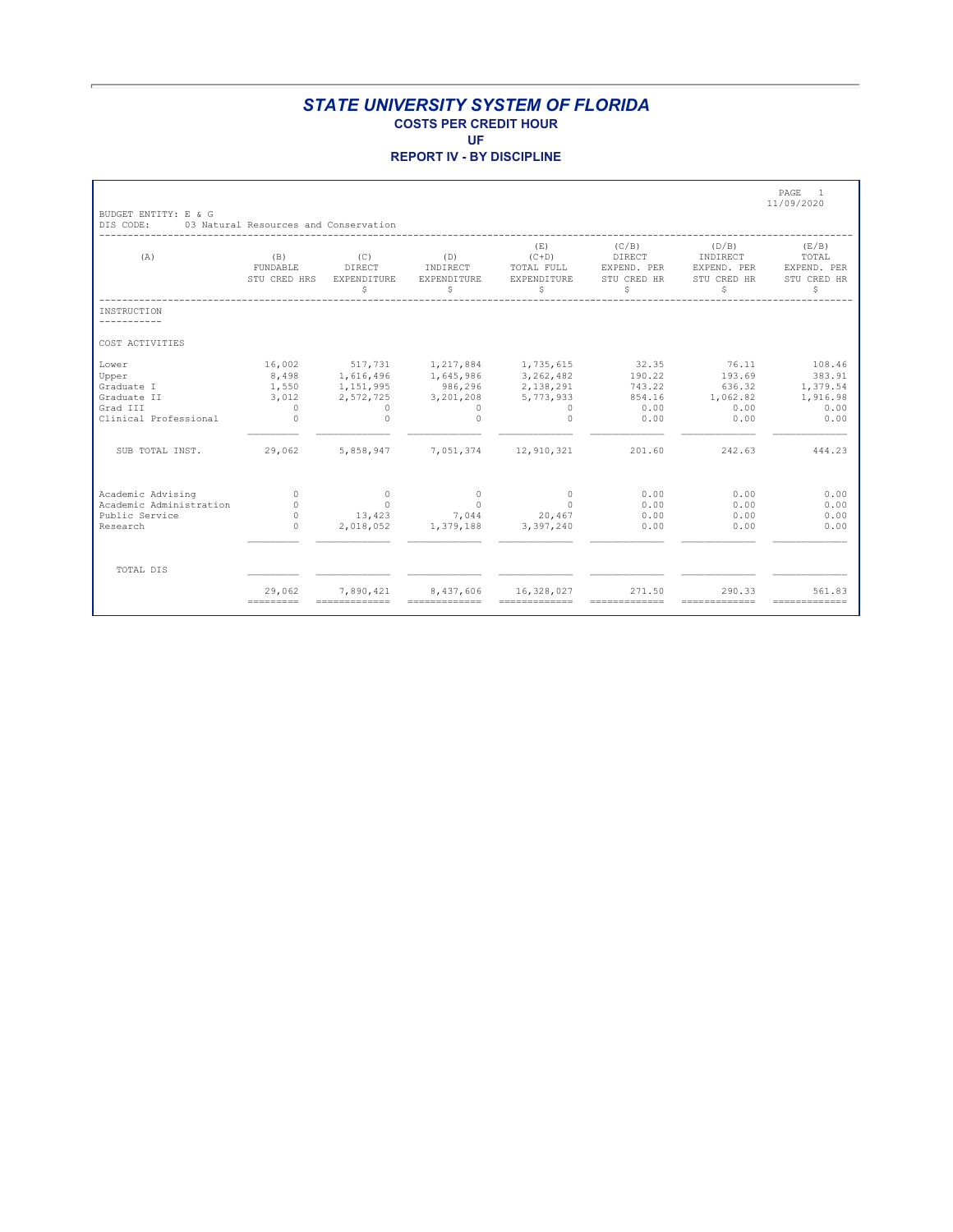**REPORT IV - BY DISCIPLINE**

|                                                           |                                             |                                                                            |                                                               |                                                     |                                                       | PAGE<br>$\overline{1}$<br>11/09/2020                     |
|-----------------------------------------------------------|---------------------------------------------|----------------------------------------------------------------------------|---------------------------------------------------------------|-----------------------------------------------------|-------------------------------------------------------|----------------------------------------------------------|
|                                                           |                                             |                                                                            |                                                               |                                                     |                                                       |                                                          |
| (B)<br>FUNDABLE<br>STU CRED HRS                           | (C)<br>DIRECT<br>EXPENDITURE<br>\$          | (D)<br>INDIRECT<br>EXPENDITURE<br>\$                                       | (E)<br>$(C+D)$<br>TOTAL FULL<br>EXPENDITURE<br>S              | (C/B)<br>DIRECT<br>EXPEND. PER<br>STU CRED HR<br>\$ | (D/B)<br>INDIRECT<br>EXPEND. PER<br>STU CRED HR<br>S  | (E/B)<br>TOTAL<br>EXPEND. PER<br>STU CRED HR<br>S        |
|                                                           |                                             |                                                                            |                                                               |                                                     |                                                       |                                                          |
|                                                           |                                             |                                                                            |                                                               |                                                     |                                                       |                                                          |
| 16,002<br>8,498<br>1,550<br>3,012<br>$\Omega$<br>$\Omega$ | 2,572,725<br>$\Omega$<br>$\Omega$           | 3,201,208<br>$\circ$<br>$\bigcap$                                          | 3, 262, 482<br>2,138,291<br>5,773,933<br>$\Omega$<br>$\Omega$ | 32.35<br>190.22<br>743.22<br>854.16<br>0.00<br>0.00 | 76.11<br>193.69<br>636.32<br>1,062.82<br>0.00<br>0.00 | 108.46<br>383.91<br>1,379.54<br>1,916.98<br>0.00<br>0.00 |
| 29,062                                                    | 5,858,947                                   |                                                                            |                                                               | 201.60                                              | 242.63                                                | 444.23                                                   |
| $\Omega$<br>$\Omega$<br>$\Omega$<br>$\Omega$              | $\Omega$<br>$\Omega$<br>13,423<br>2,018,052 | $\Omega$<br>$\Omega$<br>7,044                                              | $\Omega$<br>$\Omega$<br>20,467<br>3,397,240                   | 0.00<br>0.00<br>0.00<br>0.00                        | 0.00<br>0.00<br>0.00<br>0.00                          | 0.00<br>0.00<br>0.00<br>0.00                             |
|                                                           |                                             |                                                                            |                                                               |                                                     |                                                       |                                                          |
| 29,062<br>=========                                       | 7,890,421                                   | 8,437,606<br>=============                                                 | 16,328,027<br>=============                                   | 271.50<br>-------------                             | 290.33<br>=============                               | 561.83<br>$=$ = = = = = = = = = = = = =                  |
|                                                           |                                             | 03 Natural Resources and Conservation<br>517,731<br>1,616,496<br>1,151,995 | 1,645,986<br>986,296<br>1,379,188                             | 1,217,884 1,735,615<br>7,051,374 12,910,321         |                                                       |                                                          |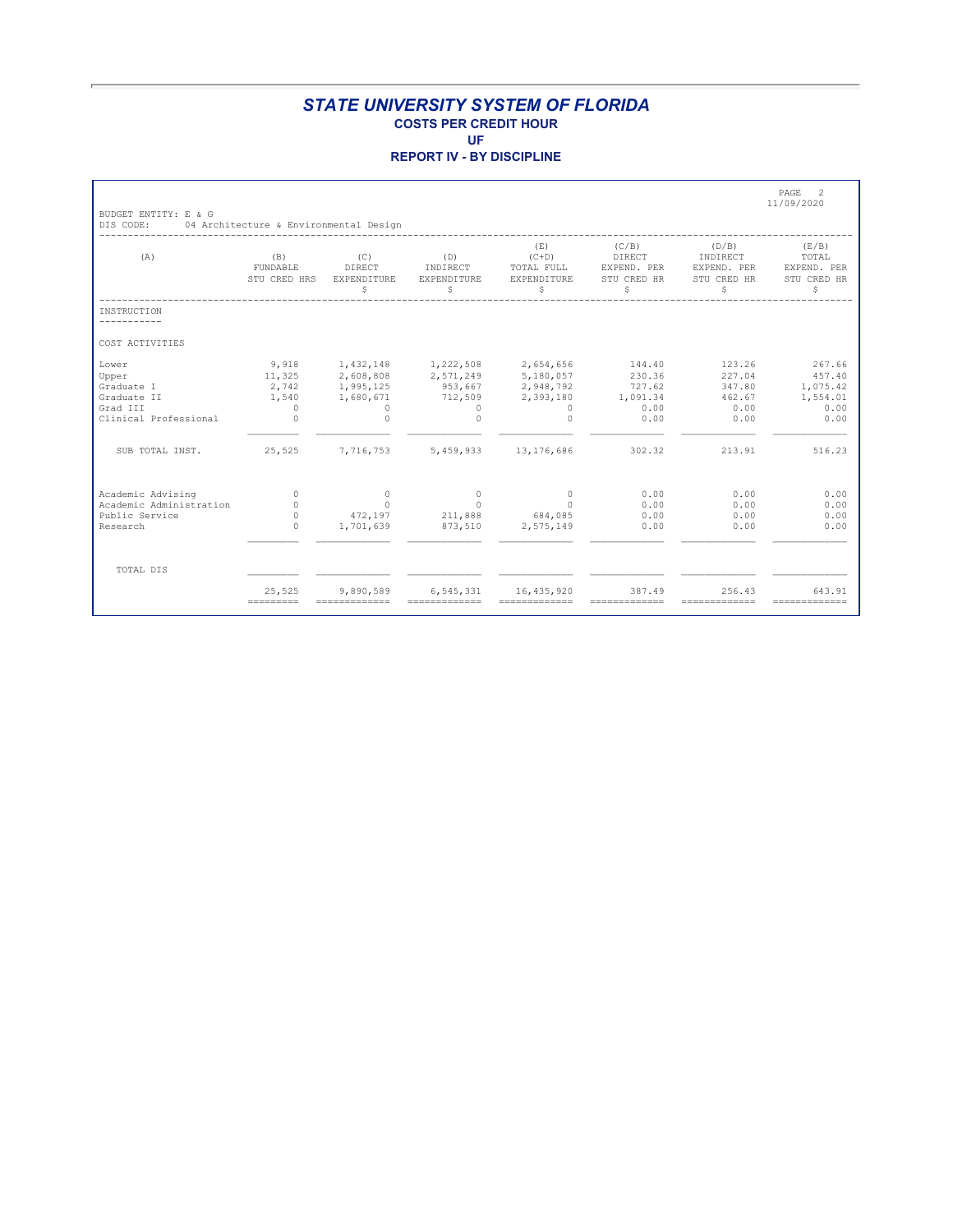**REPORT IV - BY DISCIPLINE**

| BUDGET ENTITY: E & G                                                             |                                                                           |                                                                          |                                                                      |                                                                          |                                                        |                                                      | PAGE<br>$\mathcal{P}$<br>11/09/2020                      |
|----------------------------------------------------------------------------------|---------------------------------------------------------------------------|--------------------------------------------------------------------------|----------------------------------------------------------------------|--------------------------------------------------------------------------|--------------------------------------------------------|------------------------------------------------------|----------------------------------------------------------|
| DIS CODE:<br>(A)                                                                 | 04 Architecture & Environmental Design<br>(B)<br>FUNDABLE<br>STU CRED HRS | (C)<br>DIRECT<br>EXPENDITURE<br>\$                                       | (D)<br>INDIRECT<br>EXPENDITURE<br>\$                                 | (E)<br>$(C+D)$<br>TOTAL FULL<br>EXPENDITURE<br>S                         | (C/B)<br>DIRECT<br>EXPEND. PER<br>STU CRED HR<br>\$    | (D/B)<br>INDIRECT<br>EXPEND. PER<br>STU CRED HR<br>S | (E/B)<br>TOTAL<br>EXPEND. PER<br>STU CRED HR<br>S        |
| INSTRUCTION                                                                      |                                                                           |                                                                          |                                                                      |                                                                          |                                                        |                                                      |                                                          |
| COST ACTIVITIES                                                                  |                                                                           |                                                                          |                                                                      |                                                                          |                                                        |                                                      |                                                          |
| Lower<br>Upper<br>Graduate I<br>Graduate II<br>Grad TTT<br>Clinical Professional | 9,918<br>11,325<br>2,742<br>1,540<br>$\Omega$<br>$\Omega$                 | 1,432,148<br>2,608,808<br>1,995,125<br>1,680,671<br>$\Omega$<br>$\Omega$ | 1,222,508<br>2,571,249<br>953,667<br>712,509<br>$\Omega$<br>$\Omega$ | 2,654,656<br>5,180,057<br>2,948,792<br>2,393,180<br>$\Omega$<br>$\Omega$ | 144.40<br>230.36<br>727.62<br>1,091.34<br>0.00<br>0.00 | 123.26<br>227.04<br>347.80<br>462.67<br>0.00<br>0.00 | 267.66<br>457.40<br>1,075.42<br>1,554.01<br>0.00<br>0.00 |
| SUB TOTAL INST.                                                                  | 25,525                                                                    | 7,716,753                                                                | 5,459,933                                                            | 13,176,686                                                               | 302.32                                                 | 213.91                                               | 516.23                                                   |
| Academic Advising<br>Academic Administration<br>Public Service<br>Research       | $\Omega$<br>$\Omega$<br>$\Omega$<br>$\Omega$                              | $\circ$<br>$\Omega$<br>472,197<br>1,701,639                              | $\Omega$<br>$\Omega$<br>211,888<br>873,510                           | $\circ$<br>$\Omega$<br>684,085<br>2,575,149                              | 0.00<br>0.00<br>0.00<br>0.00                           | 0.00<br>0.00<br>0.00<br>0.00                         | 0.00<br>0.00<br>0.00<br>0.00                             |
| TOTAL DIS                                                                        |                                                                           |                                                                          |                                                                      |                                                                          |                                                        |                                                      |                                                          |
|                                                                                  | 25,525<br>$=$ = = = = = = = = =                                           | 9,890,589<br>=============                                               | 6,545,331<br>=============                                           | 16,435,920<br>-------------                                              | 387.49<br>-------------                                | 256.43<br>=============                              | 643.91<br>$=$ = = = = = = = = = = = = =                  |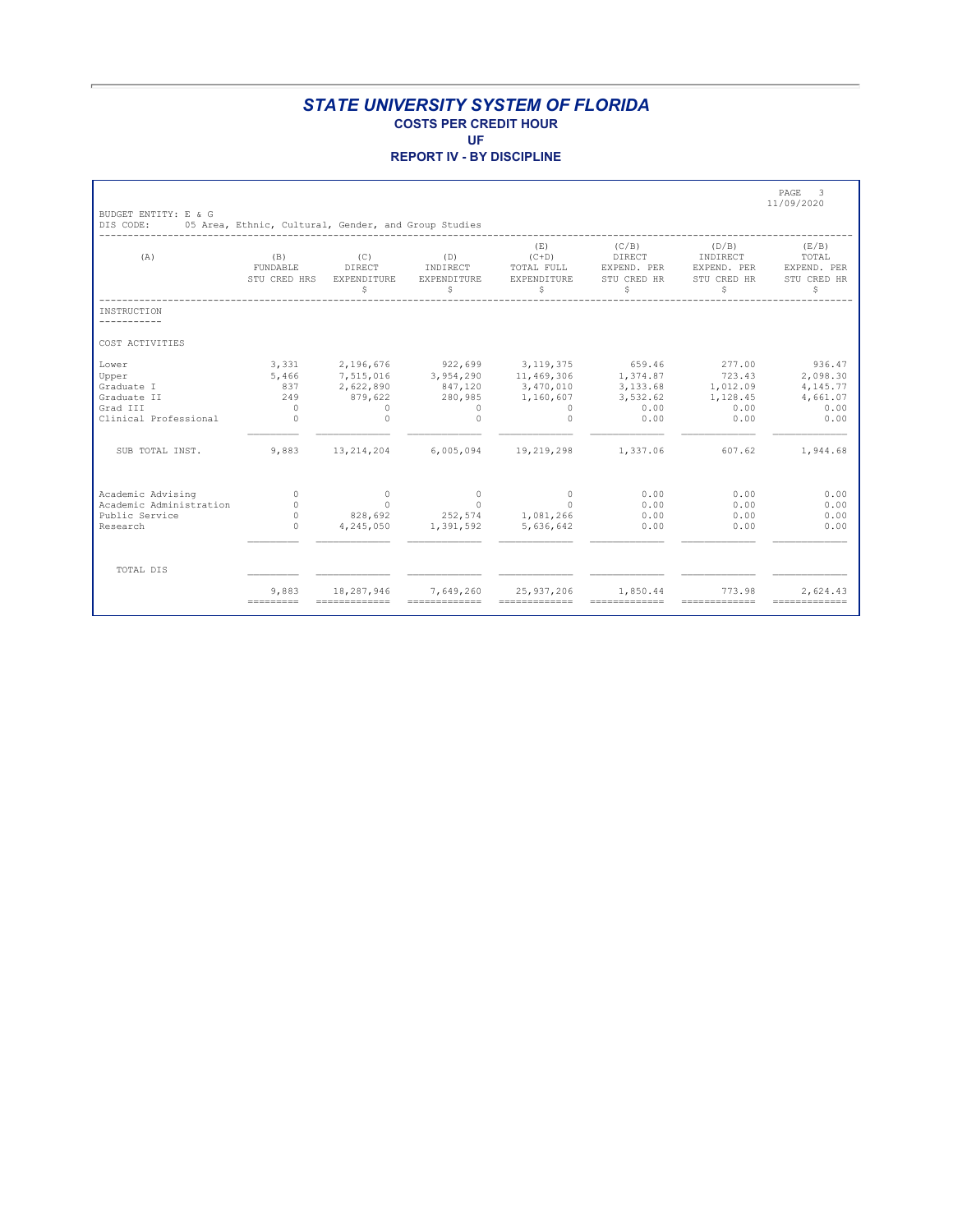|                                                                                  |                                                      |                                                                                   |                                                                                         |                                                   |                                                                   |                                                       | PAGE 3<br>11/09/2020                                       |
|----------------------------------------------------------------------------------|------------------------------------------------------|-----------------------------------------------------------------------------------|-----------------------------------------------------------------------------------------|---------------------------------------------------|-------------------------------------------------------------------|-------------------------------------------------------|------------------------------------------------------------|
| BUDGET ENTITY: E & G<br>DIS CODE:                                                | 05 Area, Ethnic, Cultural, Gender, and Group Studies |                                                                                   |                                                                                         |                                                   |                                                                   |                                                       |                                                            |
| (A)                                                                              | (B)<br>FUNDABLE<br>STU CRED HRS                      | (C)<br>DIRECT<br>EXPENDITURE<br>\$                                                | (D)<br>INDIRECT<br>EXPENDITURE<br>\$                                                    | (E)<br>$(C+D)$<br>TOTAL FULL<br>EXPENDITURE<br>\$ | (C/B)<br>DIRECT<br>EXPEND. PER<br>STU CRED HR<br>\$               | (D/B)<br>INDIRECT<br>EXPEND. PER<br>STU CRED HR<br>\$ | (E/B)<br>TOTAL<br>EXPEND. PER<br>STU CRED HR<br>S          |
| INSTRUCTION                                                                      |                                                      |                                                                                   |                                                                                         |                                                   |                                                                   |                                                       |                                                            |
| COST ACTIVITIES                                                                  |                                                      |                                                                                   |                                                                                         |                                                   |                                                                   |                                                       |                                                            |
| Lower<br>Upper<br>Graduate I<br>Graduate II<br>Grad III<br>Clinical Professional | 837<br>249<br>$\bigcirc$<br>$\Omega$                 | 3,331 2,196,676<br>5,466 7,515,016<br>2,622,890<br>879,622<br>$\circ$<br>$\Omega$ | 922,699 3,119,375<br>3,954,290 11,469,306<br>847,120<br>280,985<br>$\Omega$<br>$\Omega$ | 3,470,010<br>1,160,607<br>$\circ$<br>$\circ$      | 659.46 277.00<br>1,374.87<br>3,133.68<br>3,532.62<br>0.00<br>0.00 | 723.43<br>1,012.09<br>1,128.45<br>0.00<br>0.00        | 936.47<br>2,098.30<br>4,145.77<br>4,661.07<br>0.00<br>0.00 |
| SUB TOTAL INST.                                                                  | 9,883                                                | 13, 214, 204                                                                      | 6,005,094                                                                               | 19,219,298                                        | 1,337.06                                                          | 607.62                                                | 1,944.68                                                   |
| Academic Advising<br>Academic Administration<br>Public Service<br>Research       | $\Omega$<br>$\Omega$<br>$\Omega$<br>$\Omega$         | $\circ$<br>$\Omega$<br>4,245,050                                                  | $\sim$ 0<br>$\Omega$<br>828,692 252,574 1,081,266<br>1,391,592                          | $\circ$<br>$\cap$<br>5,636,642                    | 0.00<br>0.00<br>0.00<br>0.00                                      | 0.00<br>0.00<br>0.00<br>0.00                          | 0.00<br>0.00<br>0.00<br>0.00                               |
| TOTAL DIS                                                                        |                                                      |                                                                                   |                                                                                         |                                                   |                                                                   |                                                       |                                                            |
|                                                                                  | 9,883<br>---------                                   | 18,287,946                                                                        | 7,649,260                                                                               | 25,937,206                                        | 1,850.44                                                          | 773.98<br>---------------                             | 2,624.43                                                   |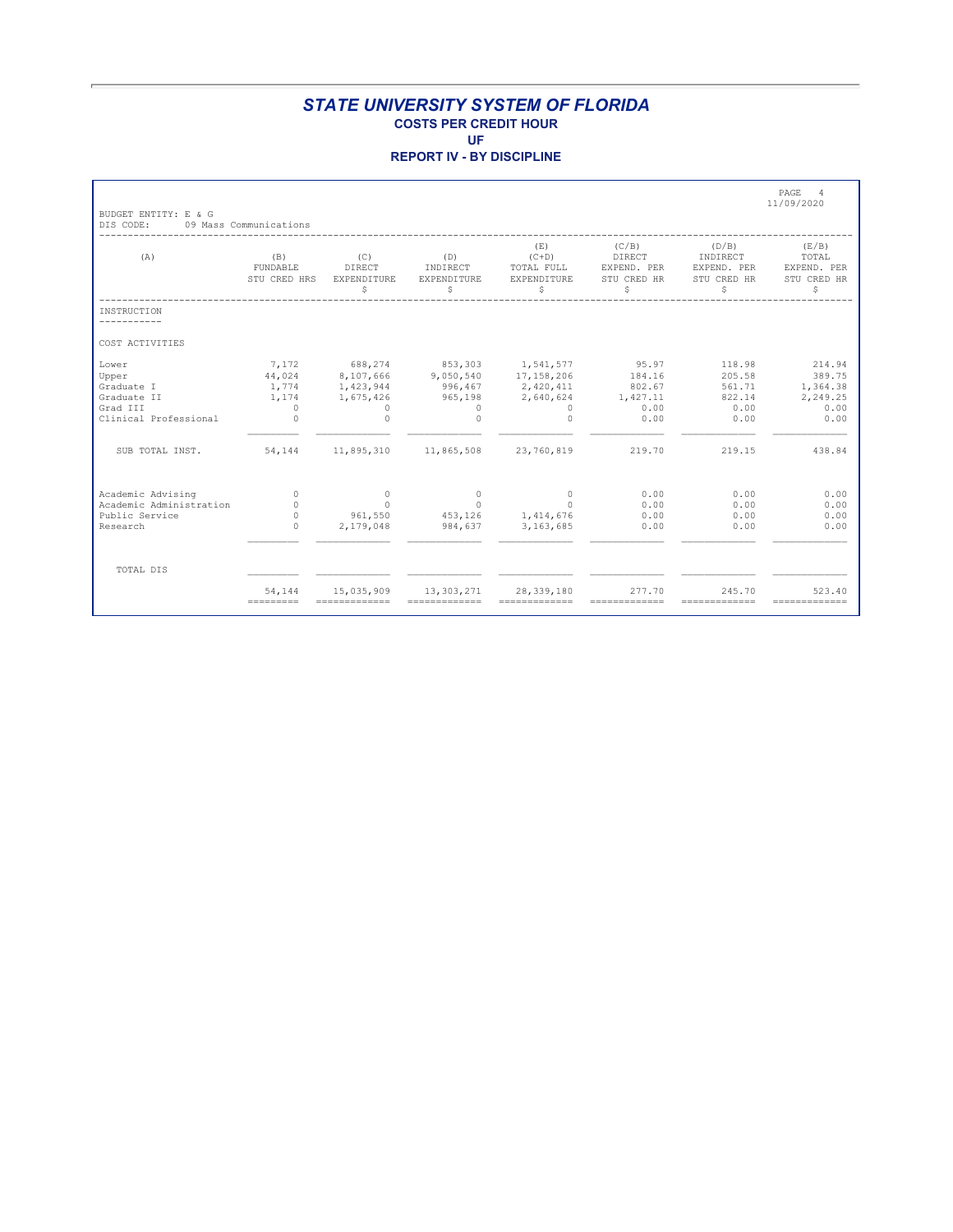**REPORT IV - BY DISCIPLINE**

| BUDGET ENTITY: E & G                                                             |                                                                                                     |                                                                        |                                                                                                           |                                                  |                                                       |                                                       | PAGE<br>$\overline{4}$<br>11/09/2020                     |
|----------------------------------------------------------------------------------|-----------------------------------------------------------------------------------------------------|------------------------------------------------------------------------|-----------------------------------------------------------------------------------------------------------|--------------------------------------------------|-------------------------------------------------------|-------------------------------------------------------|----------------------------------------------------------|
| DIS CODE:<br>(A)                                                                 | 09 Mass Communications<br>(B)<br>FUNDABLE<br>STU CRED HRS                                           | (C)<br>DIRECT<br>EXPENDITURE<br>\$                                     | (D)<br>INDIRECT<br>EXPENDITURE<br>\$                                                                      | (E)<br>$(C+D)$<br>TOTAL FULL<br>EXPENDITURE<br>S | (C/B)<br>DIRECT<br>EXPEND. PER<br>STU CRED HR<br>\$   | (D/B)<br>INDIRECT<br>EXPEND. PER<br>STU CRED HR<br>\$ | (E/B)<br>TOTAL<br>EXPEND. PER<br>STU CRED HR<br>S        |
| INSTRUCTION                                                                      |                                                                                                     |                                                                        |                                                                                                           |                                                  |                                                       |                                                       |                                                          |
| COST ACTIVITIES                                                                  |                                                                                                     |                                                                        |                                                                                                           |                                                  |                                                       |                                                       |                                                          |
| Lower<br>Upper<br>Graduate I<br>Graduate II<br>Grad III<br>Clinical Professional | 7,172<br>44,024<br>1,774<br>1,174<br>$\Omega$<br>$\Omega$                                           | 688,274<br>8,107,666<br>1,423,944<br>1,675,426<br>$\Omega$<br>$\Omega$ | 853,303 1,541,577<br>9,050,540 17,158,206<br>996,467 2,420,411<br>965,198<br>$\Omega$<br>$\Omega$         | 2,640,624<br>$\Omega$<br>$\Omega$                | 95.97<br>184.16<br>802.67<br>1,427.11<br>0.00<br>0.00 | 118.98<br>205.58<br>561.71<br>822.14<br>0.00<br>0.00  | 214.94<br>389.75<br>1,364.38<br>2,249.25<br>0.00<br>0.00 |
| SUB TOTAL INST.                                                                  | 54,144                                                                                              | 11,895,310                                                             | 11,865,508                                                                                                | 23,760,819                                       | 219.70                                                | 219.15                                                | 438.84                                                   |
| Academic Advising<br>Academic Administration<br>Public Service<br>Research       | $\Omega$<br>$\cap$<br>$\Omega$<br>$\Omega$                                                          | $\Omega$<br>$\Omega$<br>961,550<br>2,179,048                           | $\sim$ 0<br>$\Omega$<br>453,126<br>984,637                                                                | $\Omega$<br>$\cap$<br>1,414,676<br>3,163,685     | 0.00<br>0.00<br>0.00<br>0.00                          | 0.00<br>0.00<br>0.00<br>0.00                          | 0.00<br>0.00<br>0.00<br>0.00                             |
| TOTAL DIS                                                                        |                                                                                                     |                                                                        |                                                                                                           |                                                  |                                                       |                                                       |                                                          |
|                                                                                  | 54,144<br>$\qquad \qquad \displaystyle =\qquad \qquad =\qquad \qquad =\qquad \qquad =\qquad \qquad$ | 15,035,909                                                             | 13,303,271<br>$\begin{array}{cccccccccc} = & = & = & = & = & = & = & = & = & = & = & = & = & \end{array}$ | 28,339,180<br>=============                      | 277.70<br>=============                               | 245.70<br>=============                               | 523.40<br>=============                                  |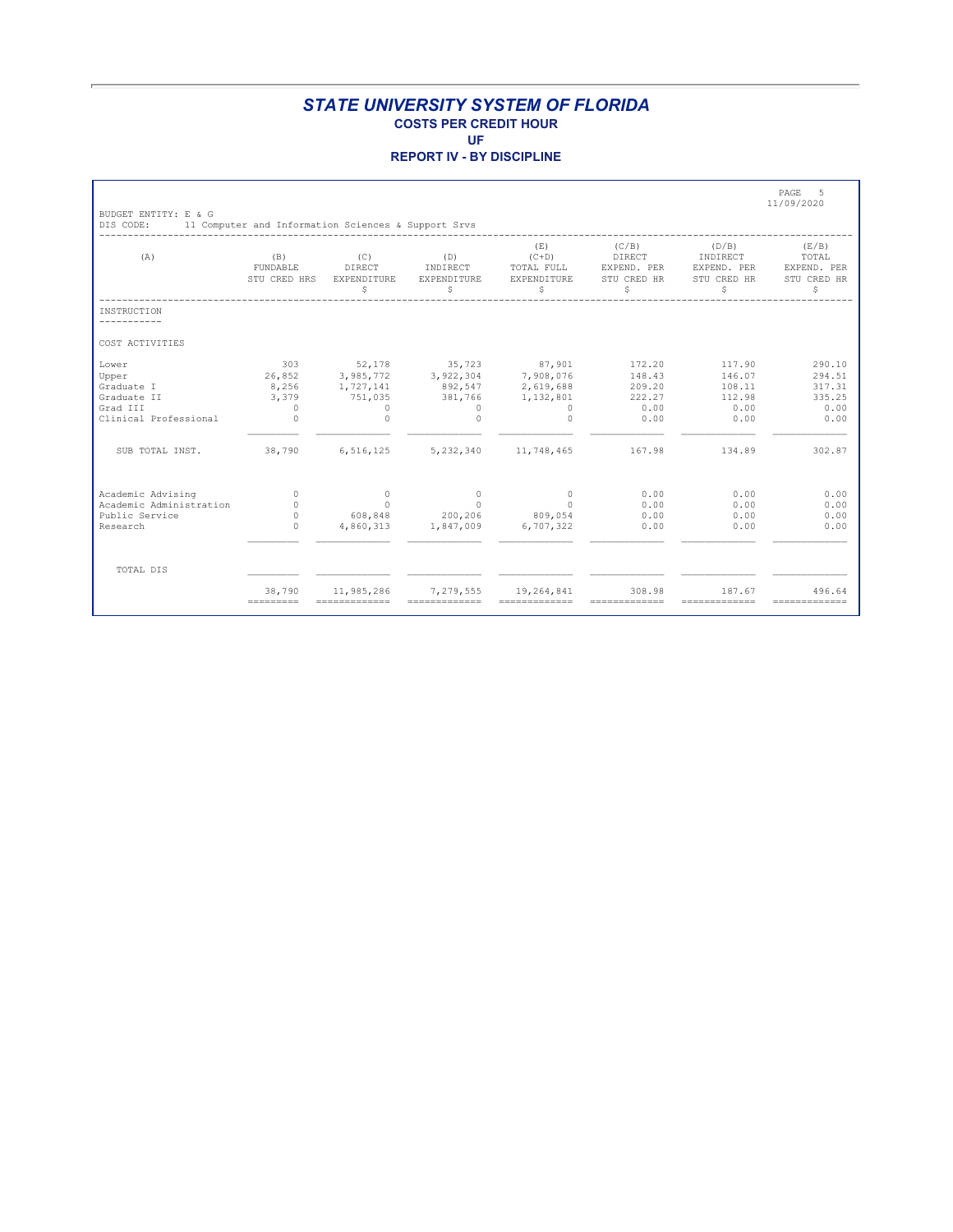|                                                                                  |                                                        |                                                                    |                                                                                    |                                                   |                                                      |                                                       | PAGE<br>-5<br>11/09/2020                             |
|----------------------------------------------------------------------------------|--------------------------------------------------------|--------------------------------------------------------------------|------------------------------------------------------------------------------------|---------------------------------------------------|------------------------------------------------------|-------------------------------------------------------|------------------------------------------------------|
| BUDGET ENTITY: E & G<br>DIS CODE:                                                | 11 Computer and Information Sciences & Support Srvs    |                                                                    |                                                                                    |                                                   |                                                      |                                                       |                                                      |
| (A)                                                                              | (B)<br>FUNDABLE<br>STU CRED HRS                        | (C)<br>DIRECT<br>EXPENDITURE<br>\$                                 | (D)<br>INDIRECT<br>EXPENDITURE<br>\$                                               | (E)<br>$(C+D)$<br>TOTAL FULL<br>EXPENDITURE<br>\$ | (C/B)<br>DIRECT<br>EXPEND. PER<br>STU CRED HR<br>\$  | (D/B)<br>INDIRECT<br>EXPEND. PER<br>STU CRED HR<br>\$ | (E/B)<br>TOTAL<br>EXPEND. PER<br>STU CRED HR<br>S    |
| INSTRUCTION                                                                      |                                                        |                                                                    |                                                                                    |                                                   |                                                      |                                                       |                                                      |
| COST ACTIVITIES                                                                  |                                                        |                                                                    |                                                                                    |                                                   |                                                      |                                                       |                                                      |
| Lower<br>Upper<br>Graduate I<br>Graduate II<br>Grad III<br>Clinical Professional | 303<br>26,852<br>8,256<br>3,379<br>$\circ$<br>$\Omega$ | 52,178<br>3,985,772<br>1,727,141<br>751,035<br>$\circ$<br>$\Omega$ | 35,723 87,901<br>3,922,304 7,908,076<br>892,547<br>381,766<br>$\Omega$<br>$\Omega$ | 2,619,688<br>1,132,801<br>$\circ$<br>$\circ$      | 172.20<br>148.43<br>209.20<br>222.27<br>0.00<br>0.00 | 117.90<br>146.07<br>108.11<br>112.98<br>0.00<br>0.00  | 290.10<br>294.51<br>317.31<br>335.25<br>0.00<br>0.00 |
| SUB TOTAL INST.                                                                  | 38,790                                                 | 6,516,125                                                          | 5,232,340                                                                          | 11,748,465                                        | 167.98                                               | 134.89                                                | 302.87                                               |
| Academic Advising<br>Academic Administration<br>Public Service<br>Research       | $\Omega$<br>$\Omega$<br>$\Omega$<br>$\Omega$           | $\circ$<br>$\Omega$<br>608,848<br>4,860,313                        | $\Omega$<br>$\cap$<br>200,206<br>1,847,009                                         | $\circ$<br>$\cap$<br>809,054<br>6,707,322         | 0.00<br>0.00<br>0.00<br>0.00                         | 0.00<br>0.00<br>0.00<br>0.00                          | 0.00<br>0.00<br>0.00<br>0.00                         |
| TOTAL DIS                                                                        |                                                        |                                                                    |                                                                                    |                                                   |                                                      |                                                       |                                                      |
|                                                                                  | 38,790<br>----------                                   | 11,985,286<br>-------------                                        | 7,279,555                                                                          | 19,264,841                                        | 308.98                                               | 187.67<br>-------------                               | 496.64<br>-------------                              |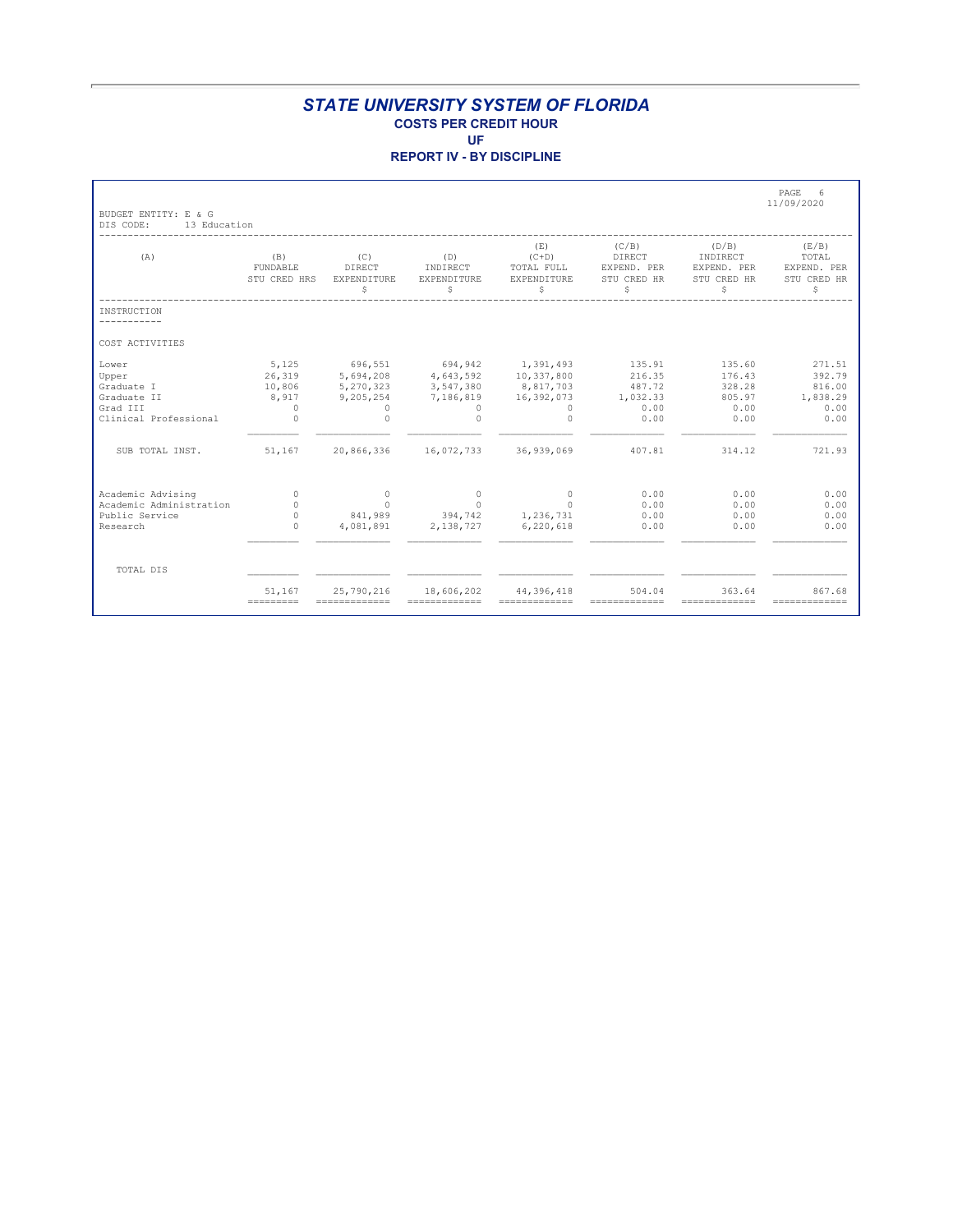| BUDGET ENTITY: E & G                                                             |                                                            |                                                                        |                                                                     |                                                                         |                                                            |                                                      | PAGE<br>6<br>11/09/2020                                |
|----------------------------------------------------------------------------------|------------------------------------------------------------|------------------------------------------------------------------------|---------------------------------------------------------------------|-------------------------------------------------------------------------|------------------------------------------------------------|------------------------------------------------------|--------------------------------------------------------|
| DIS CODE:<br>13 Education<br>(A)                                                 | (B)<br>FUNDABLE<br>STU CRED HRS                            | (C)<br>DIRECT<br><b>EXPENDITURE</b><br>\$                              | (D)<br>INDIRECT<br><b>EXPENDITURE</b><br>\$                         | (E)<br>$(C+D)$<br>TOTAL FULL<br><b>EXPENDITURE</b><br>\$                | (C/B)<br><b>DIRECT</b><br>EXPEND. PER<br>STU CRED HR<br>\$ | (D/B)<br>INDIRECT<br>EXPEND. PER<br>STU CRED HR<br>S | (E/B)<br>TOTAL<br>EXPEND. PER<br>STU CRED HR<br>S      |
| INSTRUCTION                                                                      |                                                            |                                                                        |                                                                     |                                                                         |                                                            |                                                      |                                                        |
| COST ACTIVITIES                                                                  |                                                            |                                                                        |                                                                     |                                                                         |                                                            |                                                      |                                                        |
| Lower<br>Upper<br>Graduate I<br>Graduate II<br>Grad III<br>Clinical Professional | 5,125<br>26,319<br>10,806<br>8,917<br>$\Omega$<br>$\Omega$ | 696,551<br>5,694,208<br>5,270,323<br>9,205,254<br>$\Omega$<br>$\Omega$ | 694,942 1,391,493<br>3,547,380<br>7,186,819<br>$\Omega$<br>$\Omega$ | 4,643,592 10,337,800<br>8,817,703<br>16,392,073<br>$\Omega$<br>$\Omega$ | 135.91<br>216.35<br>487.72<br>1,032.33<br>0.00<br>0.00     | 135.60<br>176.43<br>328.28<br>805.97<br>0.00<br>0.00 | 271.51<br>392.79<br>816.00<br>1,838.29<br>0.00<br>0.00 |
| SUB TOTAL INST.                                                                  | 51,167                                                     | 20,866,336                                                             | 16,072,733 36,939,069                                               |                                                                         | 407.81                                                     | 314.12                                               | 721.93                                                 |
| Academic Advising<br>Academic Administration<br>Public Service<br>Research       | $\Omega$<br>$\Omega$<br>$\Omega$<br>$\Omega$               | $\overline{0}$<br>$\Omega$<br>4,081,891                                | $\Omega$<br>$\Omega$<br>841,989 394,742 1,236,731<br>2,138,727      | $\circ$<br>$\Omega$<br>6,220,618                                        | 0.00<br>0.00<br>0.00<br>0.00                               | 0.00<br>0.00<br>0.00<br>0.00                         | 0.00<br>0.00<br>0.00<br>0.00                           |
| TOTAL DIS                                                                        |                                                            |                                                                        |                                                                     |                                                                         |                                                            |                                                      |                                                        |
|                                                                                  | 51,167                                                     | 25,790,216                                                             | 18,606,202                                                          | 44,396,418<br>=============                                             | 504.04                                                     | 363.64<br>=============                              | 867.68<br>=============                                |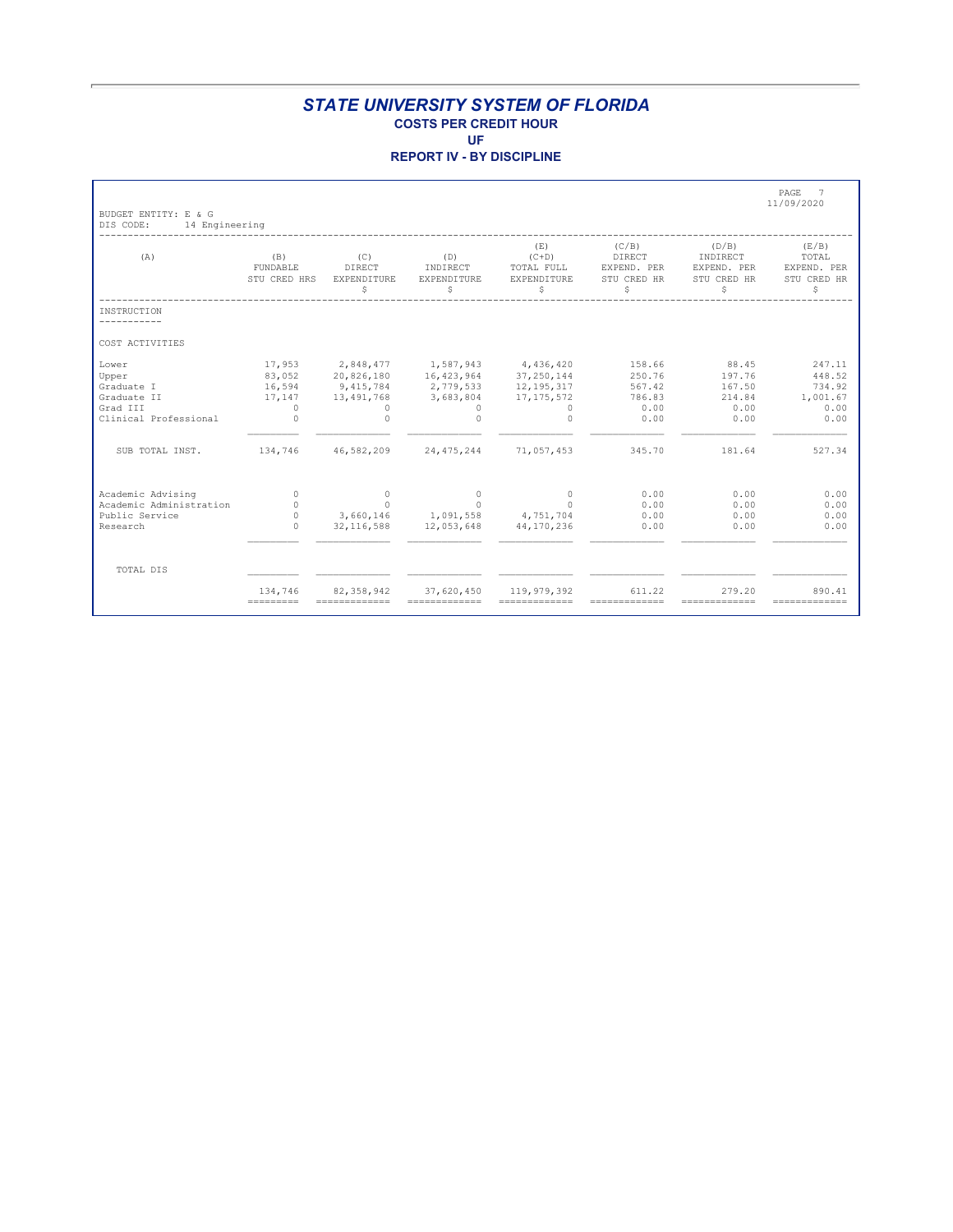| BUDGET ENTITY: E & G                                                             |                                                              |                                                                              |                                                                                    |                                                             |                                                            |                                                      | PAGE<br>7<br>11/09/2020                                |
|----------------------------------------------------------------------------------|--------------------------------------------------------------|------------------------------------------------------------------------------|------------------------------------------------------------------------------------|-------------------------------------------------------------|------------------------------------------------------------|------------------------------------------------------|--------------------------------------------------------|
| DIS CODE:<br>14 Engineering<br>(A)                                               | (B)<br>FUNDABLE<br>STU CRED HRS                              | (C)<br><b>DIRECT</b><br>EXPENDITURE<br>\$                                    | (D)<br>INDIRECT<br>EXPENDITURE<br>\$                                               | (E)<br>$(C+D)$<br>TOTAL FULL<br>EXPENDITURE<br>S            | (C/B)<br><b>DIRECT</b><br>EXPEND. PER<br>STU CRED HR<br>\$ | (D/B)<br>INDIRECT<br>EXPEND. PER<br>STU CRED HR<br>S | (E/B)<br>TOTAL<br>EXPEND. PER<br>STU CRED HR<br>S      |
| INSTRUCTION                                                                      |                                                              |                                                                              |                                                                                    |                                                             |                                                            |                                                      |                                                        |
| COST ACTIVITIES                                                                  |                                                              |                                                                              |                                                                                    |                                                             |                                                            |                                                      |                                                        |
| Lower<br>Upper<br>Graduate I<br>Graduate II<br>Grad III<br>Clinical Professional | 17,953<br>83,052<br>16,594<br>17,147<br>$\Omega$<br>$\Omega$ | 2,848,477<br>20,826,180<br>9, 415, 784<br>13,491,768<br>$\Omega$<br>$\Omega$ | 16,423,964 37,250,144<br>2,779,533 12,195,317<br>3,683,804<br>$\Omega$<br>$\Omega$ | 1,587,943 4,436,420<br>17, 175, 572<br>$\Omega$<br>$\Omega$ | 158.66<br>250.76<br>567.42<br>786.83<br>0.00<br>0.00       | 88.45<br>197.76<br>167.50<br>214.84<br>0.00<br>0.00  | 247.11<br>448.52<br>734.92<br>1,001.67<br>0.00<br>0.00 |
| SUB TOTAL INST.                                                                  | 134,746                                                      | 46,582,209                                                                   | 24, 475, 244                                                                       | 71,057,453                                                  | 345.70                                                     | 181.64                                               | 527.34                                                 |
| Academic Advising<br>Academic Administration<br>Public Service<br>Research       | $\Omega$<br>$\Omega$<br>$\Omega$<br>$\Omega$                 | $\circ$<br>$\cap$<br>3,660,146<br>32, 116, 588                               | $\circ$<br>$\Omega$<br>1,091,558 4,751,704<br>12,053,648                           | $\circ$<br>$\cap$<br>44,170,236                             | 0.00<br>0.00<br>0.00<br>0.00                               | 0.00<br>0.00<br>0.00<br>0.00                         | 0.00<br>0.00<br>0.00<br>0.00                           |
| TOTAL DIS                                                                        |                                                              |                                                                              |                                                                                    |                                                             |                                                            |                                                      |                                                        |
|                                                                                  | 134,746                                                      | 82, 358, 942<br>=============                                                | 37,620,450<br>=============                                                        | 119, 979, 392<br>=============                              | 611.22<br>-------------                                    | 279.20<br>-------------                              | 890.41<br>-------------                                |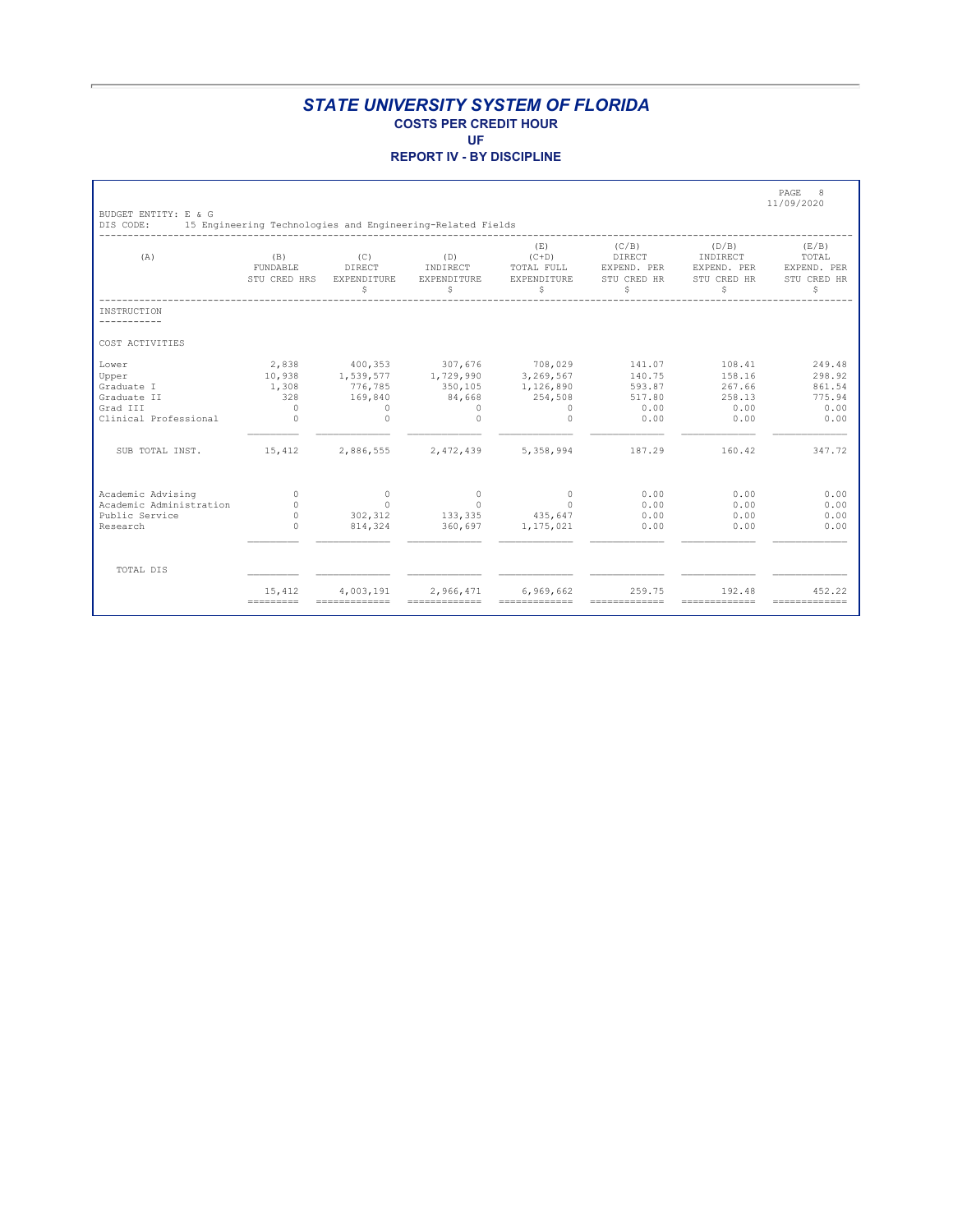|                                                                                  |                                                     |                                                                          |                                                                           |                                                          |                                                      |                                                      | PAGE<br>8<br>11/09/2020                              |
|----------------------------------------------------------------------------------|-----------------------------------------------------|--------------------------------------------------------------------------|---------------------------------------------------------------------------|----------------------------------------------------------|------------------------------------------------------|------------------------------------------------------|------------------------------------------------------|
| BUDGET ENTITY: E & G<br>DIS CODE:                                                |                                                     |                                                                          | 15 Engineering Technologies and Engineering-Related Fields                |                                                          |                                                      |                                                      |                                                      |
| (A)                                                                              | (B)<br>FUNDABLE<br>STU CRED HRS                     | (C)<br>DIRECT<br>EXPENDITURE<br>\$                                       | (D)<br>INDIRECT<br>EXPENDITURE<br>\$                                      | (E)<br>$(C+D)$<br>TOTAL FULL<br>EXPENDITURE<br>\$        | (C/B)<br>DIRECT<br>EXPEND. PER<br>STU CRED HR<br>\$  | (D/B)<br>INDIRECT<br>EXPEND. PER<br>STU CRED HR<br>S | (E/B)<br>TOTAL<br>EXPEND. PER<br>STU CRED HR<br>S    |
| INSTRUCTION                                                                      |                                                     |                                                                          |                                                                           |                                                          |                                                      |                                                      |                                                      |
| COST ACTIVITIES                                                                  |                                                     |                                                                          |                                                                           |                                                          |                                                      |                                                      |                                                      |
| Lower<br>Upper<br>Graduate I<br>Graduate II<br>Grad III<br>Clinical Professional | 2,838<br>1,308<br>328<br>$\overline{0}$<br>$\Omega$ | 400,353<br>10,938 1,539,577<br>776,785<br>169,840<br>$\circ$<br>$\Omega$ | 307,676 708,029<br>1,729,990<br>350,105<br>84,668<br>$\Omega$<br>$\Omega$ | 3,269,567<br>1,126,890<br>254,508<br>$\circ$<br>$\Omega$ | 141.07<br>140.75<br>593.87<br>517.80<br>0.00<br>0.00 | 108.41<br>158.16<br>267.66<br>258.13<br>0.00<br>0.00 | 249.48<br>298.92<br>861.54<br>775.94<br>0.00<br>0.00 |
| SUB TOTAL INST.                                                                  | 15,412                                              |                                                                          | 2,886,555 2,472,439                                                       | 5,358,994                                                | 187.29                                               | 160.42                                               | 347.72                                               |
| Academic Advising<br>Academic Administration<br>Public Service<br>Research       | $\circ$<br>$\Omega$<br>$\Omega$<br>$\Omega$         | $\circ$<br>$\Omega$<br>302,312<br>814,324                                | $\sim$ 0<br>$\Omega$<br>133, 335 435, 647<br>360,697                      | $\circ$<br>$\Omega$<br>1,175,021                         | 0.00<br>0.00<br>0.00<br>0.00                         | 0.00<br>0.00<br>0.00<br>0.00                         | 0.00<br>0.00<br>0.00<br>0.00                         |
| TOTAL DIS                                                                        |                                                     |                                                                          |                                                                           |                                                          |                                                      |                                                      |                                                      |
|                                                                                  | 15,412<br>$=$ = = = = = = = = =                     | 4,003,191                                                                | 2,966,471                                                                 | 6,969,662                                                | 259.75                                               | 192.48                                               | 452.22                                               |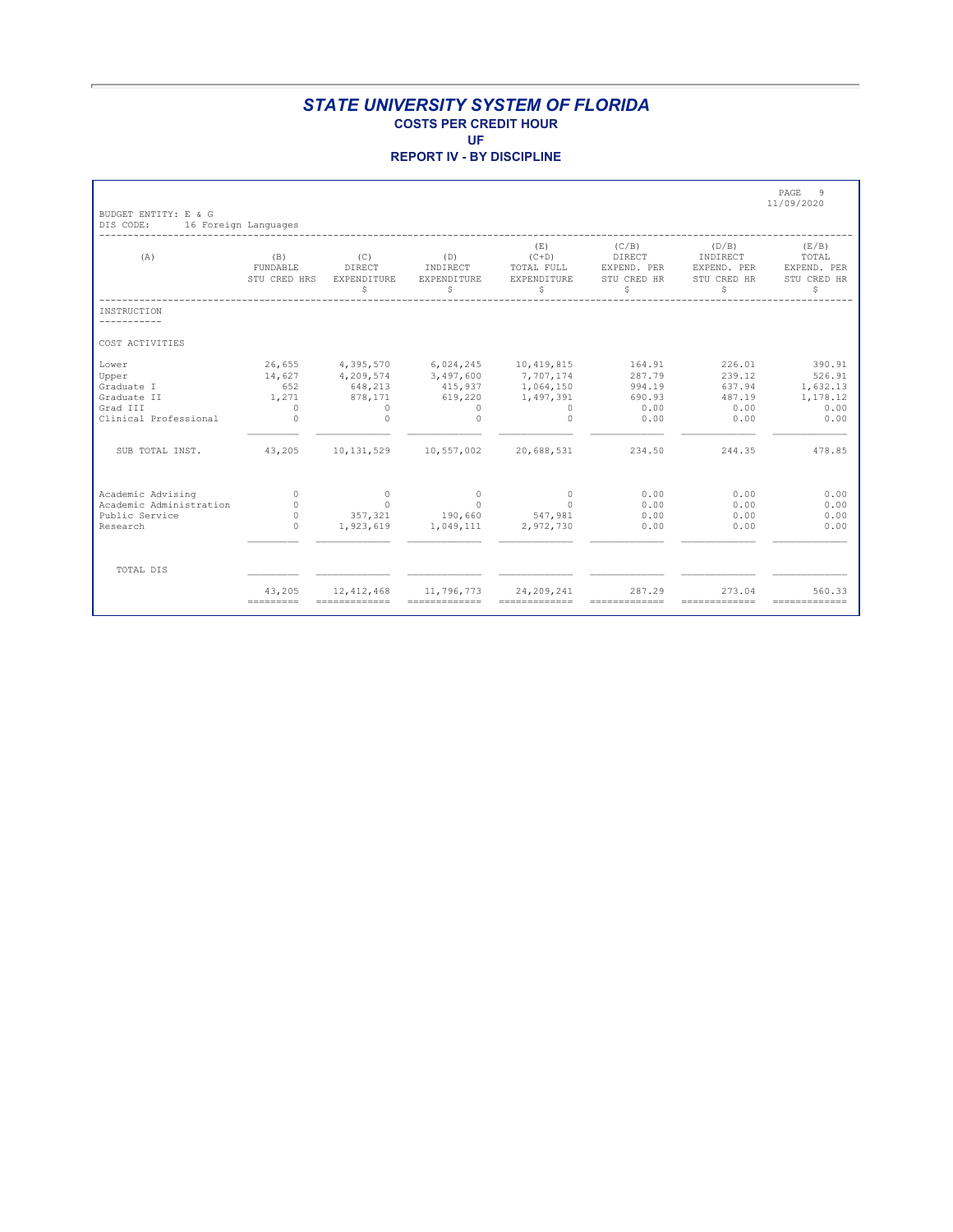| BUDGET ENTITY: E & G              |                                 |                                    |                                      |                                                  |                                                            |                                                       | PAGE<br>9<br>11/09/2020                           |
|-----------------------------------|---------------------------------|------------------------------------|--------------------------------------|--------------------------------------------------|------------------------------------------------------------|-------------------------------------------------------|---------------------------------------------------|
| DIS CODE:                         | 16 Foreign Languages            |                                    |                                      |                                                  |                                                            |                                                       |                                                   |
| (A)                               | (B)<br>FUNDABLE<br>STU CRED HRS | (C)<br>DIRECT<br>EXPENDITURE<br>\$ | (D)<br>INDIRECT<br>EXPENDITURE<br>\$ | (E)<br>$(C+D)$<br>TOTAL FULL<br>EXPENDITURE<br>S | (C/B)<br><b>DIRECT</b><br>EXPEND. PER<br>STU CRED HR<br>\$ | (D/B)<br>INDIRECT<br>EXPEND. PER<br>STU CRED HR<br>\$ | (E/B)<br>TOTAL<br>EXPEND. PER<br>STU CRED HR<br>S |
| INSTRUCTION                       |                                 |                                    |                                      |                                                  |                                                            |                                                       |                                                   |
| COST ACTIVITIES                   |                                 |                                    |                                      |                                                  |                                                            |                                                       |                                                   |
| Lower<br>Upper                    | 14,627                          | 26,655 4,395,570<br>4,209,574      | 6,024,245<br>3,497,600               | 10,419,815<br>7,707,174                          | 164.91<br>287.79                                           | 226.01<br>239.12                                      | 390.91<br>526.91                                  |
| Graduate I                        | 652                             | 648,213                            | 415,937 1,064,150                    |                                                  | 994.19                                                     | 637.94                                                | 1,632.13                                          |
| Graduate II                       | 1,271                           | 878,171                            | 619,220                              | 1,497,391                                        | 690.93                                                     | 487.19                                                | 1,178.12                                          |
| Grad III<br>Clinical Professional | $\Omega$<br>$\Omega$            | $\Omega$<br>$\cap$                 | $\Omega$<br>$\Omega$                 | $\Omega$<br>$\Omega$                             | 0.00<br>0.00                                               | 0.00<br>0.00                                          | 0.00<br>0.00                                      |
| SUB TOTAL INST.                   | 43,205                          | 10,131,529                         | 10,557,002                           | 20,688,531                                       | 234.50                                                     | 244.35                                                | 478.85                                            |
|                                   |                                 |                                    |                                      |                                                  |                                                            |                                                       |                                                   |
| Academic Advising                 | $\Omega$                        | $\circ$                            | $\sim$ 0                             | $\circ$                                          | 0.00                                                       | 0.00                                                  | 0.00                                              |
| Academic Administration           | $\Omega$                        | $\Omega$                           | $\Omega$                             | $\Omega$                                         | 0.00                                                       | 0.00                                                  | 0.00                                              |
| Public Service                    | $\Omega$                        | 357,321                            | 190,660                              | 547,981                                          | 0.00                                                       | 0.00                                                  | 0.00                                              |
| Research                          | $\Omega$                        | 1,923,619                          | 1,049,111                            | 2,972,730                                        | 0.00                                                       | 0.00                                                  | 0.00                                              |
| TOTAL DIS                         |                                 |                                    |                                      |                                                  |                                                            |                                                       |                                                   |
|                                   | 43,205                          | 12, 412, 468                       | 11,796,773                           | 24,209,241<br>=============                      | 287.29<br>=============                                    | 273.04<br>=============                               | 560.33<br>=============                           |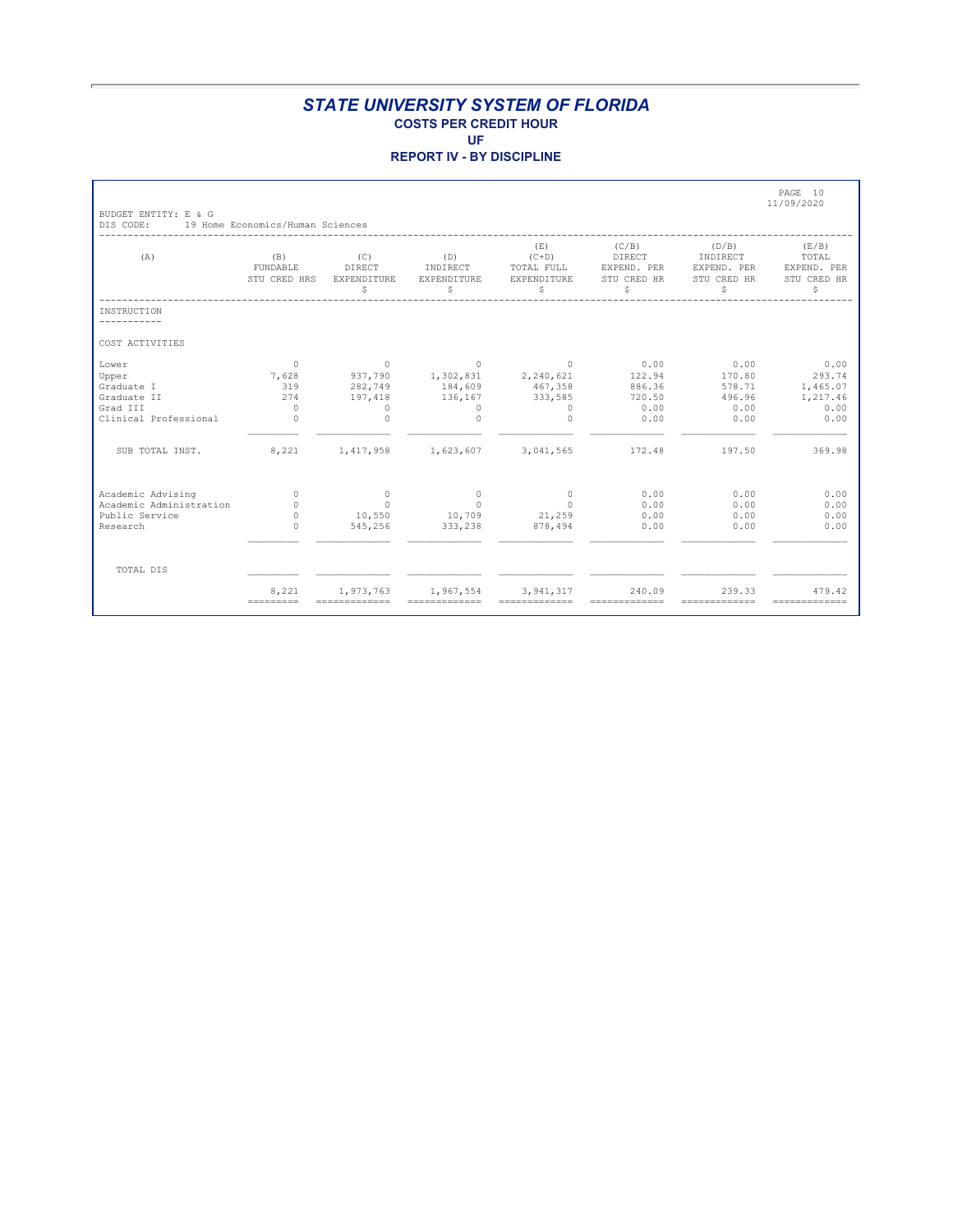| BUDGET ENTITY: E & G    |                                  |                                    |                                                                                                          |                                                   |                                                     |                                                       | PAGE 10<br>11/09/2020                             |
|-------------------------|----------------------------------|------------------------------------|----------------------------------------------------------------------------------------------------------|---------------------------------------------------|-----------------------------------------------------|-------------------------------------------------------|---------------------------------------------------|
| DIS CODE:               | 19 Home Economics/Human Sciences |                                    |                                                                                                          |                                                   |                                                     |                                                       |                                                   |
| (A)                     | (B)<br>FUNDABLE<br>STU CRED HRS  | (C)<br>DIRECT<br>EXPENDITURE<br>\$ | (D)<br>INDIRECT<br>EXPENDITURE<br>\$                                                                     | (E)<br>$(C+D)$<br>TOTAL FULL<br>EXPENDITURE<br>\$ | (C/B)<br>DIRECT<br>EXPEND. PER<br>STU CRED HR<br>\$ | (D/B)<br>INDIRECT<br>EXPEND. PER<br>STU CRED HR<br>\$ | (E/B)<br>TOTAL<br>EXPEND. PER<br>STU CRED HR<br>S |
| INSTRUCTION             |                                  |                                    |                                                                                                          |                                                   |                                                     |                                                       |                                                   |
| COST ACTIVITIES         |                                  |                                    |                                                                                                          |                                                   |                                                     |                                                       |                                                   |
| Lower<br>Upper          | $\Omega$<br>7,628                | $\overline{0}$<br>937,790          | $\circ$<br>1,302,831                                                                                     | $\sim$ 0<br>2,240,621                             | 0.00<br>122.94                                      | 0.00<br>170.80                                        | 0.00<br>293.74                                    |
| Graduate I              | 319                              | 282,749                            | 184,609                                                                                                  | 467,358                                           | 886.36                                              | 578.71                                                | 1,465.07                                          |
| Graduate II             | 274                              | 197,418                            | 136,167                                                                                                  | 333,585                                           | 720.50                                              | 496.96                                                | 1,217.46                                          |
| Grad III                | $\bigcap$                        | $\Omega$                           | $\Omega$                                                                                                 | $\Omega$                                          | 0.00                                                | 0.00                                                  | 0.00                                              |
| Clinical Professional   | $\bigcap$                        | $\cap$                             | $\cap$                                                                                                   | $\Omega$                                          | 0.00                                                | 0.00                                                  | 0.00                                              |
| SUB TOTAL INST.         | 8,221                            |                                    | 1,417,958 1,623,607                                                                                      | 3,041,565                                         | 172.48                                              | 197.50                                                | 369.98                                            |
| Academic Advising       | $\Omega$                         | $\sim$ 0                           | $\sim$ 0                                                                                                 | $\circ$                                           | 0.00                                                | 0.00                                                  | 0.00                                              |
| Academic Administration | $\cap$                           | $\Omega$                           | $\Omega$                                                                                                 | $\Omega$                                          | 0.00                                                | 0.00                                                  | 0.00                                              |
| Public Service          | $\Omega$                         | 10,550                             | 10,709                                                                                                   | 21,259                                            | 0.00                                                | 0.00                                                  | 0.00                                              |
| Research                | $\Omega$                         | 545,256                            | 333,238                                                                                                  | 878,494                                           | 0.00                                                | 0.00                                                  | 0.00                                              |
| TOTAL DIS               |                                  |                                    |                                                                                                          |                                                   |                                                     |                                                       |                                                   |
|                         | 8,221<br>=========               | 1,973,763                          | 1,967,554<br>$\begin{array}{cccccccccc} = & = & = & = & = & = & = & = & = & = & = & = & = & \end{array}$ | 3,941,317<br>=============                        | 240.09<br>-------------                             | 239.33<br>_____________                               | 479.42<br>=============                           |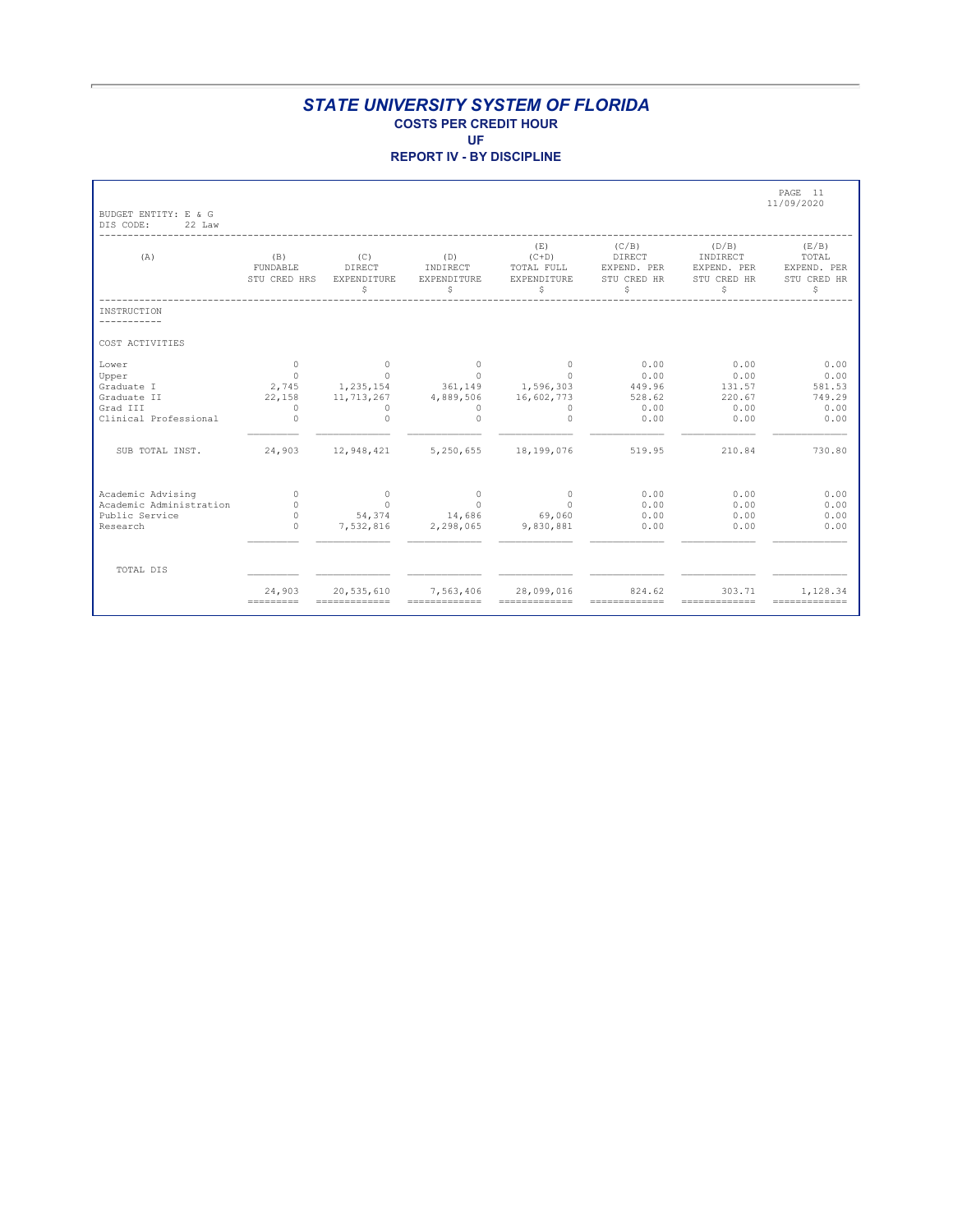| BUDGET ENTITY: E & G                                                                                |                                                                       |                                                                                              |                                                                      |                                                                                                 |                                                            |                                                            | PAGE 11<br>11/09/2020                                      |
|-----------------------------------------------------------------------------------------------------|-----------------------------------------------------------------------|----------------------------------------------------------------------------------------------|----------------------------------------------------------------------|-------------------------------------------------------------------------------------------------|------------------------------------------------------------|------------------------------------------------------------|------------------------------------------------------------|
| DIS CODE:<br>22 Law<br>(A)                                                                          | (B)<br>FUNDABLE<br>STU CRED HRS                                       | (C)<br>DIRECT<br>EXPENDITURE<br>S                                                            | (D)<br>INDIRECT<br>EXPENDITURE<br>\$                                 | (E)<br>$(C+D)$<br>TOTAL FULL<br>EXPENDITURE<br>S                                                | (C/B)<br>DIRECT<br>EXPEND. PER<br>STU CRED HR<br>S         | (D/B)<br>INDIRECT<br>EXPEND. PER<br>STU CRED HR<br>S       | (E/B)<br>TOTAL<br>EXPEND. PER<br>STU CRED HR<br>S          |
| INSTRUCTION                                                                                         |                                                                       |                                                                                              |                                                                      |                                                                                                 |                                                            |                                                            |                                                            |
| COST ACTIVITIES                                                                                     |                                                                       |                                                                                              |                                                                      |                                                                                                 |                                                            |                                                            |                                                            |
| Lower<br>Upper<br>Graduate I<br>Graduate II<br>Grad III<br>Clinical Professional<br>SUB TOTAL INST. | $\circ$<br>$\overline{0}$<br>22,158<br>$\Omega$<br>$\Omega$<br>24,903 | $\circ$<br>$\Omega$<br>2,745 1,235,154<br>11, 713, 267<br>$\Omega$<br>$\Omega$<br>12,948,421 | $\circ$<br>$\bigcap$<br>4,889,506<br>$\Omega$<br>$\cap$<br>5,250,655 | $\circ$<br>$\Omega$<br>361, 149 1, 596, 303<br>16,602,773<br>$\Omega$<br>$\Omega$<br>18,199,076 | 0.00<br>0.00<br>449.96<br>528.62<br>0.00<br>0.00<br>519.95 | 0.00<br>0.00<br>131.57<br>220.67<br>0.00<br>0.00<br>210.84 | 0.00<br>0.00<br>581.53<br>749.29<br>0.00<br>0.00<br>730.80 |
| Academic Advising<br>Academic Administration<br>Public Service<br>Research                          | $\Omega$<br>$\cap$<br>$\Omega$<br>$\cap$                              | $\circ$<br>$\Omega$<br>54,374<br>7,532,816                                                   | $\Omega$<br>$\Omega$<br>14,686<br>2,298,065                          | $\circ$<br>$\Omega$<br>69,060<br>9,830,881                                                      | 0.00<br>0.00<br>0.00<br>0.00                               | 0.00<br>0.00<br>0.00<br>0.00                               | 0.00<br>0.00<br>0.00<br>0.00                               |
| TOTAL DIS                                                                                           |                                                                       |                                                                                              |                                                                      |                                                                                                 |                                                            |                                                            |                                                            |
|                                                                                                     | 24,903                                                                | 20,535,610                                                                                   | 7,563,406<br>-------------                                           | 28,099,016<br>==============                                                                    | 824.62<br>==============                                   | 303.71<br>==============                                   | 1,128.34<br>-------------                                  |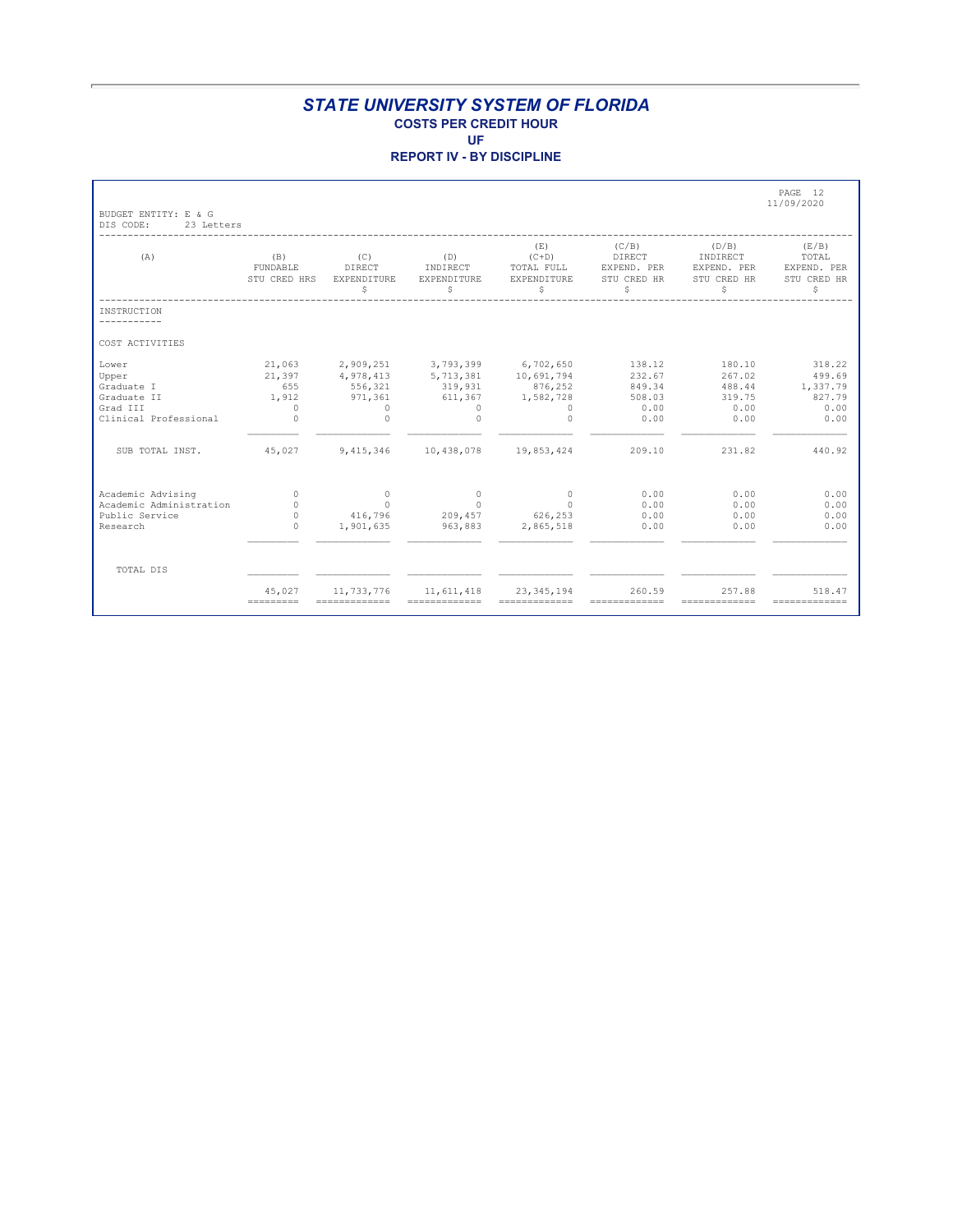| BUDGET ENTITY: E & G                                                             |                                                                |                                                                      |                                                                                         |                                                  |                                                            |                                                      | PAGE 12<br>11/09/2020                                  |
|----------------------------------------------------------------------------------|----------------------------------------------------------------|----------------------------------------------------------------------|-----------------------------------------------------------------------------------------|--------------------------------------------------|------------------------------------------------------------|------------------------------------------------------|--------------------------------------------------------|
| DIS CODE:<br>23 Letters<br>(A)                                                   | (B)<br>FUNDABLE<br>STU CRED HRS                                | (C)<br>DIRECT<br>EXPENDITURE<br>\$                                   | (D)<br>INDIRECT<br>EXPENDITURE<br>\$                                                    | (E)<br>$(C+D)$<br>TOTAL FULL<br>EXPENDITURE<br>S | (C/B)<br><b>DIRECT</b><br>EXPEND. PER<br>STU CRED HR<br>\$ | (D/B)<br>INDIRECT<br>EXPEND. PER<br>STU CRED HR<br>S | (E/B)<br>TOTAL<br>EXPEND. PER<br>STU CRED HR<br>Ŝ      |
| INSTRUCTION                                                                      |                                                                |                                                                      |                                                                                         |                                                  |                                                            |                                                      |                                                        |
| COST ACTIVITIES                                                                  |                                                                |                                                                      |                                                                                         |                                                  |                                                            |                                                      |                                                        |
| Lower<br>Upper<br>Graduate I<br>Graduate II<br>Grad III<br>Clinical Professional | 21,063<br>21,397<br>655<br>1,912<br>$\overline{0}$<br>$\Omega$ | 2,909,251<br>4,978,413<br>556,321<br>971,361<br>$\Omega$<br>$\Omega$ | 3,793,399<br>5,713,381 10,691,794<br>319,931 876,252<br>611,367<br>$\Omega$<br>$\Omega$ | 6,702,650<br>1,582,728<br>$\Omega$<br>$\Omega$   | 138.12<br>232.67<br>849.34<br>508.03<br>0.00<br>0.00       | 180.10<br>267.02<br>488.44<br>319.75<br>0.00<br>0.00 | 318.22<br>499.69<br>1,337.79<br>827.79<br>0.00<br>0.00 |
| SUB TOTAL INST.                                                                  | 45,027                                                         | 9, 415, 346                                                          | 10,438,078 19,853,424                                                                   |                                                  | 209.10                                                     | 231.82                                               | 440.92                                                 |
| Academic Advising<br>Academic Administration<br>Public Service<br>Research       | $\Omega$<br>$\Omega$<br>$\Omega$<br>$\Omega$                   | $\sim$ 0<br>$\Omega$<br>416,796<br>1,901,635                         | $\Omega$<br>$\Omega$<br>209,457<br>963,883                                              | $\circ$<br>$\Omega$<br>626,253<br>2,865,518      | 0.00<br>0.00<br>0.00<br>0.00                               | 0.00<br>0.00<br>0.00<br>0.00                         | 0.00<br>0.00<br>0.00<br>0.00                           |
| TOTAL DIS                                                                        |                                                                |                                                                      |                                                                                         |                                                  |                                                            |                                                      |                                                        |
|                                                                                  | 45,027                                                         | 11,733,776                                                           | 11,611,418<br>=============                                                             | 23, 345, 194<br>=============                    | 260.59<br>-------------                                    | 257.88<br>-------------                              | 518.47<br>-------------                                |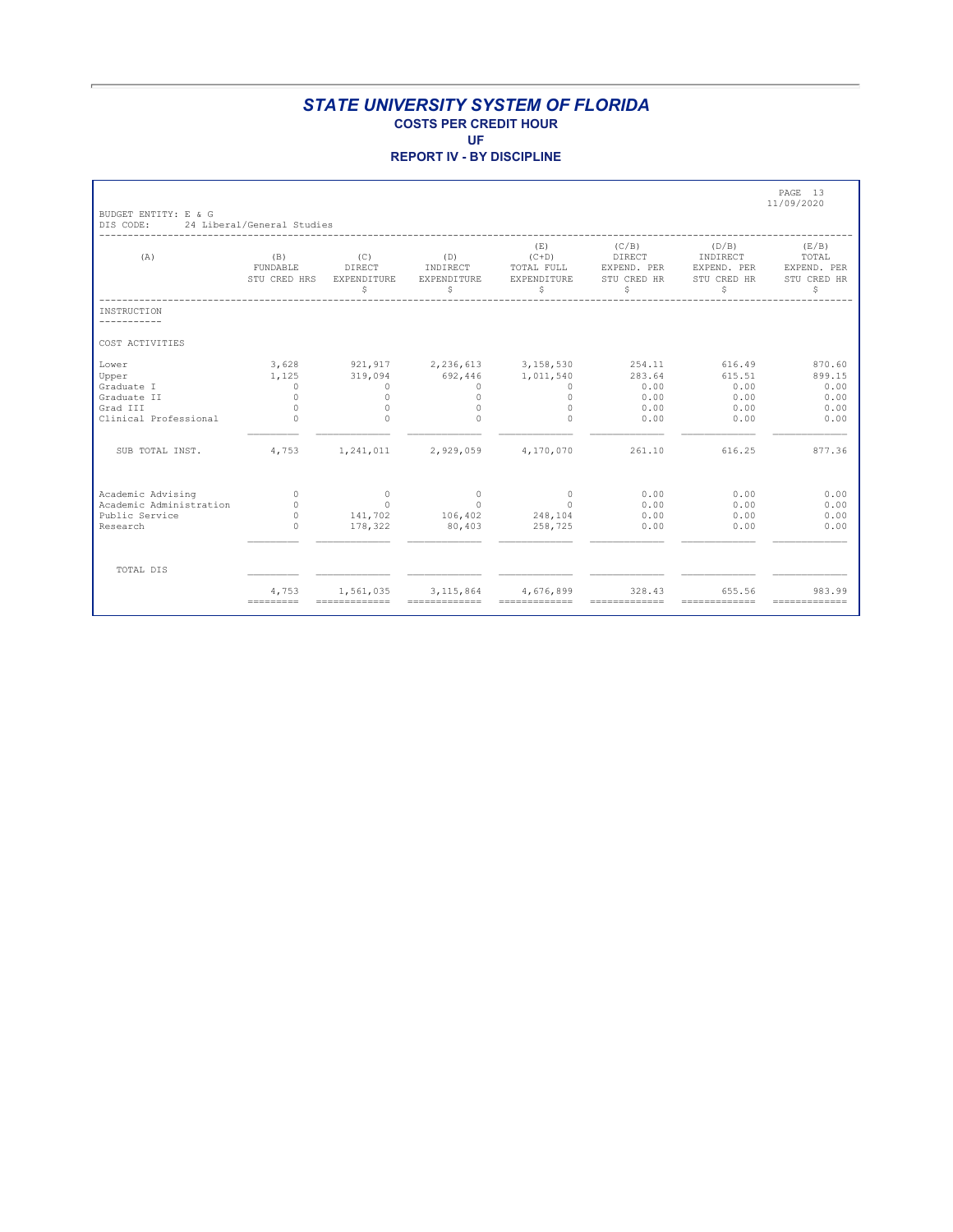**REPORT IV - BY DISCIPLINE**

| BUDGET ENTITY: E & G    |                                               |                   |                                              |                              |                                       |                                  | PAGE 13<br>11/09/2020         |
|-------------------------|-----------------------------------------------|-------------------|----------------------------------------------|------------------------------|---------------------------------------|----------------------------------|-------------------------------|
| DIS CODE:<br>(A)        | 24 Liberal/General Studies<br>(B)<br>FUNDABLE | (C)<br>DIRECT     | (D)<br>INDIRECT                              | (E)<br>$(C+D)$<br>TOTAL FULL | (C/B)<br><b>DIRECT</b><br>EXPEND. PER | (D/B)<br>INDIRECT<br>EXPEND. PER | (E/B)<br>TOTAL<br>EXPEND. PER |
|                         | STU CRED HRS                                  | EXPENDITURE<br>\$ | EXPENDITURE<br>\$                            | EXPENDITURE<br>S             | STU CRED HR<br>\$                     | STU CRED HR<br>S                 | STU CRED HR<br>S              |
| INSTRUCTION             |                                               |                   |                                              |                              |                                       |                                  |                               |
| COST ACTIVITIES         |                                               |                   |                                              |                              |                                       |                                  |                               |
| Lower                   | 3,628                                         |                   | 921, 917 2, 236, 613 3, 158, 530             |                              | 254.11                                | 616.49                           | 870.60                        |
| Upper                   | 1,125                                         | 319,094           | 692,446                                      | 1,011,540                    | 283.64                                | 615.51                           | 899.15                        |
| Graduate I              | $\Omega$                                      | $\Omega$          | $\Omega$                                     | $\Box$                       | 0.00                                  | 0.00                             | 0.00                          |
| Graduate II             | $\Omega$                                      | $\Omega$          | $\bigcap$                                    | $\Omega$                     | 0.00                                  | 0.00                             | 0.00                          |
| Grad III                | $\Omega$                                      | $\Omega$          | $\Omega$                                     | $\Omega$                     | 0.00                                  | 0.00                             | 0.00                          |
| Clinical Professional   | $\cap$                                        | $\Omega$          | $\Omega$                                     | $\cap$                       | 0.00                                  | 0.00                             | 0.00                          |
| SUB TOTAL INST.         | 4,753                                         | 1,241,011         | 2,929,059                                    | 4,170,070                    | 261.10                                | 616.25                           | 877.36                        |
| Academic Advising       | $\Omega$                                      | $\overline{0}$    | $\overline{0}$                               | $\circ$                      | 0.00                                  | 0.00                             | 0.00                          |
| Academic Administration | $\Omega$                                      | $\Omega$          | $\Omega$                                     | $\Omega$                     | 0.00                                  | 0.00                             | 0.00                          |
| Public Service          | $\Omega$                                      | 141,702           | 106,402                                      | 248,104                      | 0.00                                  | 0.00                             | 0.00                          |
| Research                | $\Omega$                                      | 178,322           | 80,403                                       | 258,725                      | 0.00                                  | 0.00                             | 0.00                          |
| TOTAL DIS               |                                               |                   |                                              |                              |                                       |                                  |                               |
|                         |                                               |                   |                                              |                              |                                       |                                  |                               |
|                         | 4,753                                         | 1,561,035         | 3, 115, 864<br>$=$ = = = = = = = = = = = = = | 4,676,899<br>=============   | 328.43<br>==============              | 655.56<br>=============          | 983.99<br>=============       |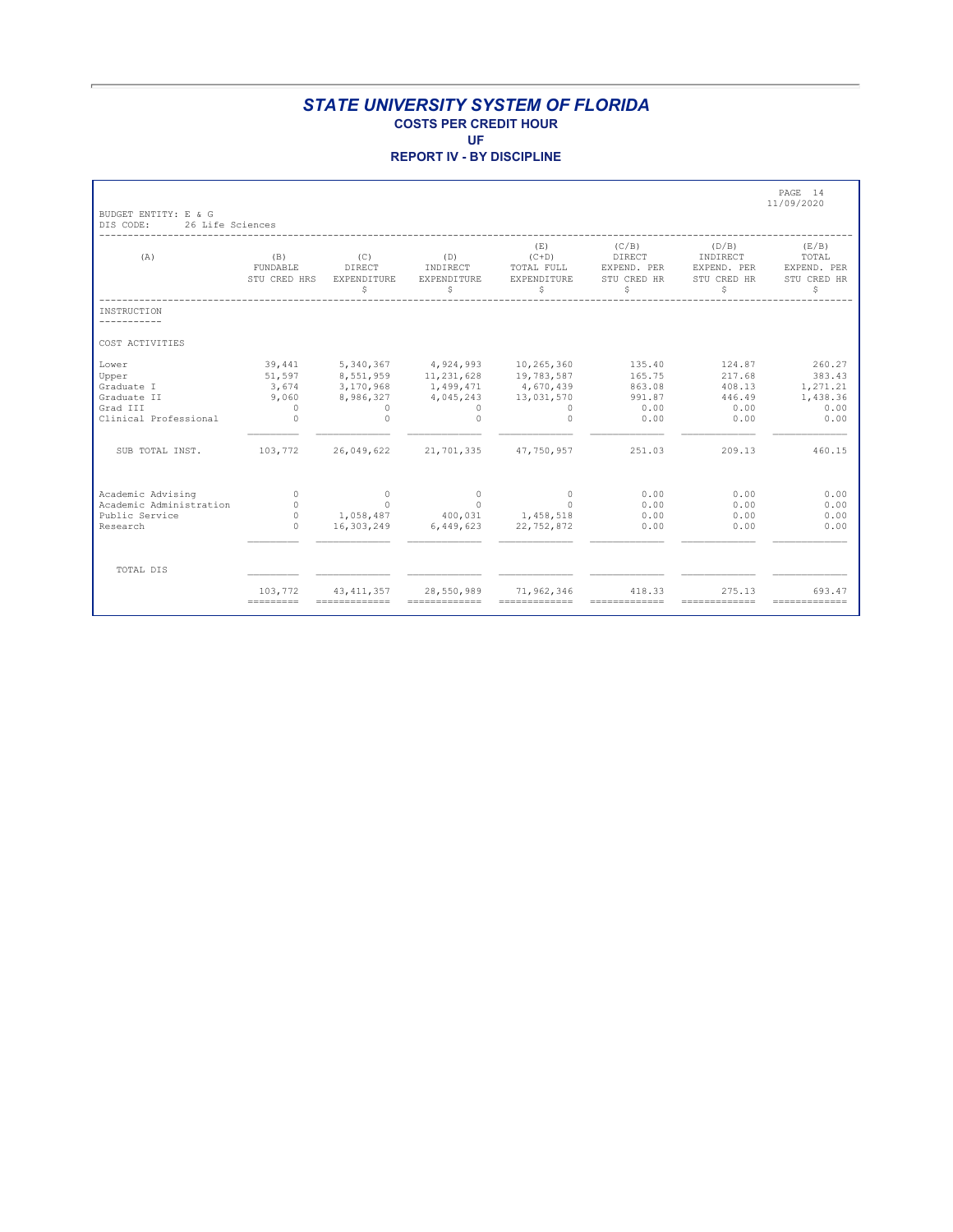| BUDGET ENTITY: E & G                                                             |                                                          |                                                                          |                                                                             |                                                                         |                                                            |                                                      | PAGE 14<br>11/09/2020                                    |
|----------------------------------------------------------------------------------|----------------------------------------------------------|--------------------------------------------------------------------------|-----------------------------------------------------------------------------|-------------------------------------------------------------------------|------------------------------------------------------------|------------------------------------------------------|----------------------------------------------------------|
| DIS CODE:<br>26 Life Sciences<br>(A)                                             | (B)<br>FUNDABLE<br>STU CRED HRS                          | (C)<br>DIRECT<br><b>EXPENDITURE</b><br>\$                                | (D)<br>INDIRECT<br><b>EXPENDITURE</b><br>\$                                 | (E)<br>$(C+D)$<br>TOTAL FULL<br><b>EXPENDITURE</b><br>\$                | (C/B)<br><b>DIRECT</b><br>EXPEND. PER<br>STU CRED HR<br>\$ | (D/B)<br>INDIRECT<br>EXPEND. PER<br>STU CRED HR<br>S | (E/B)<br>TOTAL<br>EXPEND. PER<br>STU CRED HR<br>S        |
| INSTRUCTION                                                                      |                                                          |                                                                          |                                                                             |                                                                         |                                                            |                                                      |                                                          |
| COST ACTIVITIES                                                                  |                                                          |                                                                          |                                                                             |                                                                         |                                                            |                                                      |                                                          |
| Lower<br>Upper<br>Graduate I<br>Graduate II<br>Grad III<br>Clinical Professional | 39,441<br>51,597<br>3,674<br>9,060<br>$\Omega$<br>$\cap$ | 5,340,367<br>8,551,959<br>3,170,968<br>8,986,327<br>$\Omega$<br>$\Omega$ | 4,924,993<br>11, 231, 628<br>1,499,471<br>4,045,243<br>$\Omega$<br>$\Omega$ | 10,265,360<br>19,783,587<br>4,670,439<br>13,031,570<br>$\Box$<br>$\cap$ | 135.40<br>165.75<br>863.08<br>991.87<br>0.00<br>0.00       | 124.87<br>217.68<br>408.13<br>446.49<br>0.00<br>0.00 | 260.27<br>383.43<br>1,271.21<br>1,438.36<br>0.00<br>0.00 |
| SUB TOTAL INST.                                                                  | 103,772                                                  | 26,049,622                                                               | 21,701,335                                                                  | 47,750,957                                                              | 251.03                                                     | 209.13                                               | 460.15                                                   |
| Academic Advising<br>Academic Administration<br>Public Service<br>Research       | $\Omega$<br>$\circ$<br>$\Omega$                          | $\overline{0}$<br>$\Omega$<br>16,303,249                                 | $\Omega$<br>$\Omega$<br>1,058,487 400,031 1,458,518<br>6,449,623            | $\circ$<br>$\Omega$<br>22,752,872                                       | 0.00<br>0.00<br>0.00<br>0.00                               | 0.00<br>0.00<br>0.00<br>0.00                         | 0.00<br>0.00<br>0.00<br>0.00                             |
| TOTAL DIS                                                                        |                                                          |                                                                          |                                                                             |                                                                         |                                                            |                                                      |                                                          |
|                                                                                  | 103,772                                                  | 43, 411, 357                                                             | 28,550,989                                                                  | 71,962,346<br>=============                                             | 418.33                                                     | 275.13<br>==============                             | 693.47<br>=============                                  |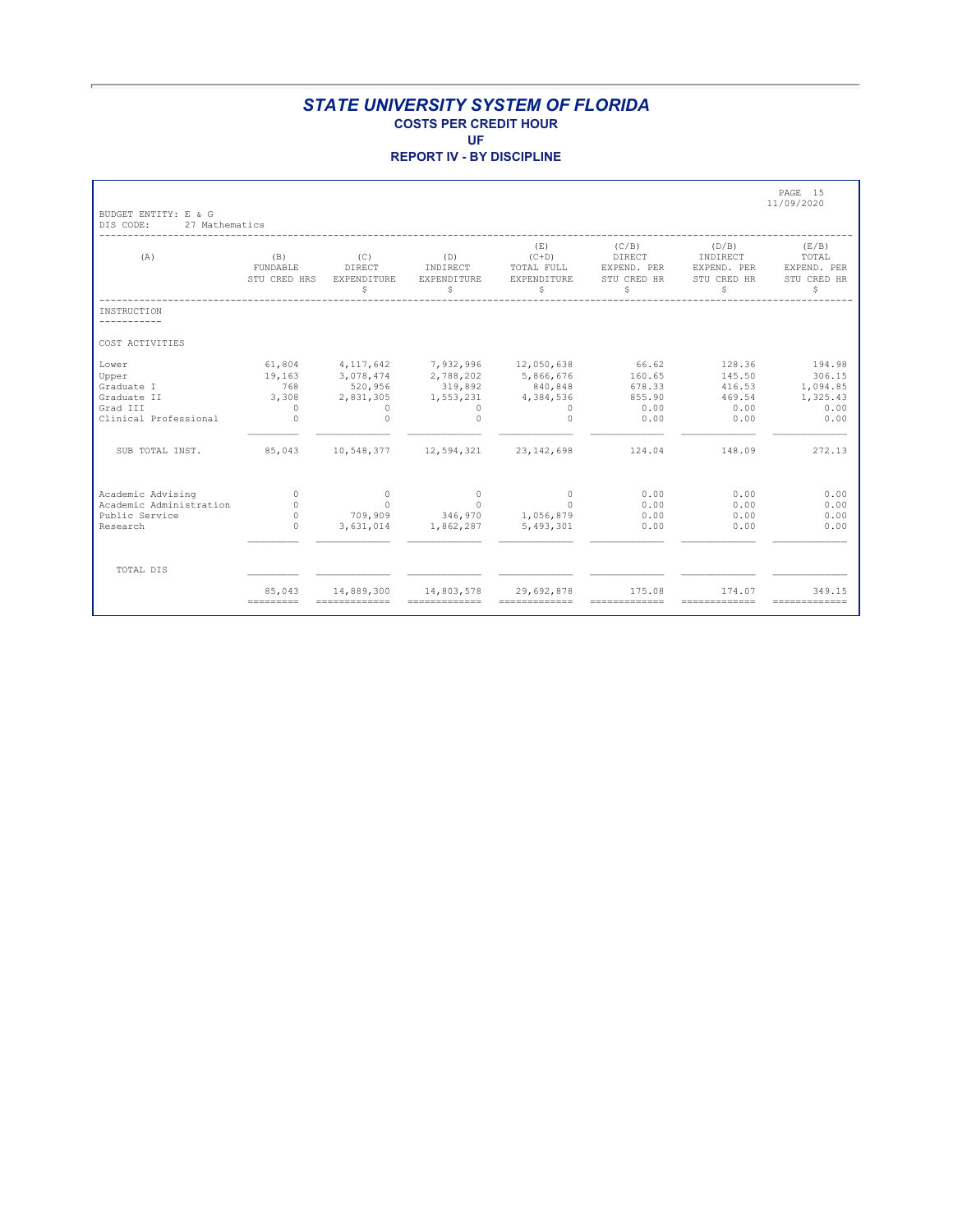| BUDGET ENTITY: E & G                                                             |                                                        |                                                                          |                                                                                   |                                                          |                                                            |                                                      | PAGE 15<br>11/09/2020                                    |
|----------------------------------------------------------------------------------|--------------------------------------------------------|--------------------------------------------------------------------------|-----------------------------------------------------------------------------------|----------------------------------------------------------|------------------------------------------------------------|------------------------------------------------------|----------------------------------------------------------|
| DIS CODE:<br>27 Mathematics<br>(A)                                               | (B)<br>FUNDABLE<br>STU CRED HRS                        | (C)<br>DIRECT<br><b>EXPENDITURE</b><br>\$                                | (D)<br>INDIRECT<br><b>EXPENDITURE</b><br>\$                                       | (E)<br>$(C+D)$<br>TOTAL FULL<br><b>EXPENDITURE</b><br>\$ | (C/B)<br><b>DIRECT</b><br>EXPEND. PER<br>STU CRED HR<br>\$ | (D/B)<br>INDIRECT<br>EXPEND. PER<br>STU CRED HR<br>S | (E/B)<br>TOTAL<br>EXPEND. PER<br>STU CRED HR<br>S        |
| INSTRUCTION                                                                      |                                                        |                                                                          |                                                                                   |                                                          |                                                            |                                                      |                                                          |
| COST ACTIVITIES                                                                  |                                                        |                                                                          |                                                                                   |                                                          |                                                            |                                                      |                                                          |
| Lower<br>Upper<br>Graduate I<br>Graduate II<br>Grad III<br>Clinical Professional | 61,804<br>19,163<br>768<br>3,308<br>$\Omega$<br>$\cap$ | 4, 117, 642<br>3,078,474<br>520,956<br>2,831,305<br>$\Omega$<br>$\Omega$ | 7,932,996 12,050,638<br>2,788,202<br>319,892<br>1,553,231<br>$\Omega$<br>$\Omega$ | 5,866,676<br>840,848<br>4,384,536<br>$\Omega$<br>$\cap$  | 66.62<br>160.65<br>678.33<br>855.90<br>0.00<br>0.00        | 128.36<br>145.50<br>416.53<br>469.54<br>0.00<br>0.00 | 194.98<br>306.15<br>1,094.85<br>1,325.43<br>0.00<br>0.00 |
| SUB TOTAL INST.                                                                  | 85,043                                                 |                                                                          | 10,548,377    12,594,321    23,142,698                                            |                                                          | 124.04                                                     | 148.09                                               | 272.13                                                   |
| Academic Advising<br>Academic Administration<br>Public Service<br>Research       | $\Omega$<br>$\Omega$<br>$\Omega$<br>$\Omega$           | $\overline{0}$<br>$\Omega$<br>3,631,014                                  | $\Omega$<br>$\Omega$<br>709,909 346,970 1,056,879<br>1,862,287                    | $\Omega$<br>$\Omega$<br>5,493,301                        | 0.00<br>0.00<br>0.00<br>0.00                               | 0.00<br>0.00<br>0.00<br>0.00                         | 0.00<br>0.00<br>0.00<br>0.00                             |
| TOTAL DIS                                                                        |                                                        |                                                                          |                                                                                   |                                                          |                                                            |                                                      |                                                          |
|                                                                                  | 85,043                                                 | 14,889,300                                                               | 14,803,578                                                                        | 29,692,878<br>=============                              | 175.08                                                     | 174.07<br>=============                              | 349.15<br>=============                                  |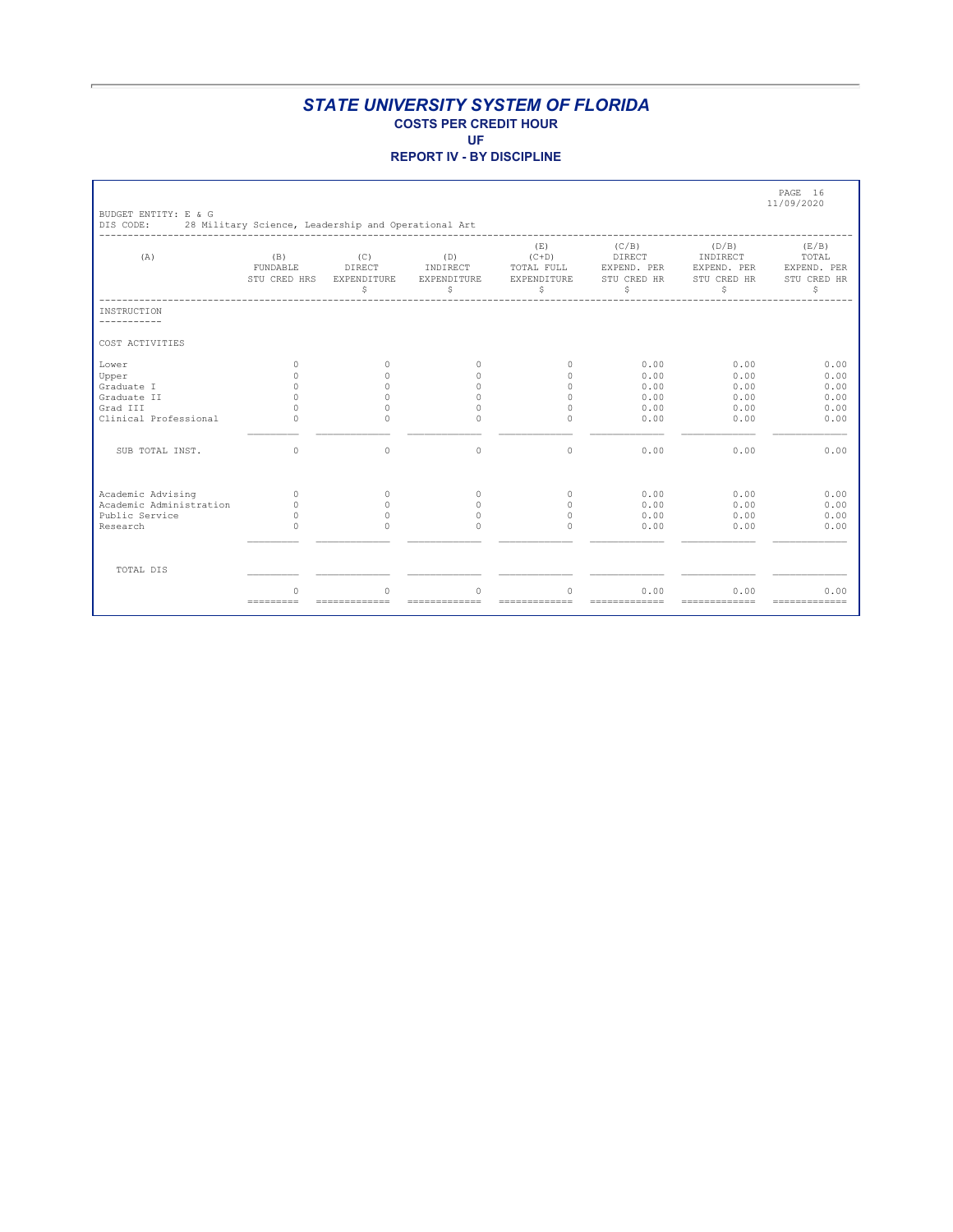**REPORT IV - BY DISCIPLINE**

| BUDGET ENTITY: E & G    |                                                     |                                    |                                      |                                                  |                                                      |                                                      | PAGE 16<br>11/09/2020                             |
|-------------------------|-----------------------------------------------------|------------------------------------|--------------------------------------|--------------------------------------------------|------------------------------------------------------|------------------------------------------------------|---------------------------------------------------|
| DIS CODE:               | 28 Military Science, Leadership and Operational Art |                                    |                                      |                                                  |                                                      |                                                      |                                                   |
| (A)                     | (B)<br>FUNDABLE<br>STU CRED HRS                     | (C)<br>DIRECT<br>EXPENDITURE<br>\$ | (D)<br>INDIRECT<br>EXPENDITURE<br>\$ | (E)<br>$(C+D)$<br>TOTAL FULL<br>EXPENDITURE<br>S | (C/B)<br>DIRECT<br>EXPEND. PER<br>STU CRED HR<br>\$. | (D/B)<br>INDIRECT<br>EXPEND. PER<br>STU CRED HR<br>S | (E/B)<br>TOTAL<br>EXPEND. PER<br>STU CRED HR<br>S |
| INSTRUCTION             |                                                     |                                    |                                      |                                                  |                                                      |                                                      |                                                   |
| COST ACTIVITIES         |                                                     |                                    |                                      |                                                  |                                                      |                                                      |                                                   |
| Lower                   | $\circ$                                             | $\circ$                            | $\circ$                              | $\circ$                                          | 0.00                                                 | 0.00                                                 | 0.00                                              |
| Upper                   | $\Omega$                                            | $\Omega$                           | $\Omega$                             | $\Omega$                                         | 0.00                                                 | 0.00                                                 | 0.00                                              |
| Graduate I              | <sup>n</sup>                                        | $\cap$                             | $\Omega$                             | $\Omega$                                         | 0.00                                                 | 0.00                                                 | 0.00                                              |
| Graduate II             | $\Omega$                                            | $\cap$                             | $\Omega$                             | $\Omega$                                         | 0.00                                                 | 0.00                                                 | 0.00                                              |
| Grad III                | $\cap$                                              | $\cap$                             | $\Omega$                             | $\Omega$                                         | 0.00                                                 | 0.00                                                 | 0.00                                              |
| Clinical Professional   | $\cap$                                              | $\cap$                             | $\Omega$                             | $\Omega$                                         | 0.00                                                 | 0.00                                                 | 0.00                                              |
| SUB TOTAL INST.         | $\Omega$                                            | $\bigcap$                          | $\Omega$                             | $\Omega$                                         | 0.00                                                 | 0.00                                                 | 0.00                                              |
| Academic Advising       | $\Omega$                                            | $\bigcap$                          | $\circ$                              | $\Omega$                                         | 0.00                                                 | 0.00                                                 | 0.00                                              |
| Academic Administration | $\cap$                                              | $\cap$                             | $\cap$                               | $\cap$                                           | 0.00                                                 | 0.00                                                 | 0.00                                              |
| Public Service          | $\Omega$                                            | $\Omega$                           | $\Omega$                             | $\Box$                                           | 0.00                                                 | 0.00                                                 | 0.00                                              |
| Research                | $\cap$                                              | $\cap$                             | $\Omega$                             | $\Box$                                           | 0.00                                                 | 0.00                                                 | 0.00                                              |
| TOTAL DIS               |                                                     |                                    |                                      |                                                  |                                                      |                                                      |                                                   |
|                         | =========                                           | =============                      | =============                        | $\cap$<br>-------------                          | 0.00<br>=============                                | 0.00<br>=============                                | 0.00<br>=============                             |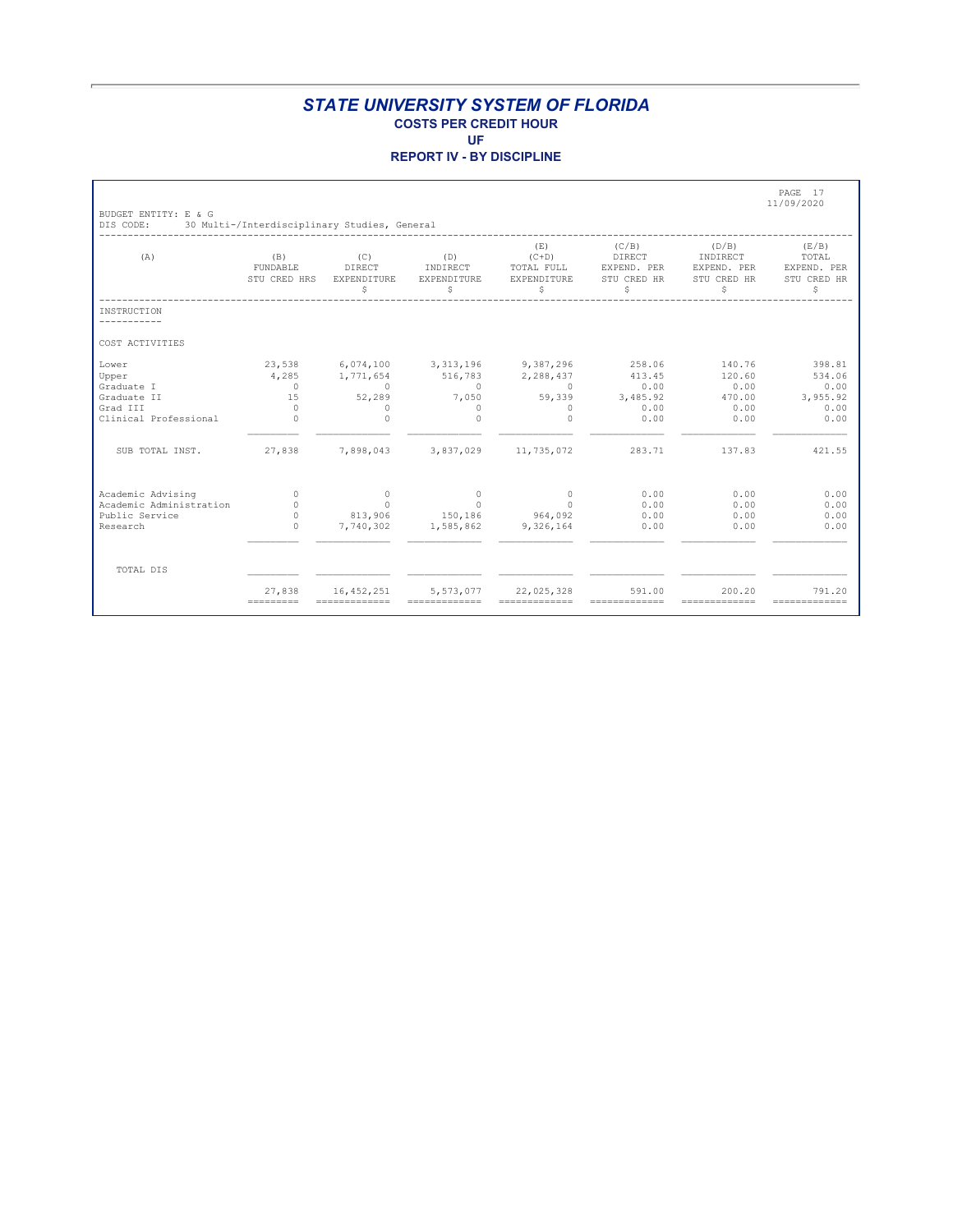| BUDGET ENTITY: E & G          |                                                                                 |                                     |                                      |                                                   |                                                      |                                                       | PAGE 17<br>11/09/2020                             |
|-------------------------------|---------------------------------------------------------------------------------|-------------------------------------|--------------------------------------|---------------------------------------------------|------------------------------------------------------|-------------------------------------------------------|---------------------------------------------------|
| DIS CODE:<br>(A)              | 30 Multi-/Interdisciplinary Studies, General<br>(B)<br>FUNDABLE<br>STU CRED HRS | (C)<br>DIRECT<br>EXPENDITURE<br>\$. | (D)<br>INDIRECT<br>EXPENDITURE<br>\$ | (E)<br>$(C+D)$<br>TOTAL FULL<br>EXPENDITURE<br>\$ | (C/B)<br>DIRECT<br>EXPEND. PER<br>STU CRED HR<br>\$. | (D/B)<br>INDIRECT<br>EXPEND. PER<br>STU CRED HR<br>\$ | (E/B)<br>TOTAL<br>EXPEND. PER<br>STU CRED HR<br>S |
| INSTRUCTION                   |                                                                                 |                                     |                                      |                                                   |                                                      |                                                       |                                                   |
| ----------<br>COST ACTIVITIES |                                                                                 |                                     |                                      |                                                   |                                                      |                                                       |                                                   |
| Lower<br>Upper                | 23,538<br>4,285                                                                 | 6,074,100<br>1,771,654              | 3, 313, 196<br>516,783               | 9,387,296<br>2,288,437                            | 258.06<br>413.45                                     | 140.76<br>120.60                                      | 398.81<br>534.06                                  |
| Graduate I<br>Graduate II     | $\Omega$<br>15                                                                  | $\circ$<br>52,289                   | $\cap$<br>7,050                      | $\Omega$<br>59,339                                | 0.00<br>3,485.92                                     | 0.00<br>470.00                                        | 0.00<br>3,955.92                                  |
| Grad III                      | $\Omega$                                                                        | $\Omega$                            | $\Omega$                             | $\Omega$                                          | 0.00                                                 | 0.00                                                  | 0.00                                              |
| Clinical Professional         | $\cap$                                                                          | $\cap$                              | $\Omega$                             | $\cap$                                            | 0.00                                                 | 0.00                                                  | 0.00                                              |
| SUB TOTAL INST.               | 27,838                                                                          | 7,898,043                           | 3,837,029                            | 11,735,072                                        | 283.71                                               | 137.83                                                | 421.55                                            |
| Academic Advising             | $\circ$                                                                         | $\circ$                             | $\circ$                              | $\circ$                                           | 0.00                                                 | 0.00                                                  | 0.00                                              |
| Academic Administration       | $\Omega$                                                                        | $\Omega$                            | $\Omega$                             | $\Omega$                                          | 0.00                                                 | 0.00                                                  | 0.00                                              |
| Public Service                | $\Omega$                                                                        | 813,906                             | 150,186                              | 964,092                                           | 0.00                                                 | 0.00                                                  | 0.00                                              |
| Research                      | $\Omega$                                                                        | 7,740,302                           | 1,585,862                            | 9,326,164                                         | 0.00                                                 | 0.00                                                  | 0.00                                              |
| TOTAL DIS                     |                                                                                 |                                     |                                      |                                                   |                                                      |                                                       |                                                   |
|                               | 27,838<br>---------                                                             | 16,452,251                          | 5,573,077                            | 22,025,328                                        | 591.00                                               | 200.20                                                | 791.20                                            |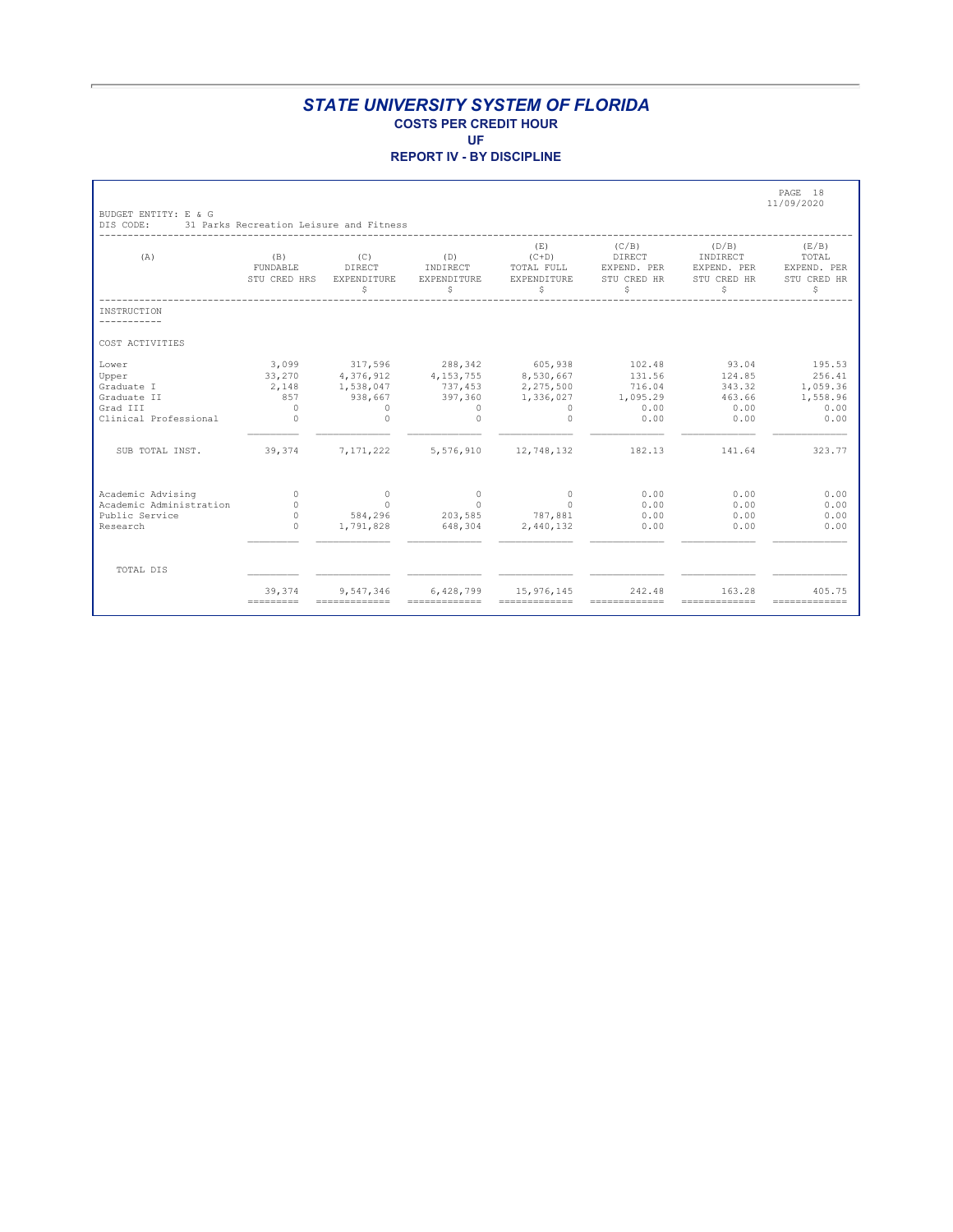**REPORT IV - BY DISCIPLINE**

| BUDGET ENTITY: E & G                                                             |                                                                 |                                                                                                      |                                                                                                          |                                                                        |                                                        |                                                       | PAGE 18<br>11/09/2020                                    |
|----------------------------------------------------------------------------------|-----------------------------------------------------------------|------------------------------------------------------------------------------------------------------|----------------------------------------------------------------------------------------------------------|------------------------------------------------------------------------|--------------------------------------------------------|-------------------------------------------------------|----------------------------------------------------------|
| DIS CODE:                                                                        | 31 Parks Recreation Leisure and Fitness                         |                                                                                                      |                                                                                                          |                                                                        |                                                        |                                                       |                                                          |
| (A)                                                                              | (B)<br>FUNDABLE<br>STU CRED HRS                                 | (C)<br>DIRECT<br>EXPENDITURE<br>\$                                                                   | (D)<br>INDIRECT<br>EXPENDITURE<br>\$                                                                     | (E)<br>$(C+D)$<br>TOTAL FULL<br>EXPENDITURE<br>\$                      | (C/B)<br>DIRECT<br>EXPEND. PER<br>STU CRED HR<br>\$    | (D/B)<br>INDIRECT<br>EXPEND. PER<br>STU CRED HR<br>\$ | (E/B)<br>TOTAL<br>EXPEND. PER<br>STU CRED HR<br>S        |
| INSTRUCTION                                                                      |                                                                 |                                                                                                      |                                                                                                          |                                                                        |                                                        |                                                       |                                                          |
| COST ACTIVITIES                                                                  |                                                                 |                                                                                                      |                                                                                                          |                                                                        |                                                        |                                                       |                                                          |
| Lower<br>Upper<br>Graduate I<br>Graduate II<br>Grad III<br>Clinical Professional | 3,099<br>33,270<br>2,148<br>857<br>$\bigcirc$<br>$\overline{0}$ | 317,596<br>4,376,912<br>1,538,047<br>938,667<br>$\Omega$<br>$\Omega$                                 | 288,342<br>4, 153, 755<br>737,453<br>397,360<br>$\circ$<br>$\Omega$                                      | 605,938<br>8,530,667<br>2,275,500<br>1,336,027<br>$\Omega$<br>$\Omega$ | 102.48<br>131.56<br>716.04<br>1,095.29<br>0.00<br>0.00 | 93.04<br>124.85<br>343.32<br>463.66<br>0.00<br>0.00   | 195.53<br>256.41<br>1,059.36<br>1,558.96<br>0.00<br>0.00 |
| SUB TOTAL INST.                                                                  | 39,374                                                          | 7,171,222                                                                                            | 5,576,910                                                                                                | 12,748,132                                                             | 182.13                                                 | 141.64                                                | 323.77                                                   |
| Academic Advising<br>Academic Administration<br>Public Service<br>Research       | $\Omega$<br>$\Omega$<br>$\Omega$<br>$\Omega$                    | $\Omega$<br>$\Omega$<br>584,296<br>1,791,828                                                         | $\Omega$<br>$\Omega$<br>203,585<br>648,304                                                               | $\Omega$<br>$\Omega$<br>787,881<br>2,440,132                           | 0.00<br>0.00<br>0.00<br>0.00                           | 0.00<br>0.00<br>0.00<br>0.00                          | 0.00<br>0.00<br>0.00<br>0.00                             |
| TOTAL DIS                                                                        |                                                                 |                                                                                                      |                                                                                                          |                                                                        |                                                        |                                                       |                                                          |
|                                                                                  | 39,374<br>---------                                             | 9,547,346<br>$\begin{array}{cccccccccc} = & = & = & = & = & = & = & = & = & = & = & = & \end{array}$ | 6,428,799<br>$\begin{array}{cccccccccc} = & = & = & = & = & = & = & = & = & = & = & = & = & \end{array}$ | 15,976,145<br>=============                                            | 242.48<br>=============                                | 163.28<br>=============                               | 405.75                                                   |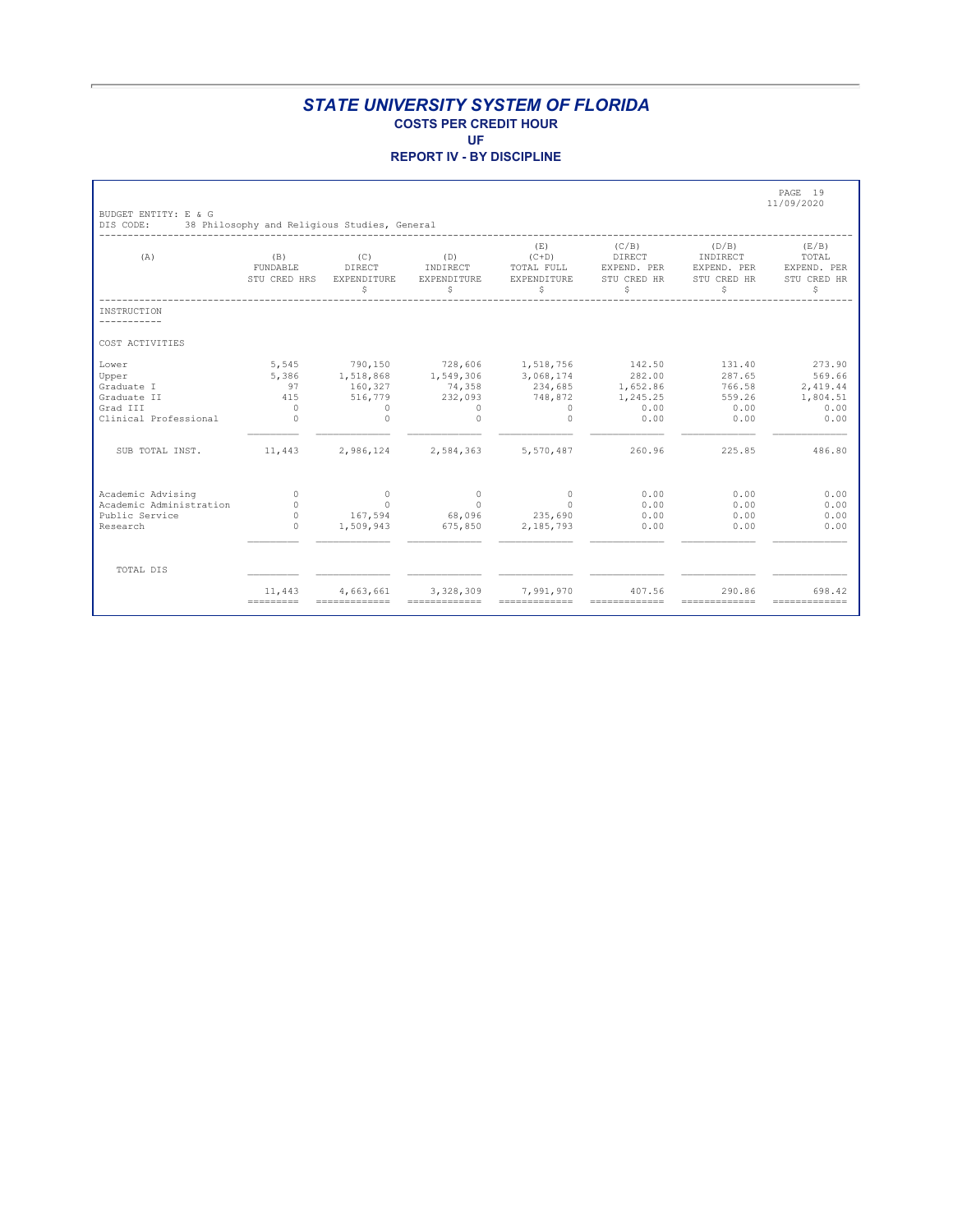| BUDGET ENTITY: E & G                                                             |                                                            |                                                                    |                                                                   |                                                                      |                                                          |                                                      | PAGE 19<br>11/09/2020                                    |
|----------------------------------------------------------------------------------|------------------------------------------------------------|--------------------------------------------------------------------|-------------------------------------------------------------------|----------------------------------------------------------------------|----------------------------------------------------------|------------------------------------------------------|----------------------------------------------------------|
| DIS CODE:                                                                        | 38 Philosophy and Religious Studies, General               |                                                                    |                                                                   |                                                                      |                                                          |                                                      |                                                          |
| (A)                                                                              | (B)<br>FUNDABLE<br>STU CRED HRS                            | (C)<br>DIRECT<br>EXPENDITURE<br>\$.                                | (D)<br>INDIRECT<br>EXPENDITURE<br>\$                              | (E)<br>$(C+D)$<br>TOTAL FULL<br>EXPENDITURE<br>\$                    | (C/B)<br>DIRECT<br>EXPEND. PER<br>STU CRED HR<br>S       | (D/B)<br>INDIRECT<br>EXPEND. PER<br>STU CRED HR<br>S | (E/B)<br>TOTAL<br>EXPEND. PER<br>STU CRED HR<br>Ŝ        |
| INSTRUCTION<br>. _ _ _ _ _ _ _ _ _ _                                             |                                                            |                                                                    |                                                                   |                                                                      |                                                          |                                                      |                                                          |
| COST ACTIVITIES                                                                  |                                                            |                                                                    |                                                                   |                                                                      |                                                          |                                                      |                                                          |
| Lower<br>Upper<br>Graduate I<br>Graduate II<br>Grad III<br>Clinical Professional | 5,545<br>5,386<br>97<br>415<br>$\overline{0}$<br>$\bigcap$ | 790,150<br>1,518,868<br>160,327<br>516,779<br>$\Omega$<br>$\Omega$ | 728,606<br>1,549,306<br>74,358<br>232,093<br>$\Omega$<br>$\Omega$ | 1,518,756<br>3,068,174<br>234,685<br>748,872<br>$\Omega$<br>$\Omega$ | 142.50<br>282.00<br>1,652.86<br>1,245.25<br>0.00<br>0.00 | 131.40<br>287.65<br>766.58<br>559.26<br>0.00<br>0.00 | 273.90<br>569.66<br>2,419.44<br>1,804.51<br>0.00<br>0.00 |
| SUB TOTAL INST.                                                                  | 11,443                                                     |                                                                    | 2,986,124 2,584,363                                               | 5,570,487                                                            | 260.96                                                   | 225.85                                               | 486.80                                                   |
| Academic Advising<br>Academic Administration<br>Public Service<br>Research       | $\circ$<br>$\Omega$<br>$\Omega$<br>$\Omega$                | $\circ$<br>$\Omega$<br>1,509,943                                   | $\circ$<br>$\Omega$<br>167,594 68,096<br>675,850                  | $\circ$<br>$\Omega$<br>235,690<br>2,185,793                          | 0.00<br>0.00<br>0.00<br>0.00                             | 0.00<br>0.00<br>0.00<br>0.00                         | 0.00<br>0.00<br>0.00<br>0.00                             |
| TOTAL DIS                                                                        |                                                            |                                                                    |                                                                   |                                                                      |                                                          |                                                      |                                                          |
|                                                                                  | 11,443<br>---------                                        | 4,663,661                                                          | 3,328,309                                                         | 7,991,970                                                            | 407.56                                                   | 290.86                                               | 698.42                                                   |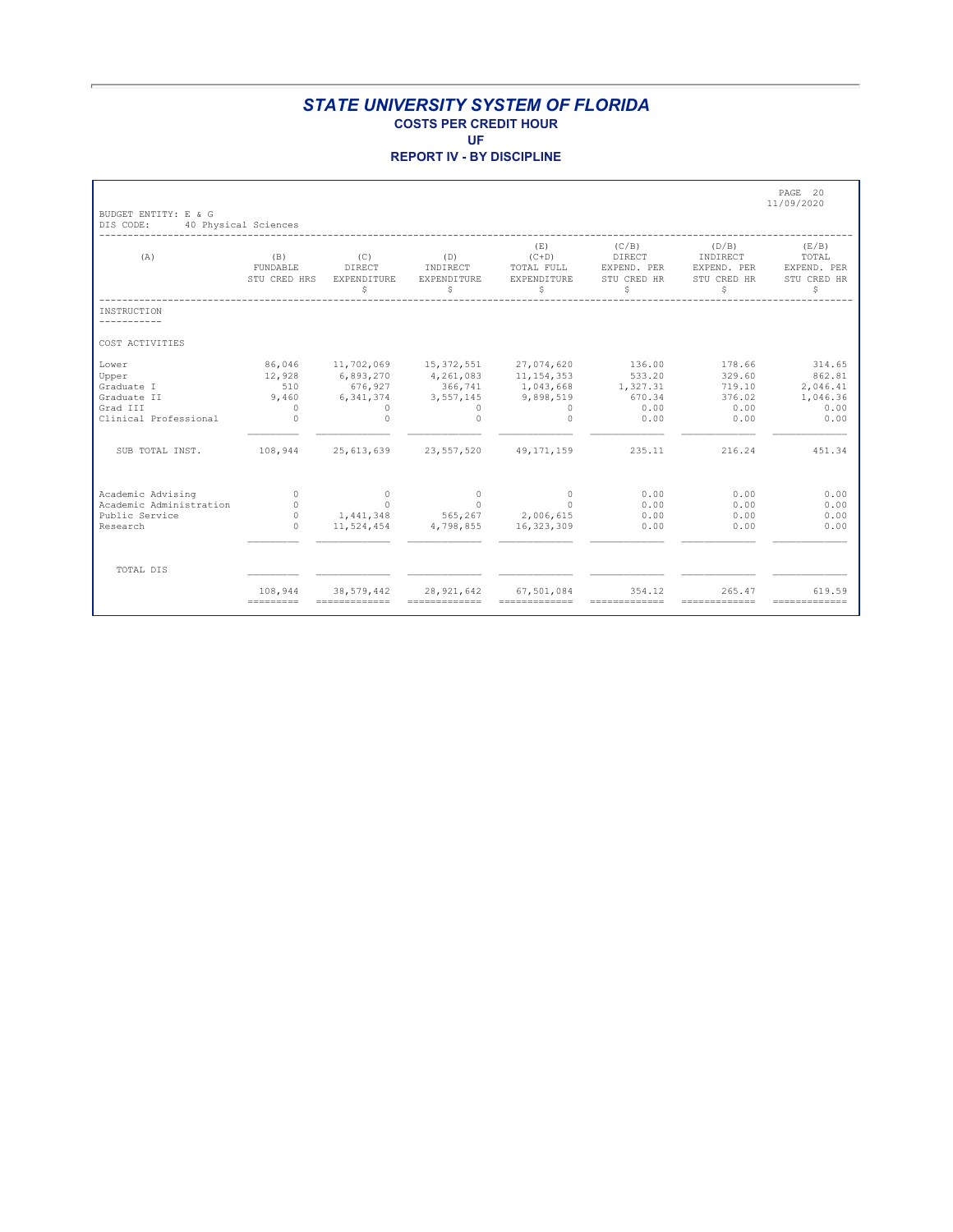**REPORT IV - BY DISCIPLINE**

| BUDGET ENTITY: E & G                                                             |                                                        |                                                                                                               |                                                                                                           |                                                                            |                                                            |                                                       | PAGE 20<br>11/09/2020                                    |
|----------------------------------------------------------------------------------|--------------------------------------------------------|---------------------------------------------------------------------------------------------------------------|-----------------------------------------------------------------------------------------------------------|----------------------------------------------------------------------------|------------------------------------------------------------|-------------------------------------------------------|----------------------------------------------------------|
| DIS CODE:                                                                        | 40 Physical Sciences                                   |                                                                                                               |                                                                                                           |                                                                            |                                                            |                                                       |                                                          |
| (A)                                                                              | (B)<br>FUNDABLE<br>STU CRED HRS                        | (C)<br>DIRECT<br>EXPENDITURE<br>\$                                                                            | (D)<br>INDIRECT<br>EXPENDITURE<br>\$                                                                      | (E)<br>$(C+D)$<br>TOTAL FULL<br>EXPENDITURE<br>S                           | (C/B)<br><b>DIRECT</b><br>EXPEND. PER<br>STU CRED HR<br>\$ | (D/B)<br>INDIRECT<br>EXPEND. PER<br>STU CRED HR<br>\$ | (E/B)<br>TOTAL<br>EXPEND. PER<br>STU CRED HR<br>S        |
| INSTRUCTION                                                                      |                                                        |                                                                                                               |                                                                                                           |                                                                            |                                                            |                                                       |                                                          |
| COST ACTIVITIES                                                                  |                                                        |                                                                                                               |                                                                                                           |                                                                            |                                                            |                                                       |                                                          |
| Lower<br>Upper<br>Graduate I<br>Graduate II<br>Grad III<br>Clinical Professional | 86,046<br>12,928<br>510<br>9,460<br>$\Omega$<br>$\cap$ | 6,893,270<br>676,927<br>6, 341, 374<br>$\Omega$<br>$\cap$                                                     | 11,702,069 15,372,551<br>4,261,083<br>366,741<br>3, 557, 145<br>$\Omega$<br>$\Omega$                      | 27,074,620<br>11, 154, 353<br>1,043,668<br>9,898,519<br>$\Omega$<br>$\Box$ | 136.00<br>533.20<br>1,327.31<br>670.34<br>0.00<br>0.00     | 178.66<br>329.60<br>719.10<br>376.02<br>0.00<br>0.00  | 314.65<br>862.81<br>2,046.41<br>1,046.36<br>0.00<br>0.00 |
| SUB TOTAL INST.                                                                  | 108,944                                                | 25,613,639                                                                                                    | 23,557,520                                                                                                | 49,171,159                                                                 | 235.11                                                     | 216.24                                                | 451.34                                                   |
| Academic Advising<br>Academic Administration<br>Public Service<br>Research       | $\Omega$<br>$\Omega$<br>$\Omega$<br>$\Omega$           | $\Omega$<br>$\Omega$<br>1,441,348<br>11,524,454                                                               | $\sim$ 0<br>$\Omega$<br>565,267 2,006,615<br>4,798,855                                                    | $\Omega$<br>$\cap$<br>16,323,309                                           | 0.00<br>0.00<br>0.00<br>0.00                               | 0.00<br>0.00<br>0.00<br>0.00                          | 0.00<br>0.00<br>0.00<br>0.00                             |
| TOTAL DIS                                                                        |                                                        |                                                                                                               |                                                                                                           |                                                                            |                                                            |                                                       |                                                          |
|                                                                                  | 108,944                                                | 38,579,442<br>$\begin{array}{cccccccccccccc} = & = & = & = & = & = & = & = & = & = & = & = & = & \end{array}$ | 28,921,642<br>$\begin{array}{cccccccccc} = & = & = & = & = & = & = & = & = & = & = & = & = & \end{array}$ | 67,501,084<br>=============                                                | 354.12<br>=============                                    | 265.47<br>=============                               | 619.59<br>$=$ = = = = = = = = = = = = =                  |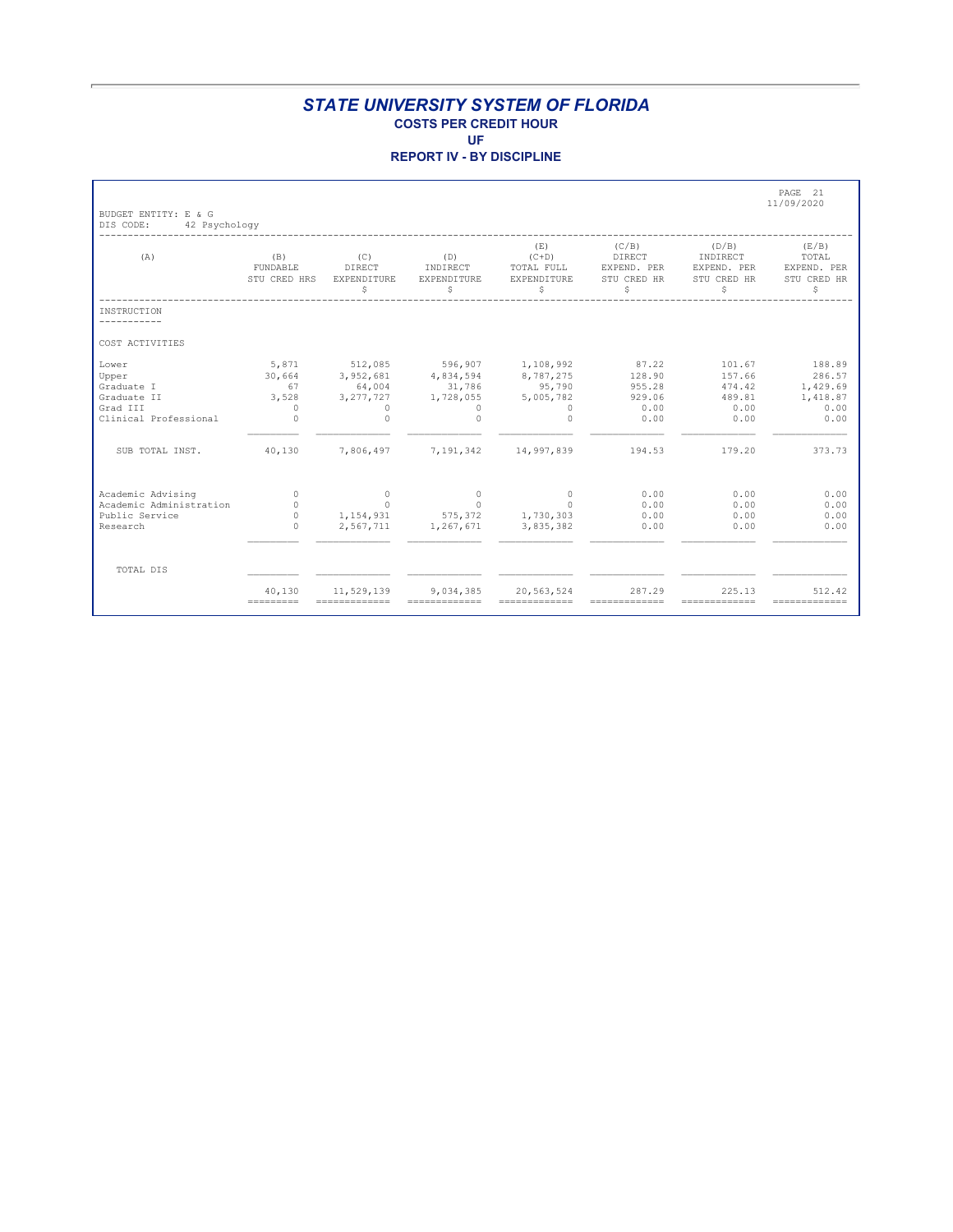**REPORT IV - BY DISCIPLINE**

| BUDGET ENTITY: E & G                                                             |                                                      |                                                                     |                                                                             |                                                                       |                                                            |                                                       | PAGE 21<br>11/09/2020                                    |
|----------------------------------------------------------------------------------|------------------------------------------------------|---------------------------------------------------------------------|-----------------------------------------------------------------------------|-----------------------------------------------------------------------|------------------------------------------------------------|-------------------------------------------------------|----------------------------------------------------------|
| DIS CODE:<br>42 Psychology                                                       |                                                      |                                                                     |                                                                             |                                                                       |                                                            |                                                       |                                                          |
| (A)                                                                              | (B)<br><b>FUNDABLE</b><br>STU CRED HRS               | (C)<br>DIRECT<br>EXPENDITURE<br>\$                                  | (D)<br>INDIRECT<br>EXPENDITURE<br>\$                                        | (E)<br>$(C+D)$<br>TOTAL FULL<br>EXPENDITURE<br>\$                     | (C/B)<br><b>DIRECT</b><br>EXPEND. PER<br>STU CRED HR<br>\$ | (D/B)<br>INDIRECT<br>EXPEND. PER<br>STU CRED HR<br>\$ | (E/B)<br>TOTAL<br>EXPEND. PER<br>STU CRED HR<br>S        |
| INSTRUCTION                                                                      |                                                      |                                                                     |                                                                             |                                                                       |                                                            |                                                       |                                                          |
| COST ACTIVITIES                                                                  |                                                      |                                                                     |                                                                             |                                                                       |                                                            |                                                       |                                                          |
| Lower<br>Upper<br>Graduate I<br>Graduate II<br>Grad III<br>Clinical Professional | 5,871<br>30,664<br>67<br>3,528<br>$\Omega$<br>$\cap$ | 512,085<br>3,952,681<br>64,004<br>3, 277, 727<br>$\Omega$<br>$\cap$ | 596,907<br>4,834,594<br>31,786<br>1,728,055<br>$\Omega$<br>$\Omega$         | 1,108,992<br>8,787,275<br>95,790<br>5,005,782<br>$\Omega$<br>$\Omega$ | 87.22<br>128.90<br>955.28<br>929.06<br>0.00<br>0.00        | 101.67<br>157.66<br>474.42<br>489.81<br>0.00<br>0.00  | 188.89<br>286.57<br>1,429.69<br>1,418.87<br>0.00<br>0.00 |
| SUB TOTAL INST.                                                                  | 40,130                                               | 7,806,497                                                           | 7, 191, 342 14, 997, 839                                                    |                                                                       | 194.53                                                     | 179.20                                                | 373.73                                                   |
| Academic Advising<br>Academic Administration<br>Public Service<br>Research       | $\Omega$<br>$\Omega$<br>$\circ$<br>$\Omega$          | $\Omega$<br>$\Omega$<br>2,567,711                                   | $\overline{0}$<br>$\Omega$<br>1, 154, 931 575, 372 1, 730, 303<br>1,267,671 | $\circ$<br>$\cap$<br>3,835,382                                        | 0.00<br>0.00<br>0.00<br>0.00                               | 0.00<br>0.00<br>0.00<br>0.00                          | 0.00<br>0.00<br>0.00<br>0.00                             |
| TOTAL DIS                                                                        |                                                      |                                                                     |                                                                             |                                                                       |                                                            |                                                       |                                                          |
|                                                                                  | 40,130                                               | 11,529,139                                                          | 9,034,385<br>=============                                                  | 20,563,524<br>=============                                           | 287.29<br>=============                                    | 225.13<br>_____________                               | 512.42<br>=============                                  |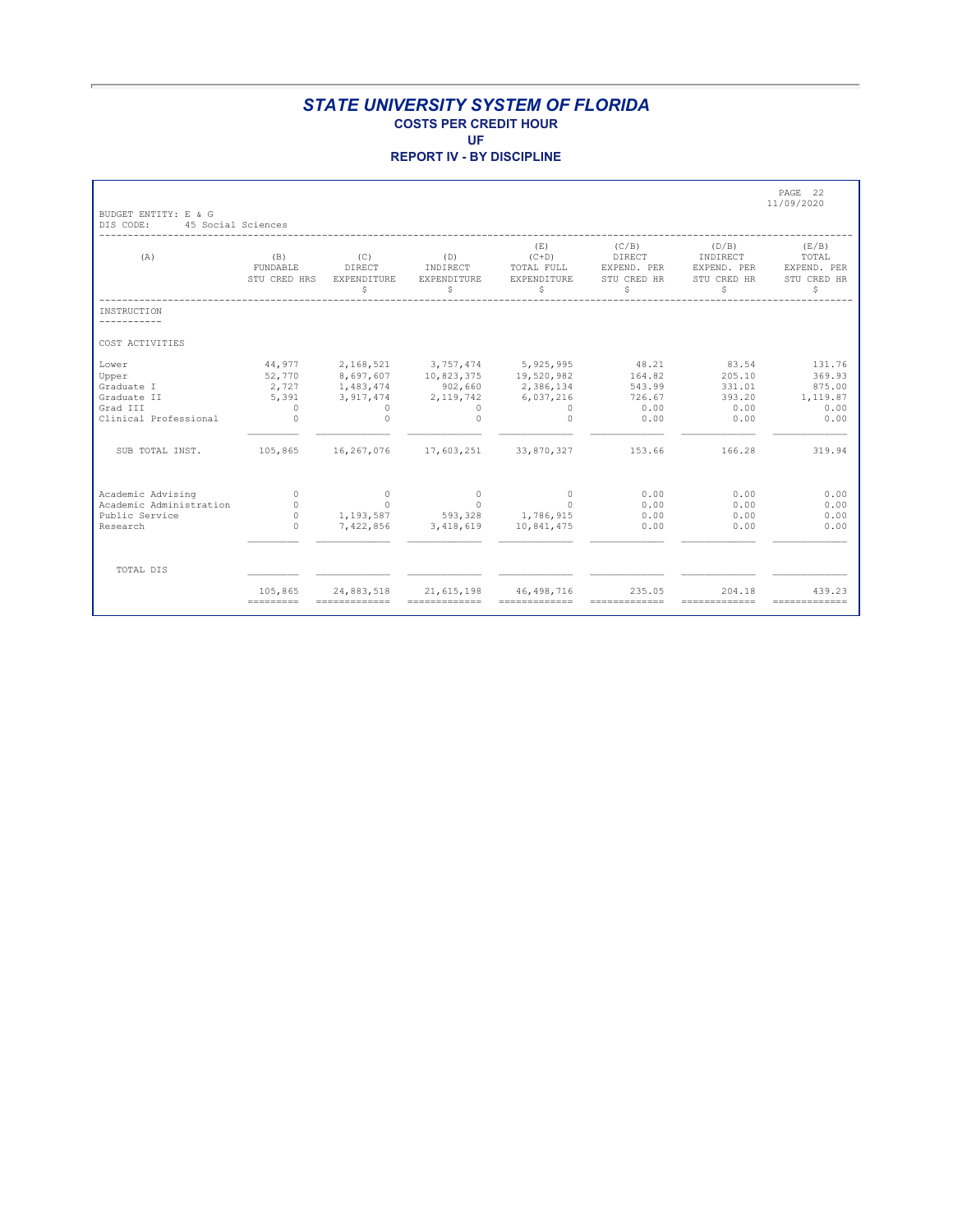| BUDGET ENTITY: E & G                                                             |                                                            |                                                                          |                                                                                      |                                                          |                                                            |                                                      | PAGE 22<br>11/09/2020                                  |
|----------------------------------------------------------------------------------|------------------------------------------------------------|--------------------------------------------------------------------------|--------------------------------------------------------------------------------------|----------------------------------------------------------|------------------------------------------------------------|------------------------------------------------------|--------------------------------------------------------|
| DIS CODE:<br>45 Social Sciences<br>(A)                                           | (B)<br>FUNDABLE<br>STU CRED HRS                            | (C)<br>DIRECT<br><b>EXPENDITURE</b><br>\$                                | (D)<br>INDIRECT<br><b>EXPENDITURE</b><br>\$                                          | (E)<br>$(C+D)$<br>TOTAL FULL<br><b>EXPENDITURE</b><br>\$ | (C/B)<br><b>DIRECT</b><br>EXPEND. PER<br>STU CRED HR<br>\$ | (D/B)<br>INDIRECT<br>EXPEND. PER<br>STU CRED HR<br>S | (E/B)<br>TOTAL<br>EXPEND. PER<br>STU CRED HR<br>S      |
| INSTRUCTION                                                                      |                                                            |                                                                          |                                                                                      |                                                          |                                                            |                                                      |                                                        |
| COST ACTIVITIES                                                                  |                                                            |                                                                          |                                                                                      |                                                          |                                                            |                                                      |                                                        |
| Lower<br>Upper<br>Graduate I<br>Graduate II<br>Grad III<br>Clinical Professional | 44,977<br>52,770<br>2,727<br>5,391<br>$\Omega$<br>$\Omega$ | 2,168,521<br>8,697,607<br>1,483,474<br>3, 917, 474<br>$\Omega$<br>$\cap$ | 3,757,474<br>10,823,375 19,520,982<br>902,660<br>2, 119, 742<br>$\Omega$<br>$\Omega$ | 5,925,995<br>2,386,134<br>6,037,216<br>$\Box$<br>$\cap$  | 48.21<br>164.82<br>543.99<br>726.67<br>0.00<br>0.00        | 83.54<br>205.10<br>331.01<br>393.20<br>0.00<br>0.00  | 131.76<br>369.93<br>875.00<br>1,119.87<br>0.00<br>0.00 |
| SUB TOTAL INST.                                                                  | 105,865                                                    | 16,267,076                                                               | 17,603,251 33,870,327                                                                |                                                          | 153.66                                                     | 166.28                                               | 319.94                                                 |
| Academic Advising<br>Academic Administration<br>Public Service<br>Research       | $\Omega$<br>$\Omega$<br>$\Omega$<br>$\Omega$               | $\overline{0}$<br>$\Omega$<br>7,422,856                                  | $\Omega$<br>$\Omega$<br>1, 193, 587 593, 328 1, 786, 915<br>3,418,619                | $\Omega$<br>$\Omega$<br>10,841,475                       | 0.00<br>0.00<br>0.00<br>0.00                               | 0.00<br>0.00<br>0.00<br>0.00                         | 0.00<br>0.00<br>0.00<br>0.00                           |
| TOTAL DIS                                                                        |                                                            |                                                                          |                                                                                      |                                                          |                                                            |                                                      |                                                        |
|                                                                                  | 105,865                                                    | 24,883,518                                                               | 21, 615, 198                                                                         | 46, 498, 716<br>$=$ = = = = = = = = = = = = =            | 235.05                                                     | 204.18<br>=============                              | 439.23<br>=============                                |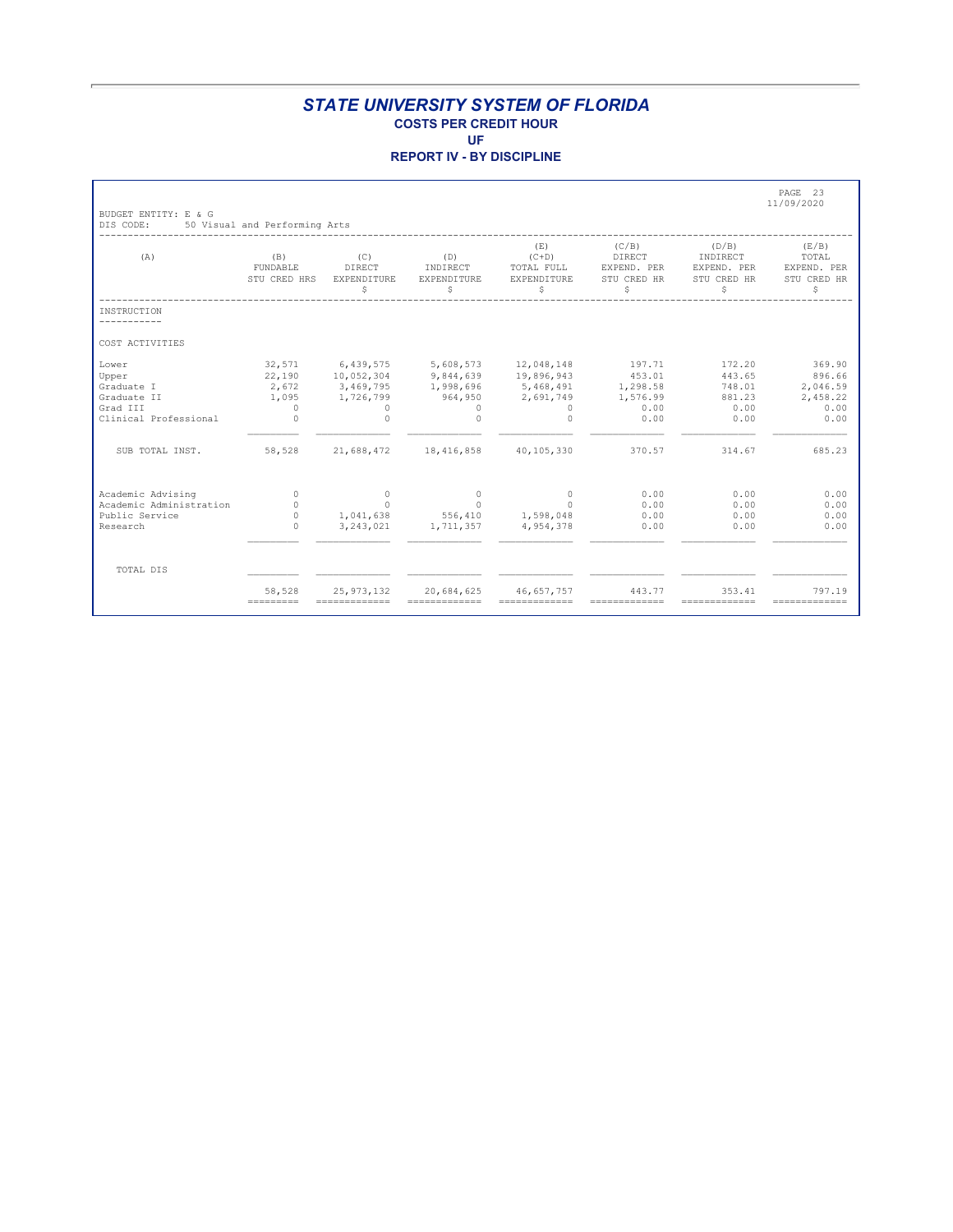| BUDGET ENTITY: E & G                                                             |                                                                  |                                                                                    |                                                                                              |                                                  |                                                          |                                                      | PAGE 23<br>11/09/2020                                    |
|----------------------------------------------------------------------------------|------------------------------------------------------------------|------------------------------------------------------------------------------------|----------------------------------------------------------------------------------------------|--------------------------------------------------|----------------------------------------------------------|------------------------------------------------------|----------------------------------------------------------|
| DIS CODE:<br>(A)                                                                 | 50 Visual and Performing Arts<br>(B)<br>FUNDABLE<br>STU CRED HRS | (C)<br>DIRECT<br>EXPENDITURE<br>\$                                                 | (D)<br>INDIRECT<br>EXPENDITURE<br>\$                                                         | (E)<br>$(C+D)$<br>TOTAL FULL<br>EXPENDITURE<br>S | (C/B)<br>DIRECT<br>EXPEND. PER<br>STU CRED HR<br>\$.     | (D/B)<br>INDIRECT<br>EXPEND. PER<br>STU CRED HR<br>S | (E/B)<br>TOTAL<br>EXPEND. PER<br>STU CRED HR<br>Ŝ        |
| INSTRUCTION                                                                      |                                                                  |                                                                                    |                                                                                              |                                                  |                                                          |                                                      |                                                          |
| COST ACTIVITIES                                                                  |                                                                  |                                                                                    |                                                                                              |                                                  |                                                          |                                                      |                                                          |
| Lower<br>Upper<br>Graduate I<br>Graduate II<br>Grad III<br>Clinical Professional | 22,190<br>2,672<br>1,095<br>$\Omega$<br>$\Omega$                 | 32,571 6,439,575<br>10,052,304<br>3, 469, 795<br>1,726,799<br>$\Omega$<br>$\Omega$ | 5,608,573 12,048,148<br>9,844,639 19,896,943<br>1,998,696<br>964,950<br>$\Omega$<br>$\Omega$ | 5,468,491<br>2,691,749<br>$\Omega$<br>$\Omega$   | 197.71<br>453.01<br>1,298.58<br>1,576.99<br>0.00<br>0.00 | 172.20<br>443.65<br>748.01<br>881.23<br>0.00<br>0.00 | 369.90<br>896.66<br>2,046.59<br>2,458.22<br>0.00<br>0.00 |
| SUB TOTAL INST.                                                                  | 58,528                                                           |                                                                                    | 21,688,472 18,416,858                                                                        | 40,105,330                                       | 370.57                                                   | 314.67                                               | 685.23                                                   |
| Academic Advising<br>Academic Administration<br>Public Service<br>Research       | $\Omega$<br>$\circ$<br>$\Omega$<br>$\Omega$                      | $\circ$<br>$\sim$ 0                                                                | $\Omega$<br>$\sim$ 0<br>1,041,638 556,410 1,598,048<br>3, 243, 021 1, 711, 357 4, 954, 378   | $\Omega$<br>$\Omega$                             | 0.00<br>0.00<br>0.00<br>0.00                             | 0.00<br>0.00<br>0.00<br>0.00                         | 0.00<br>0.00<br>0.00<br>0.00                             |
| TOTAL DIS                                                                        |                                                                  |                                                                                    |                                                                                              |                                                  |                                                          |                                                      |                                                          |
|                                                                                  | 58,528<br>---------                                              | 25, 973, 132                                                                       | 20,684,625<br>--------------                                                                 | 46,657,757                                       | 443.77                                                   | 353.41                                               | 797.19                                                   |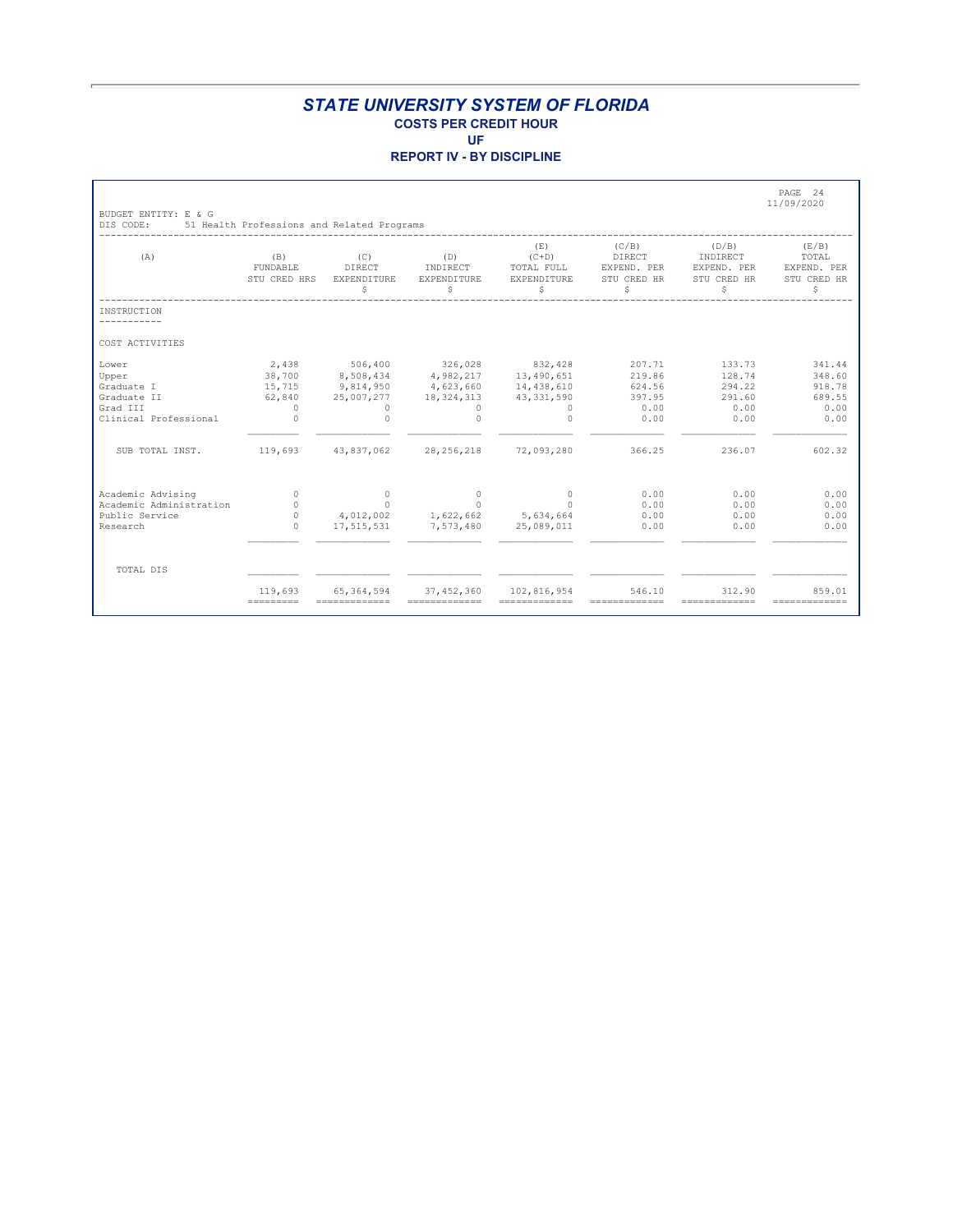**REPORT IV - BY DISCIPLINE**

| BUDGET ENTITY: E & G                                                             |                                                             |                                                                         |                                                                                                             |                                                                             |                                                      |                                                       | PAGE 24<br>11/09/2020                                |
|----------------------------------------------------------------------------------|-------------------------------------------------------------|-------------------------------------------------------------------------|-------------------------------------------------------------------------------------------------------------|-----------------------------------------------------------------------------|------------------------------------------------------|-------------------------------------------------------|------------------------------------------------------|
| DIS CODE:                                                                        | 51 Health Professions and Related Programs                  |                                                                         |                                                                                                             |                                                                             |                                                      |                                                       |                                                      |
| (A)                                                                              | (B)<br>FUNDABLE<br>STU CRED HRS                             | (C)<br>DIRECT<br>EXPENDITURE<br>\$                                      | (D)<br>INDIRECT<br>EXPENDITURE<br>\$                                                                        | (E)<br>$(C+D)$<br>TOTAL FULL<br>EXPENDITURE<br>S                            | (C/B)<br>DIRECT<br>EXPEND. PER<br>STU CRED HR<br>\$  | (D/B)<br>INDIRECT<br>EXPEND. PER<br>STU CRED HR<br>\$ | (E/B)<br>TOTAL<br>EXPEND. PER<br>STU CRED HR<br>S    |
| INSTRUCTION                                                                      |                                                             |                                                                         |                                                                                                             |                                                                             |                                                      |                                                       |                                                      |
| COST ACTIVITIES                                                                  |                                                             |                                                                         |                                                                                                             |                                                                             |                                                      |                                                       |                                                      |
| Lower<br>Upper<br>Graduate I<br>Graduate II<br>Grad TTT<br>Clinical Professional | 2,438<br>38,700<br>15,715<br>62,840<br>$\Omega$<br>$\Omega$ | 506,400<br>8,508,434<br>9,814,950<br>25,007,277<br>$\Omega$<br>$\Omega$ | 326,028<br>4,982,217<br>4,623,660<br>18, 324, 313<br>$\circ$<br>$\Omega$                                    | 832,428<br>13,490,651<br>14,438,610<br>43, 331, 590<br>$\Omega$<br>$\Omega$ | 207.71<br>219.86<br>624.56<br>397.95<br>0.00<br>0.00 | 133.73<br>128.74<br>294.22<br>291.60<br>0.00<br>0.00  | 341.44<br>348.60<br>918.78<br>689.55<br>0.00<br>0.00 |
| SUB TOTAL INST.                                                                  | 119,693                                                     | 43,837,062                                                              | 28, 256, 218                                                                                                | 72,093,280                                                                  | 366.25                                               | 236.07                                                | 602.32                                               |
| Academic Advising<br>Academic Administration<br>Public Service<br>Research       | $\Omega$<br>$\Omega$<br>$\Omega$<br>$\Omega$                | $\circ$<br>$\Omega$<br>4,012,002<br>17,515,531                          | $\Omega$<br>$\Omega$<br>1,622,662<br>7,573,480                                                              | $\Box$<br>$\Omega$<br>5,634,664<br>25,089,011                               | 0.00<br>0.00<br>0.00<br>0.00                         | 0.00<br>0.00<br>0.00<br>0.00                          | 0.00<br>0.00<br>0.00<br>0.00                         |
| TOTAL DIS                                                                        |                                                             |                                                                         |                                                                                                             |                                                                             |                                                      |                                                       |                                                      |
|                                                                                  | 119,693<br>=========                                        | 65, 364, 594                                                            | 37, 452, 360<br>$\begin{array}{cccccccccc} = & = & = & = & = & = & = & = & = & = & = & = & = & \end{array}$ | 102,816,954<br>=============                                                | 546.10<br>=============                              | 312.90<br>=============                               | 859.01<br>=============                              |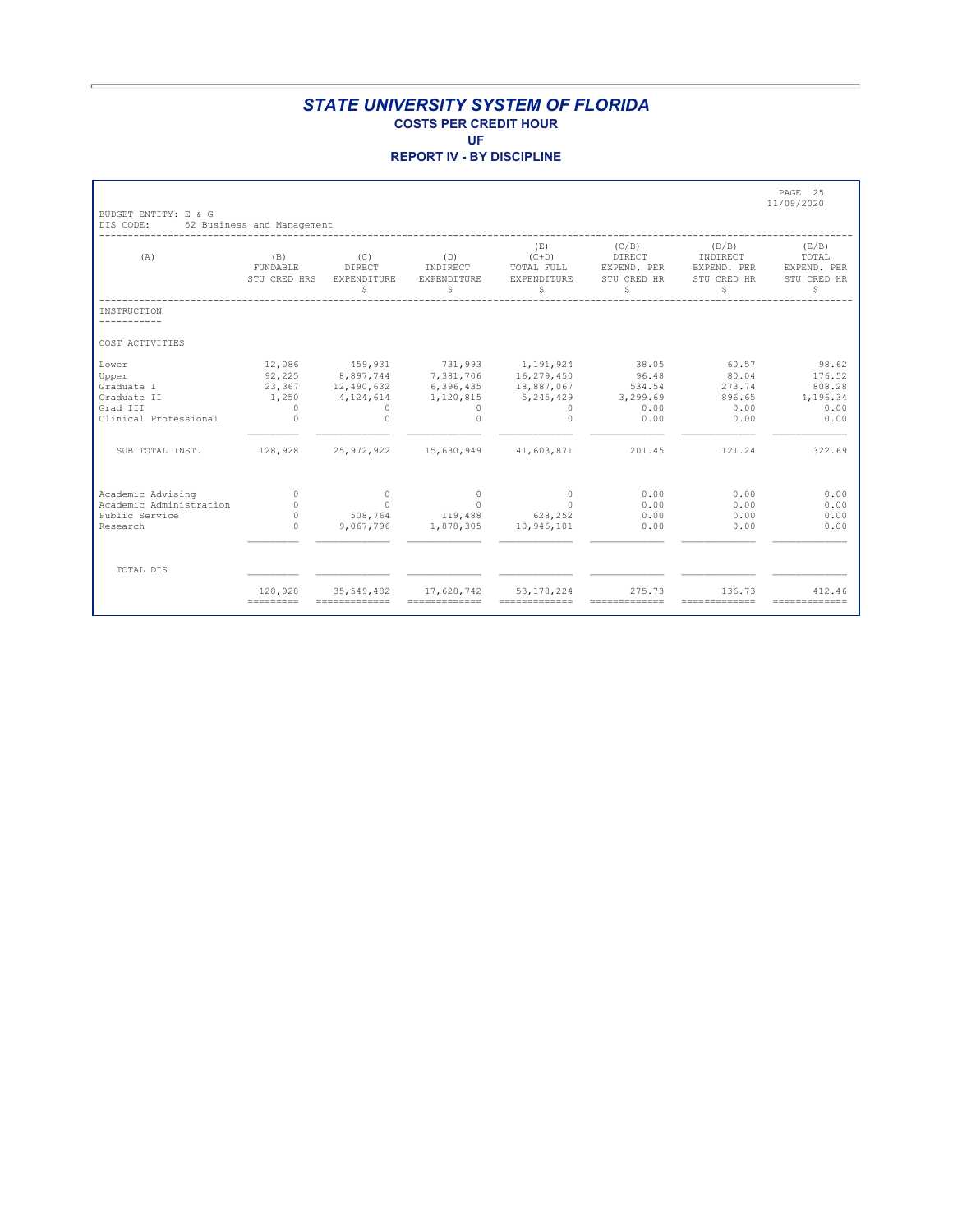| BUDGET ENTITY: E & G                                                             |                                                               |                                                                                     |                                                                                                        |                                                  |                                                      |                                                      | PAGE 25<br>11/09/2020                                 |
|----------------------------------------------------------------------------------|---------------------------------------------------------------|-------------------------------------------------------------------------------------|--------------------------------------------------------------------------------------------------------|--------------------------------------------------|------------------------------------------------------|------------------------------------------------------|-------------------------------------------------------|
| DIS CODE:<br>(A)                                                                 | 52 Business and Management<br>(B)<br>FUNDABLE<br>STU CRED HRS | (C)<br>DIRECT<br>EXPENDITURE<br>\$                                                  | (D)<br>INDIRECT<br>EXPENDITURE<br>\$                                                                   | (E)<br>$(C+D)$<br>TOTAL FULL<br>EXPENDITURE<br>S | (C/B)<br>DIRECT<br>EXPEND. PER<br>STU CRED HR<br>\$  | (D/B)<br>INDIRECT<br>EXPEND. PER<br>STU CRED HR<br>S | (E/B)<br>TOTAL<br>EXPEND. PER<br>STU CRED HR<br>S     |
| INSTRUCTION                                                                      |                                                               |                                                                                     |                                                                                                        |                                                  |                                                      |                                                      |                                                       |
| COST ACTIVITIES                                                                  |                                                               |                                                                                     |                                                                                                        |                                                  |                                                      |                                                      |                                                       |
| Lower<br>Upper<br>Graduate I<br>Graduate II<br>Grad III<br>Clinical Professional | 12,086<br>92,225<br>1,250<br>$\overline{0}$<br>$\Omega$       | 459,931<br>8,897,744<br>23, 367 12, 490, 632<br>4, 124, 614<br>$\Omega$<br>$\Omega$ | 731,993 1,191,924<br>7,381,706 16,279,450<br>6,396,435 18,887,067<br>1,120,815<br>$\Omega$<br>$\Omega$ | 5,245,429<br>$\Omega$<br>$\Omega$                | 38.05<br>96.48<br>534.54<br>3,299.69<br>0.00<br>0.00 | 60.57<br>80.04<br>273.74<br>896.65<br>0.00<br>0.00   | 98.62<br>176.52<br>808.28<br>4,196.34<br>0.00<br>0.00 |
| SUB TOTAL INST.                                                                  | 128,928                                                       | 25,972,922                                                                          | 15,630,949 41,603,871                                                                                  |                                                  | 201.45                                               | 121.24                                               | 322.69                                                |
| Academic Advising<br>Academic Administration<br>Public Service<br>Research       | $\Omega$<br>$\Omega$<br>$\Omega$<br>$\Omega$                  | $\Omega$<br>$\Omega$<br>508,764<br>9,067,796                                        | $\overline{0}$<br>$\Omega$<br>119,488<br>1,878,305                                                     | $\circ$<br>$\Omega$<br>628,252<br>10,946,101     | 0.00<br>0.00<br>0.00<br>0.00                         | 0.00<br>0.00<br>0.00<br>0.00                         | 0.00<br>0.00<br>0.00<br>0.00                          |
| TOTAL DIS                                                                        |                                                               |                                                                                     |                                                                                                        |                                                  |                                                      |                                                      |                                                       |
|                                                                                  | 128,928<br>$=$ = = = = = = = = =                              | 35, 549, 482                                                                        | 17,628,742<br>$=$ = = = = = = = = = = = = =                                                            | 53, 178, 224<br>=============                    | 275.73<br>=============                              | 136.73<br>-------------                              | 412.46<br>-------------                               |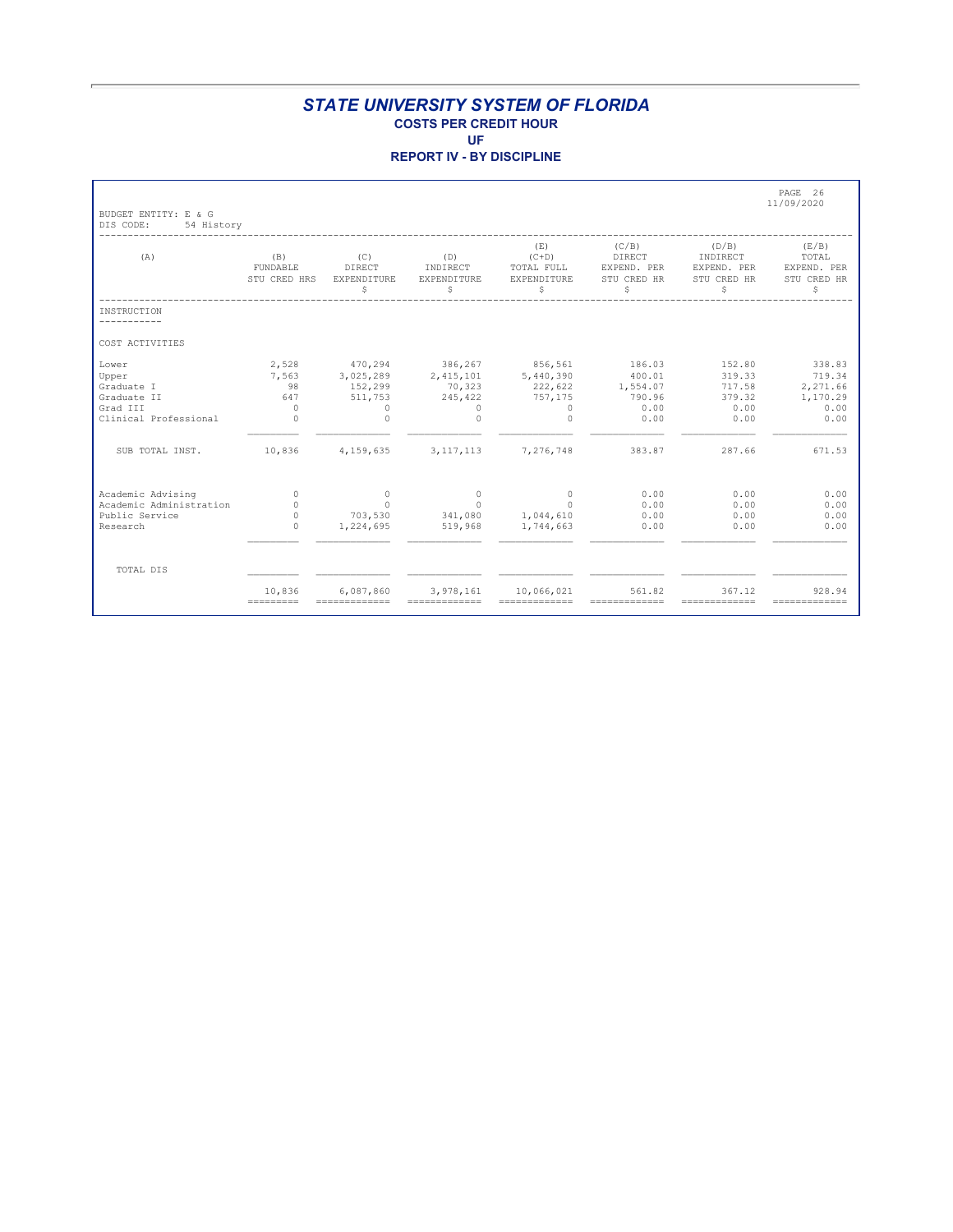| BUDGET ENTITY: E & G                                                             |                                                                                                     |                                                                    |                                                                   |                                                                    |                                                        |                                                      | PAGE 26<br>11/09/2020                                    |
|----------------------------------------------------------------------------------|-----------------------------------------------------------------------------------------------------|--------------------------------------------------------------------|-------------------------------------------------------------------|--------------------------------------------------------------------|--------------------------------------------------------|------------------------------------------------------|----------------------------------------------------------|
| DIS CODE:<br>54 History<br>(A)                                                   | (B)<br>FUNDABLE<br>STU CRED HRS                                                                     | (C)<br>DIRECT<br><b>EXPENDITURE</b><br>\$                          | (D)<br>INDIRECT<br><b>EXPENDITURE</b><br>\$                       | (E)<br>$(C+D)$<br>TOTAL FULL<br><b>EXPENDITURE</b><br>\$           | (C/B)<br>DIRECT<br>EXPEND. PER<br>STU CRED HR<br>\$    | (D/B)<br>INDIRECT<br>EXPEND. PER<br>STU CRED HR<br>S | (E/B)<br>TOTAL<br>EXPEND. PER<br>STU CRED HR<br>S        |
| INSTRUCTION                                                                      |                                                                                                     |                                                                    |                                                                   |                                                                    |                                                        |                                                      |                                                          |
| COST ACTIVITIES                                                                  |                                                                                                     |                                                                    |                                                                   |                                                                    |                                                        |                                                      |                                                          |
| Lower<br>Upper<br>Graduate I<br>Graduate II<br>Grad III<br>Clinical Professional | 2,528<br>7,563<br>98<br>647<br>$\bigcirc$<br>$\Omega$                                               | 470,294<br>3,025,289<br>152,299<br>511,753<br>$\Omega$<br>$\Omega$ | 386,267<br>2,415,101<br>70,323<br>245,422<br>$\Omega$<br>$\Omega$ | 856,561<br>5,440,390<br>222,622<br>757,175<br>$\Omega$<br>$\Omega$ | 186.03<br>400.01<br>1,554.07<br>790.96<br>0.00<br>0.00 | 152.80<br>319.33<br>717.58<br>379.32<br>0.00<br>0.00 | 338.83<br>719.34<br>2,271.66<br>1,170.29<br>0.00<br>0.00 |
| SUB TOTAL INST.                                                                  | 10,836                                                                                              | 4,159,635                                                          | 3, 117, 113                                                       | 7,276,748                                                          | 383.87                                                 | 287.66                                               | 671.53                                                   |
| Academic Advising<br>Academic Administration<br>Public Service<br>Research       | $\Omega$<br>$\Omega$<br>$\Omega$<br>$\Omega$                                                        | $\overline{0}$<br>$\Omega$<br>703,530<br>1,224,695                 | $\Omega$<br>$\Omega$<br>519,968                                   | $\circ$<br>$\Omega$<br>341,080 1,044,610<br>1,744,663              | 0.00<br>0.00<br>0.00<br>0.00                           | 0.00<br>0.00<br>0.00<br>0.00                         | 0.00<br>0.00<br>0.00<br>0.00                             |
| TOTAL DIS                                                                        |                                                                                                     |                                                                    |                                                                   |                                                                    |                                                        |                                                      |                                                          |
|                                                                                  | 10,836<br>$\qquad \qquad \displaystyle =\qquad \qquad =\qquad \qquad =\qquad \qquad =\qquad \qquad$ | 6,087,860<br>$=$ = = = = = = = = = = = = =                         | 3,978,161                                                         | 10,066,021<br>=============                                        | 561.82<br>=============                                | 367.12<br>=============                              | 928.94<br>=============                                  |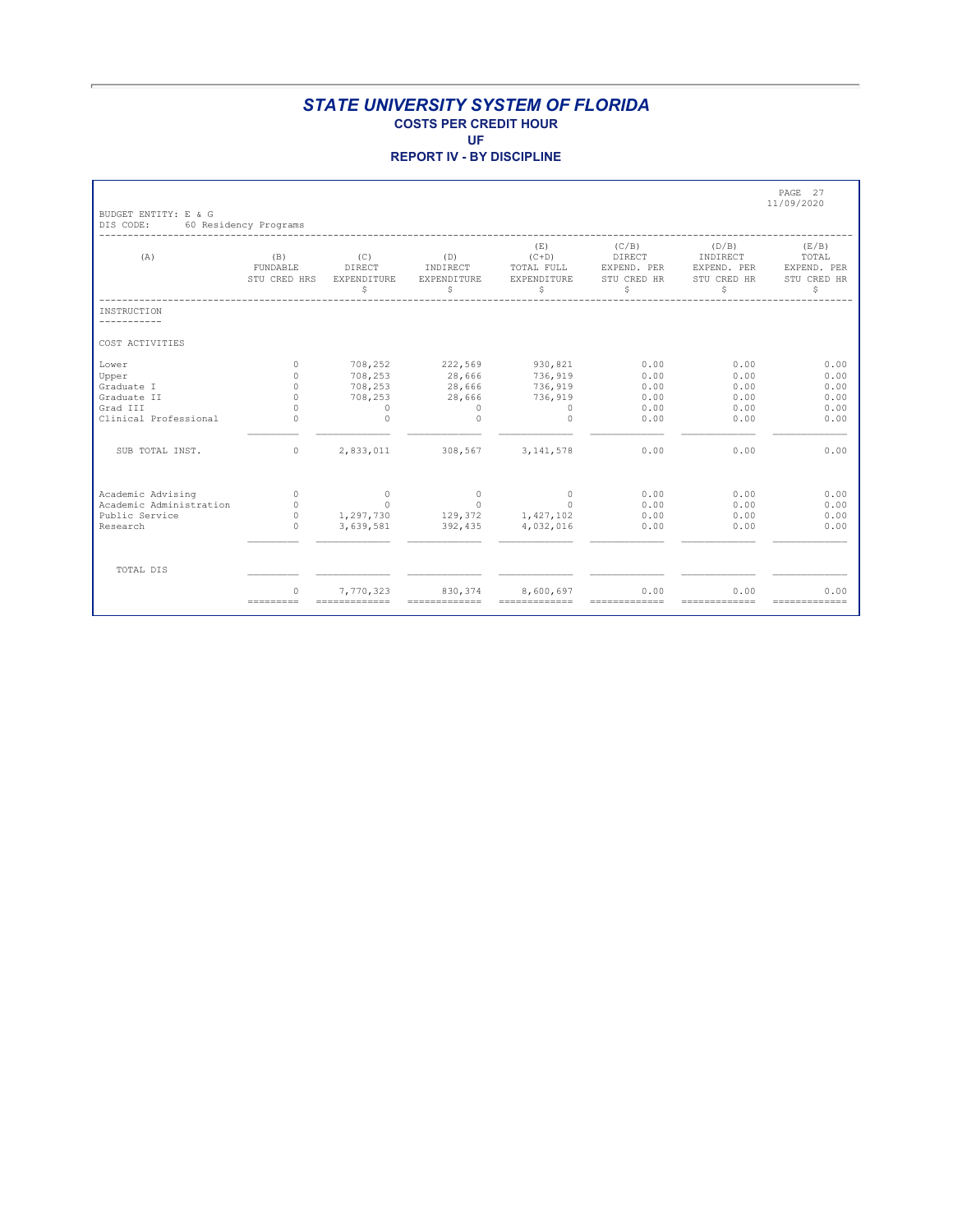| BUDGET ENTITY: E & G       |                                                          |                                   |                                      |                                                  |                                                     |                                                      | PAGE 27<br>11/09/2020                             |
|----------------------------|----------------------------------------------------------|-----------------------------------|--------------------------------------|--------------------------------------------------|-----------------------------------------------------|------------------------------------------------------|---------------------------------------------------|
| DIS CODE:<br>(A)           | 60 Residency Programs<br>(B)<br>FUNDABLE<br>STU CRED HRS | (C)<br>DIRECT<br>EXPENDITURE<br>S | (D)<br>INDIRECT<br>EXPENDITURE<br>\$ | (E)<br>$(C+D)$<br>TOTAL FULL<br>EXPENDITURE<br>S | (C/B)<br>DIRECT<br>EXPEND. PER<br>STU CRED HR<br>\$ | (D/B)<br>INDIRECT<br>EXPEND. PER<br>STU CRED HR<br>S | (E/B)<br>TOTAL<br>EXPEND. PER<br>STU CRED HR<br>S |
| INSTRUCTION<br>----------- |                                                          |                                   |                                      |                                                  |                                                     |                                                      |                                                   |
| COST ACTIVITIES            |                                                          |                                   |                                      |                                                  |                                                     |                                                      |                                                   |
| Lower<br>Upper             | $\circ$<br>$\cap$                                        | 708,252<br>708,253                | 222,569<br>28,666                    | 930,821<br>736,919                               | 0.00<br>0.00                                        | 0.00<br>0.00                                         | 0.00<br>0.00                                      |
| Graduate I                 | $\Omega$                                                 | 708,253                           | 28,666                               | 736,919                                          | 0.00                                                | 0.00                                                 | 0.00                                              |
| Graduate II                | $\Omega$                                                 | 708,253                           | 28,666                               | 736,919                                          | 0.00                                                | 0.00                                                 | 0.00                                              |
| Grad III                   | $\Omega$                                                 | $\Omega$                          | $\bigcap$                            | $\Omega$                                         | 0.00                                                | 0.00                                                 | 0.00                                              |
| Clinical Professional      | $\Omega$                                                 | $\Omega$                          | $\Omega$                             | $\Omega$                                         | 0.00                                                | 0.00                                                 | 0.00                                              |
|                            |                                                          |                                   |                                      |                                                  |                                                     |                                                      |                                                   |
| SUB TOTAL INST.            | $\Omega$                                                 | 2,833,011                         | 308,567                              | 3, 141, 578                                      | 0.00                                                | 0.00                                                 | 0.00                                              |
| Academic Advising          | $\Omega$                                                 | $\overline{0}$                    | $\Omega$                             | $\Omega$                                         | 0.00                                                | 0.00                                                 | 0.00                                              |
| Academic Administration    | $\circ$                                                  | $\sim$ 0                          | $\circ$                              | $\Omega$                                         | 0.00                                                | 0.00                                                 | 0.00                                              |
| Public Service             | $\Omega$                                                 |                                   | 1,297,730 129,372 1,427,102          |                                                  | 0.00                                                | 0.00                                                 | 0.00                                              |
| Research                   | $\Omega$                                                 | 3,639,581                         |                                      | 392,435 4,032,016                                | 0.00                                                | 0.00                                                 | 0.00                                              |
|                            |                                                          |                                   |                                      |                                                  |                                                     |                                                      |                                                   |
| TOTAL DIS                  |                                                          |                                   |                                      |                                                  |                                                     |                                                      |                                                   |
|                            | $\Omega$<br>---------                                    | 7,770,323<br>-------------        | 830,374<br>-------------             | 8,600,697                                        | 0.00                                                | 0.00                                                 | 0.00                                              |
|                            |                                                          |                                   |                                      |                                                  |                                                     |                                                      |                                                   |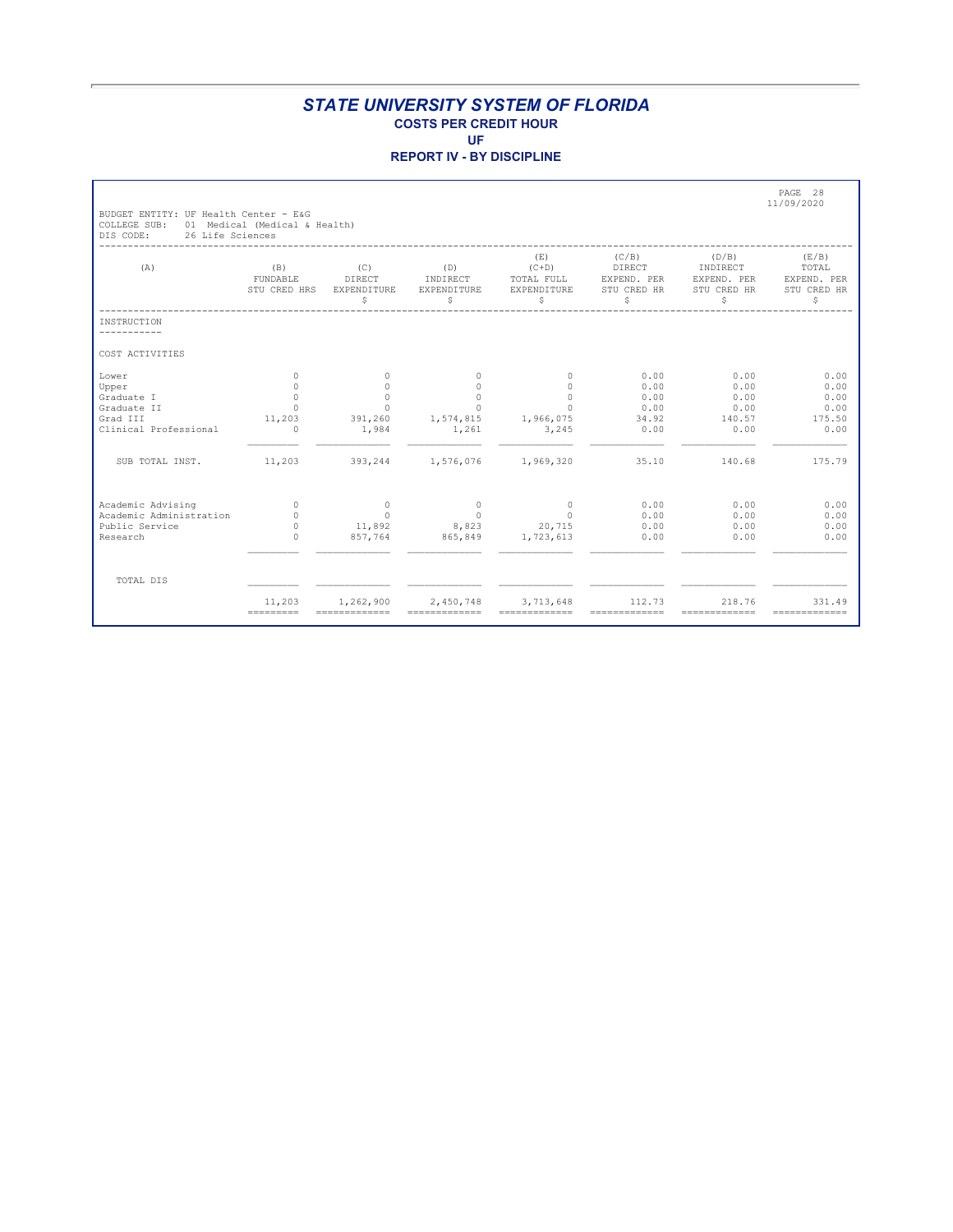**REPORT IV - BY DISCIPLINE**

| BUDGET ENTITY: UF Health Center - E&G                          |                                  |                                    |                                            |                                                   |                                                     |                                                      | PAGE 28<br>11/09/2020                             |
|----------------------------------------------------------------|----------------------------------|------------------------------------|--------------------------------------------|---------------------------------------------------|-----------------------------------------------------|------------------------------------------------------|---------------------------------------------------|
| COLLEGE SUB:<br>DIS CODE:<br>26 Life Sciences                  | 01 Medical (Medical & Health)    |                                    |                                            |                                                   |                                                     |                                                      |                                                   |
| (A)                                                            | (B)<br>FUNDABLE<br>STU CRED HRS  | (C)<br>DIRECT<br>EXPENDITURE<br>\$ | (D)<br>INDIRECT<br><b>EXPENDITURE</b><br>Ŝ | (E)<br>$(C+D)$<br>TOTAL FULL<br>EXPENDITURE<br>\$ | (C/B)<br>DIRECT<br>EXPEND. PER<br>STU CRED HR<br>\$ | (D/B)<br>INDIRECT<br>EXPEND. PER<br>STU CRED HR<br>Ś | (E/B)<br>TOTAL<br>EXPEND. PER<br>STU CRED HR<br>Ŝ |
| INSTRUCTION                                                    |                                  |                                    |                                            |                                                   |                                                     |                                                      |                                                   |
| COST ACTIVITIES                                                |                                  |                                    |                                            |                                                   |                                                     |                                                      |                                                   |
| Lower<br>Upper<br>Graduate I                                   | $\Omega$<br>$\Omega$<br>$\Omega$ | $\Omega$<br>$\Omega$<br>$\Omega$   | $\Omega$<br>$\Omega$<br>$\Omega$           | $\cap$<br>$\Omega$<br>$\circ$                     | 0.00<br>0.00<br>0.00                                | 0.00<br>0.00<br>0.00                                 | 0.00<br>0.00<br>0.00                              |
| Graduate II<br>Grad III<br>Clinical Professional               | $\circ$<br>11,203<br>$\circ$     | $\Omega$<br>391,260<br>1,984       | $\Omega$<br>1,574,815<br>1,261             | $\Omega$<br>1,966,075<br>3,245                    | 0.00<br>34.92<br>0.00                               | 0.00<br>140.57<br>0.00                               | 0.00<br>175.50<br>0.00                            |
| SUB TOTAL INST.                                                | 11,203                           |                                    | 393,244 1,576,076 1,969,320                |                                                   | 35.10                                               | 140.68                                               | 175.79                                            |
| Academic Advising<br>Academic Administration<br>Public Service | $\circ$<br>$\Omega$<br>$\circ$   | $\circ$<br>$\circ$<br>11,892       | $\overline{0}$<br>$\Omega$<br>8,823        | $\circ$<br>$\Omega$<br>20,715                     | 0.00<br>0.00<br>0.00                                | 0.00<br>0.00<br>0.00                                 | 0.00<br>0.00<br>0.00                              |
| Research                                                       | $\Omega$                         | 857,764                            | 865,849                                    | 1,723,613                                         | 0.00                                                | 0.00                                                 | 0.00                                              |
| TOTAL DIS                                                      |                                  |                                    |                                            |                                                   |                                                     |                                                      |                                                   |
|                                                                | 11,203<br>---------              | 1,262,900                          | 2,450,748<br>=============                 | 3,713,648<br>==============                       | 112.73<br>-------------                             | 218.76<br>-------------                              | 331.49<br>-------------                           |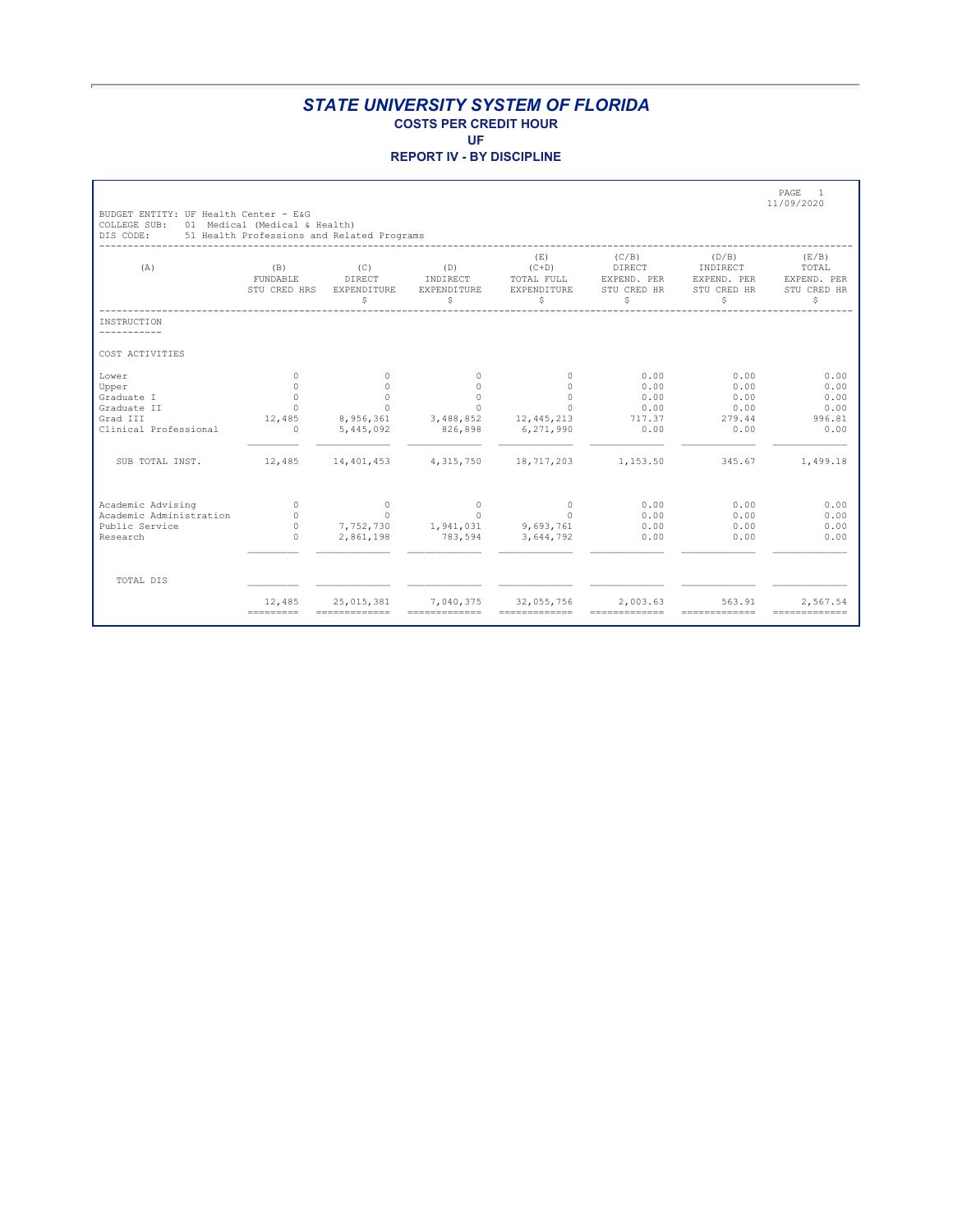**REPORT IV - BY DISCIPLINE**

|                                                                    |                                                                             |                                    |                                      |                                                   |                                                    |                                                      | PAGE<br>$\overline{1}$<br>11/09/2020              |
|--------------------------------------------------------------------|-----------------------------------------------------------------------------|------------------------------------|--------------------------------------|---------------------------------------------------|----------------------------------------------------|------------------------------------------------------|---------------------------------------------------|
| BUDGET ENTITY: UF Health Center - E&G<br>COLLEGE SUB:<br>DIS CODE: | 01 Medical (Medical & Health)<br>51 Health Professions and Related Programs |                                    |                                      |                                                   |                                                    |                                                      |                                                   |
| (A)                                                                | (B)<br>FUNDABLE<br>STU CRED HRS                                             | (C)<br>DIRECT<br>EXPENDITURE<br>\$ | (D)<br>INDIRECT<br>EXPENDITURE<br>\$ | (E)<br>$(C+D)$<br>TOTAL FULL<br>EXPENDITURE<br>\$ | (C/B)<br>DIRECT<br>EXPEND. PER<br>STU CRED HR<br>Ŝ | (D/B)<br>INDIRECT<br>EXPEND. PER<br>STU CRED HR<br>Ŝ | (E/B)<br>TOTAL<br>EXPEND. PER<br>STU CRED HR<br>Ŝ |
| INSTRUCTION                                                        |                                                                             |                                    |                                      |                                                   |                                                    |                                                      |                                                   |
| COST ACTIVITIES                                                    |                                                                             |                                    |                                      |                                                   |                                                    |                                                      |                                                   |
| Lower                                                              | $\Omega$                                                                    | $\Omega$                           | $\bigcap$                            | $\Omega$                                          | 0.00                                               | 0.00                                                 | 0.00                                              |
| Upper                                                              | $\cap$                                                                      | $\cap$                             | $\cap$                               | $\cap$                                            | 0.00                                               | 0.00                                                 | 0.00                                              |
| Graduate I                                                         | $\Omega$                                                                    | $\Omega$                           | $\Omega$                             | $\Omega$                                          | 0.00                                               | 0.00                                                 | 0.00                                              |
| Graduate II                                                        | $\Omega$                                                                    | $\Omega$                           | $\Omega$                             | $\Omega$                                          | 0.00                                               | 0.00                                                 | 0.00                                              |
| Grad III                                                           | 12,485                                                                      | 8,956,361                          | 3,488,852                            | 12, 445, 213                                      | 717.37                                             | 279.44                                               | 996.81                                            |
| Clinical Professional                                              | $\circ$                                                                     | 5,445,092                          | 826,898                              | 6,271,990                                         | 0.00                                               | 0.00                                                 | 0.00                                              |
| SUB TOTAL INST.                                                    | 12,485                                                                      | 14, 401, 453                       | 4,315,750                            | 18,717,203                                        | 1,153.50                                           | 345.67                                               | 1,499.18                                          |
| Academic Advising                                                  | $\Omega$                                                                    | $\Omega$                           | $\Omega$                             | $\circ$                                           | 0.00                                               | 0.00                                                 | 0.00                                              |
| Academic Administration                                            | $\Omega$                                                                    | $\Omega$                           | $\Omega$                             | $\Omega$                                          | 0.00                                               | 0.00                                                 | 0.00                                              |
| Public Service                                                     | $\circ$                                                                     | 7,752,730                          | 1,941,031                            | 9,693,761                                         | 0.00                                               | 0.00                                                 | 0.00                                              |
| Research                                                           | $\cap$                                                                      | 2,861,198                          | 783,594                              | 3,644,792                                         | 0.00                                               | 0.00                                                 | 0.00                                              |
| TOTAL DIS                                                          |                                                                             |                                    |                                      |                                                   |                                                    |                                                      |                                                   |
|                                                                    | 12,485<br>$=$ = = = = = = = = =                                             | 25,015,381<br>=============        | 7,040,375<br>-------------           | 32,055,756                                        | 2,003.63<br>-------------                          | 563.91<br>-------------                              | 2,567.54<br>-------------                         |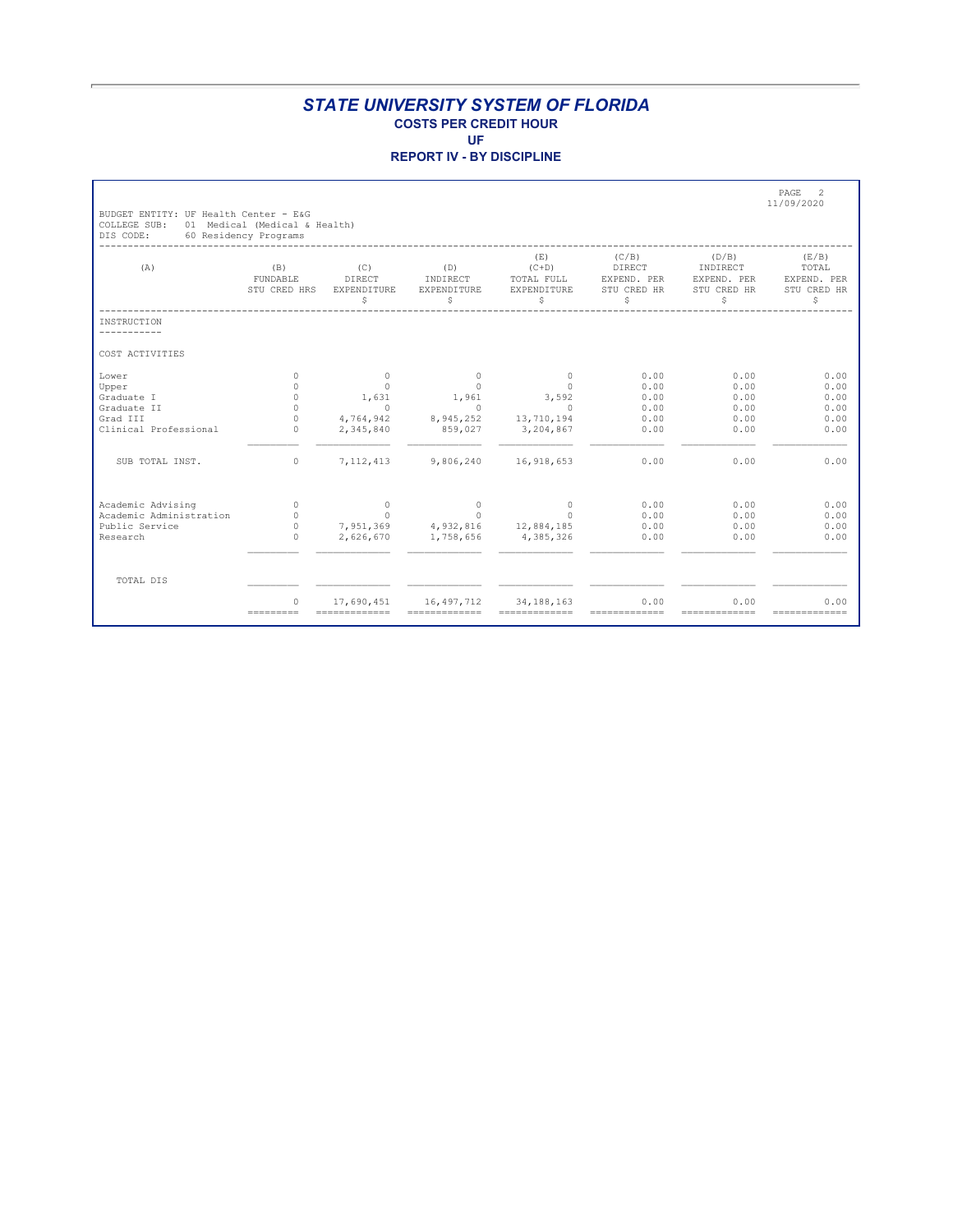**REPORT IV - BY DISCIPLINE**

| BUDGET ENTITY: UF Health Center - E&G |                                                        |                                    |                                     |                                                  |                                                     |                                                       | PAGE<br>2<br>11/09/2020                           |
|---------------------------------------|--------------------------------------------------------|------------------------------------|-------------------------------------|--------------------------------------------------|-----------------------------------------------------|-------------------------------------------------------|---------------------------------------------------|
| COLLEGE SUB:<br>DIS CODE:             | 01 Medical (Medical & Health)<br>60 Residency Programs |                                    |                                     |                                                  |                                                     |                                                       |                                                   |
| (A)                                   | (B)<br>FUNDABLE<br>STU CRED HRS                        | (C)<br>DIRECT<br>EXPENDITURE<br>\$ | (D)<br>INDIRECT<br>EXPENDITURE<br>Ŝ | (E)<br>$(C+D)$<br>TOTAL FULL<br>EXPENDITURE<br>S | (C/B)<br>DIRECT<br>EXPEND. PER<br>STU CRED HR<br>\$ | (D/B)<br>INDIRECT<br>EXPEND. PER<br>STU CRED HR<br>\$ | (E/B)<br>TOTAL<br>EXPEND. PER<br>STU CRED HR<br>Ŝ |
| INSTRUCTION                           |                                                        |                                    |                                     |                                                  |                                                     |                                                       |                                                   |
| COST ACTIVITIES                       |                                                        |                                    |                                     |                                                  |                                                     |                                                       |                                                   |
| Lower                                 | $\Omega$                                               | $\Omega$                           | $\Omega$                            | $\Omega$                                         | 0.00                                                | 0.00                                                  | 0.00                                              |
| Upper                                 | $\Omega$                                               | $\Omega$                           | $\Omega$                            | $\Omega$                                         | 0.00                                                | 0.00                                                  | 0.00                                              |
| Graduate I                            | $\circ$                                                | 1,631                              | 1,961                               | 3,592                                            | 0.00                                                | 0.00                                                  | 0.00                                              |
| Graduate II                           | $\circ$                                                | $\circ$                            | $\circ$                             | $\Omega$                                         | 0.00                                                | 0.00                                                  | 0.00                                              |
| Grad III                              | $\Omega$                                               | 4,764,942                          | 8,945,252                           | 13,710,194                                       | 0.00                                                | 0.00                                                  | 0.00                                              |
| Clinical Professional                 | $\Omega$                                               | 2,345,840                          | 859,027                             | 3,204,867                                        | 0.00                                                | 0.00                                                  | 0.00                                              |
| SUB TOTAL INST.                       | $\circ$                                                | 7, 112, 413                        | 9,806,240                           | 16,918,653                                       | 0.00                                                | 0.00                                                  | 0.00                                              |
| Academic Advising                     | $\circ$                                                | $\circ$                            | $\circ$                             | 0                                                | 0.00                                                | 0.00                                                  | 0.00                                              |
| Academic Administration               | $\circ$                                                | $\Omega$                           | $\Omega$                            | $\cap$                                           | 0.00                                                | 0.00                                                  | 0.00                                              |
| Public Service                        | $\circ$                                                | 7,951,369                          | 4,932,816 12,884,185                |                                                  | 0.00                                                | 0.00                                                  | 0.00                                              |
| Research                              | $\Omega$                                               | 2,626,670                          | 1,758,656                           | 4,385,326                                        | 0.00                                                | 0.00                                                  | 0.00                                              |
| TOTAL DIS                             |                                                        |                                    |                                     |                                                  |                                                     |                                                       |                                                   |
|                                       | $\Omega$<br>---------                                  | 17,690,451<br>=============        | 16,497,712<br>=============         | 34, 188, 163<br>=============                    | 0.00<br>-------------                               | 0.00<br>-------------                                 | 0.00<br>-------------                             |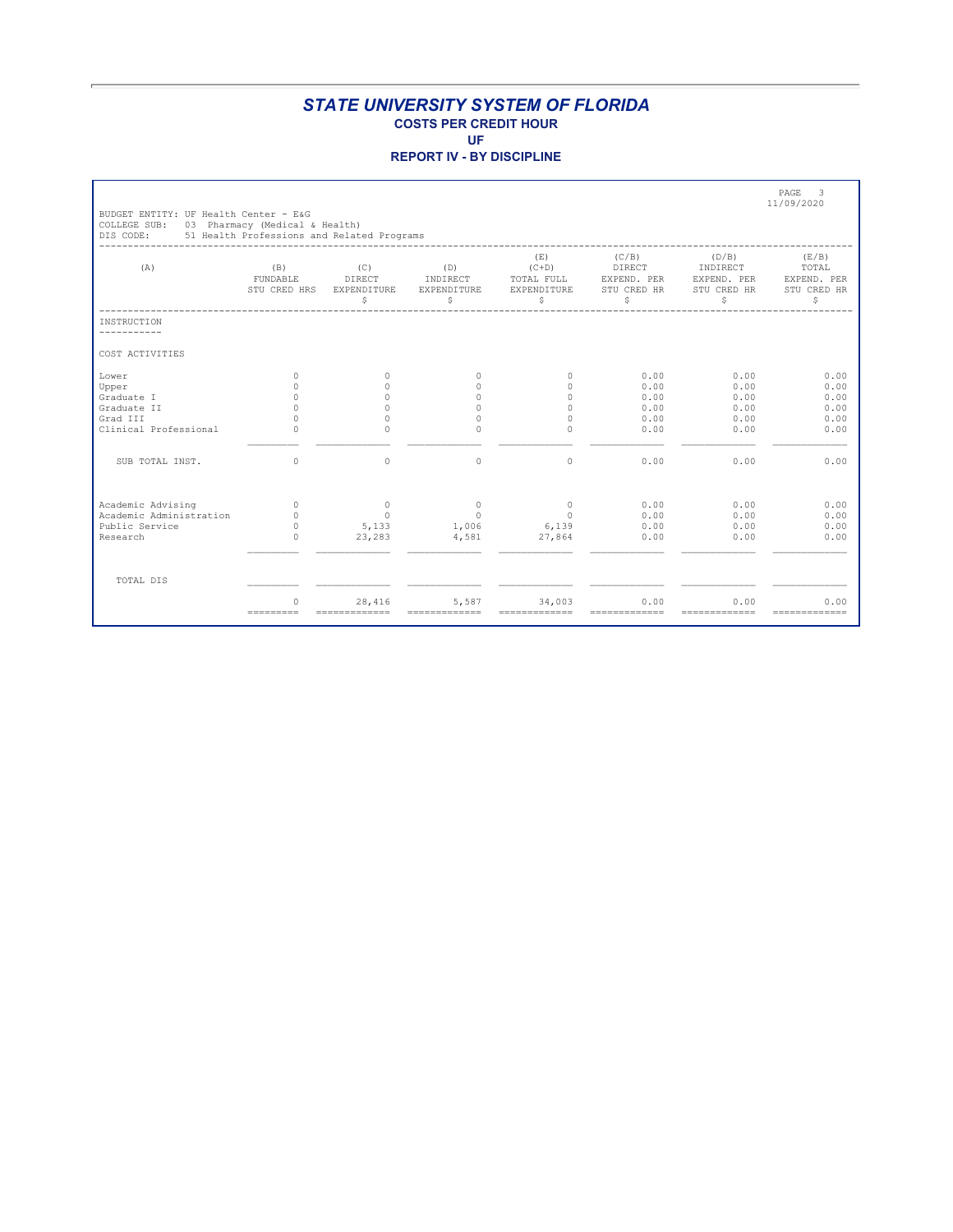**REPORT IV - BY DISCIPLINE**

| BUDGET ENTITY: UF Health Center - E&G |                                                                              |                                   |                                      |                                                         |                                                     |                                                       | PAGE<br>3<br>11/09/2020                           |
|---------------------------------------|------------------------------------------------------------------------------|-----------------------------------|--------------------------------------|---------------------------------------------------------|-----------------------------------------------------|-------------------------------------------------------|---------------------------------------------------|
| COLLEGE SUB:<br>DIS CODE:             | 03 Pharmacy (Medical & Health)<br>51 Health Professions and Related Programs |                                   |                                      |                                                         |                                                     |                                                       |                                                   |
| (A)                                   | (B)<br>FUNDABLE<br>STU CRED HRS                                              | (C)<br>DIRECT<br>EXPENDITURE<br>S | (D)<br>INDIRECT<br>EXPENDITURE<br>\$ | (E)<br>$(C+D)$<br>TOTAL FULL<br><b>EXPENDITURE</b><br>S | (C/B)<br>DIRECT<br>EXPEND. PER<br>STU CRED HR<br>\$ | (D/B)<br>INDIRECT<br>EXPEND. PER<br>STU CRED HR<br>\$ | (E/B)<br>TOTAL<br>EXPEND. PER<br>STU CRED HR<br>S |
| INSTRUCTION                           |                                                                              |                                   |                                      |                                                         |                                                     |                                                       |                                                   |
| COST ACTIVITIES                       |                                                                              |                                   |                                      |                                                         |                                                     |                                                       |                                                   |
| Lower                                 | $\Omega$                                                                     | $\cap$                            | $\Omega$                             | $\Omega$                                                | 0.00                                                | 0.00                                                  | 0.00                                              |
| Upper                                 | $\cap$                                                                       | $\cap$                            | $\Omega$                             | $\cap$                                                  | 0.00                                                | 0.00                                                  | 0.00                                              |
| Graduate I                            | $\cap$                                                                       | $\cap$                            | $\Omega$                             | $\cap$                                                  | 0.00                                                | 0.00                                                  | 0.00                                              |
| Graduate II                           | $\Omega$                                                                     | $\Omega$                          | $\Omega$                             | $\Omega$                                                | 0.00                                                | 0.00                                                  | 0.00                                              |
| Grad III                              | $\cap$                                                                       | $\Omega$                          | $\Omega$                             | $\circ$                                                 | 0.00                                                | 0.00                                                  | 0.00                                              |
| Clinical Professional                 | $\Omega$                                                                     | $\Omega$                          | $\circ$                              | $\circ$                                                 | 0.00                                                | 0.00                                                  | 0.00                                              |
| SUB TOTAL INST.                       | $\Omega$                                                                     | $\Omega$                          | $\Omega$                             | $\Omega$                                                | 0.00                                                | 0.00                                                  | 0.00                                              |
| Academic Advising                     | $\Omega$                                                                     | $\circ$                           | $\circ$                              | $\Omega$                                                | 0.00                                                | 0.00                                                  | 0.00                                              |
| Academic Administration               | $\Omega$                                                                     | $\Omega$                          | $\Omega$                             | $\Omega$                                                | 0.00                                                | 0.00                                                  | 0.00                                              |
| Public Service                        | $\circ$                                                                      | 5,133                             | 1,006                                | 6,139                                                   | 0.00                                                | 0.00                                                  | 0.00                                              |
| Research                              | $\cap$                                                                       | 23,283                            | 4,581                                | 27,864                                                  | 0.00                                                | 0.00                                                  | 0.00                                              |
| TOTAL DIS                             |                                                                              |                                   |                                      |                                                         |                                                     |                                                       |                                                   |
|                                       | C<br>---------                                                               | 28,416<br>=============           | 5,587<br>=============               | 34,003<br>=============                                 | 0.00<br>=============                               | 0.00<br>_____________                                 | 0.00<br>=============                             |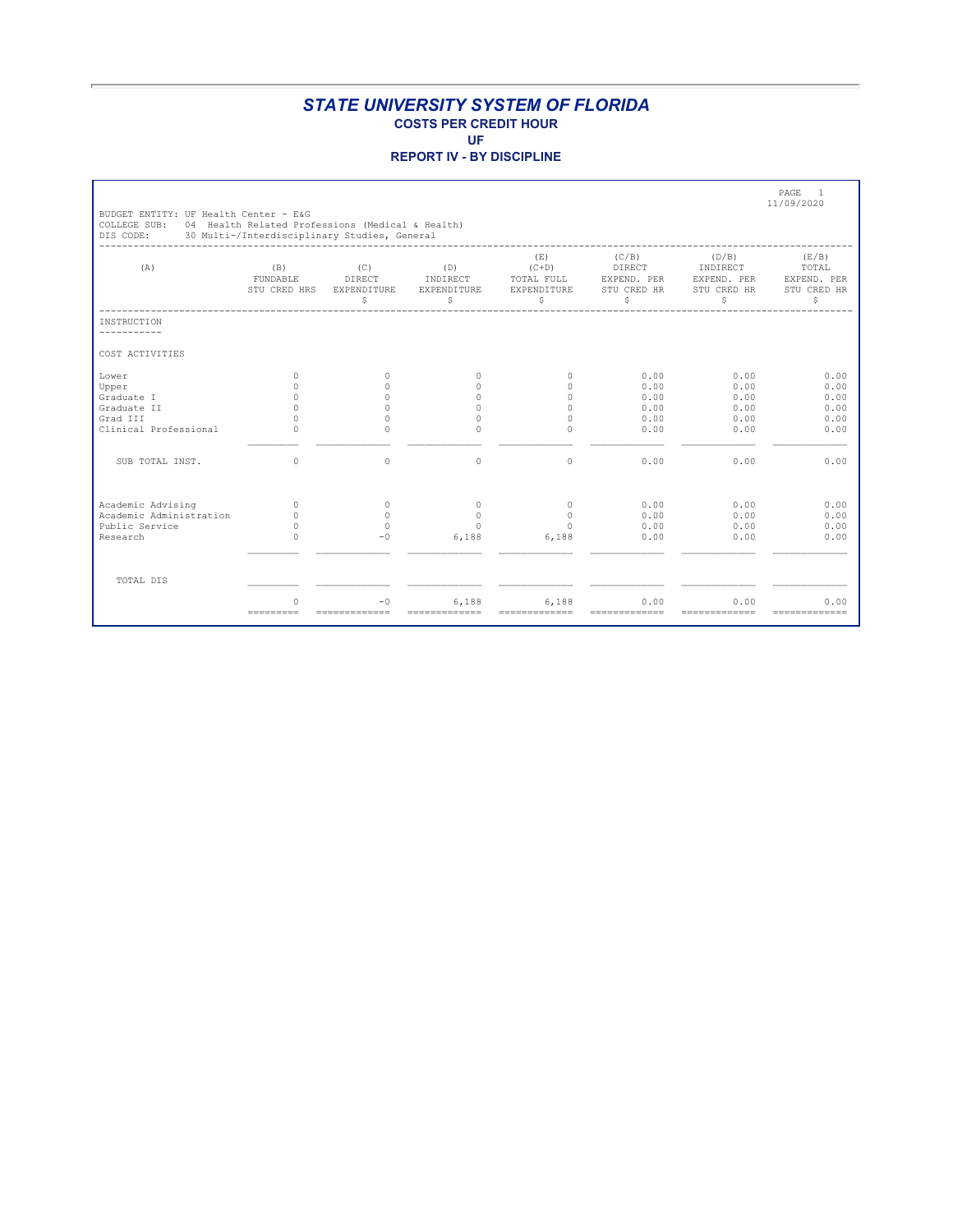|                                                                    |                                                                                                  |                                    |                                      |                                                   |                                                     |                                                      | PAGE<br>$\overline{1}$<br>11/09/2020               |
|--------------------------------------------------------------------|--------------------------------------------------------------------------------------------------|------------------------------------|--------------------------------------|---------------------------------------------------|-----------------------------------------------------|------------------------------------------------------|----------------------------------------------------|
| BUDGET ENTITY: UF Health Center - E&G<br>COLLEGE SUB:<br>DIS CODE: | 04 Health Related Professions (Medical & Health)<br>30 Multi-/Interdisciplinary Studies, General |                                    |                                      |                                                   |                                                     |                                                      |                                                    |
| (A)                                                                | (B)<br>FUNDABLE<br>STU CRED HRS                                                                  | (C)<br>DIRECT<br>EXPENDITURE<br>\$ | (D)<br>INDIRECT<br>EXPENDITURE<br>\$ | (E)<br>$(C+D)$<br>TOTAL FULL<br>EXPENDITURE<br>\$ | (C/B)<br>DIRECT<br>EXPEND. PER<br>STU CRED HR<br>\$ | (D/B)<br>INDIRECT<br>EXPEND. PER<br>STU CRED HR<br>S | (E/B)<br>TOTAL<br>EXPEND. PER<br>STU CRED HR<br>\$ |
| <b>INSTRUCTION</b>                                                 |                                                                                                  |                                    |                                      |                                                   |                                                     |                                                      |                                                    |
| COST ACTIVITIES                                                    |                                                                                                  |                                    |                                      |                                                   |                                                     |                                                      |                                                    |
| Lower                                                              | $\Omega$                                                                                         | $\Omega$                           | $\Omega$                             | $\Omega$                                          | 0.00                                                | 0.00                                                 | 0.00                                               |
| Upper                                                              | $\Omega$                                                                                         | $\Omega$                           | $\cap$                               | $\cap$                                            | 0.00                                                | 0.00                                                 | 0.00                                               |
| Graduate I                                                         | $\Omega$                                                                                         | $\Omega$                           | $\Omega$                             | $\Omega$                                          | 0.00                                                | 0.00                                                 | 0.00                                               |
| Graduate II                                                        | $\Omega$                                                                                         | $\Omega$                           | $\Omega$                             | $\Omega$                                          | 0.00                                                | 0.00                                                 | 0.00                                               |
| Grad III                                                           | $\cap$                                                                                           | $\cap$                             | $\Omega$                             | $\Omega$                                          | 0.00                                                | 0.00                                                 | 0.00                                               |
| Clinical Professional                                              | $\Omega$                                                                                         | $\Omega$                           | $\Omega$                             | $\cap$                                            | 0.00                                                | 0.00                                                 | 0.00                                               |
| SUB TOTAL INST.                                                    | $\circ$                                                                                          | $\circ$                            | $\Omega$                             | $\Omega$                                          | 0.00                                                | 0.00                                                 | 0.00                                               |
| Academic Advising                                                  | $\Omega$                                                                                         | $\circ$                            | $\circ$                              | $\circ$                                           | 0.00                                                | 0.00                                                 | 0.00                                               |
| Academic Administration                                            | $\Omega$                                                                                         | $\Omega$                           | $\Omega$                             | $\circ$                                           | 0.00                                                | 0.00                                                 | 0.00                                               |
| Public Service                                                     | $\Omega$                                                                                         | $\bigcap$                          | $\Omega$                             | $\Omega$                                          | 0.00                                                | 0.00                                                 | 0.00                                               |
| Research                                                           | $\Omega$                                                                                         | $-0$                               | 6,188                                | 6,188                                             | 0.00                                                | 0.00                                                 | 0.00                                               |
| TOTAL DIS                                                          |                                                                                                  |                                    |                                      |                                                   |                                                     |                                                      |                                                    |
|                                                                    | C                                                                                                | $-0$<br>-------------              | 6,188<br>=============               | 6,188<br>----------------                         | 0.00<br>-------------                               | 0.00<br>-------------                                | 0.00<br>-------------                              |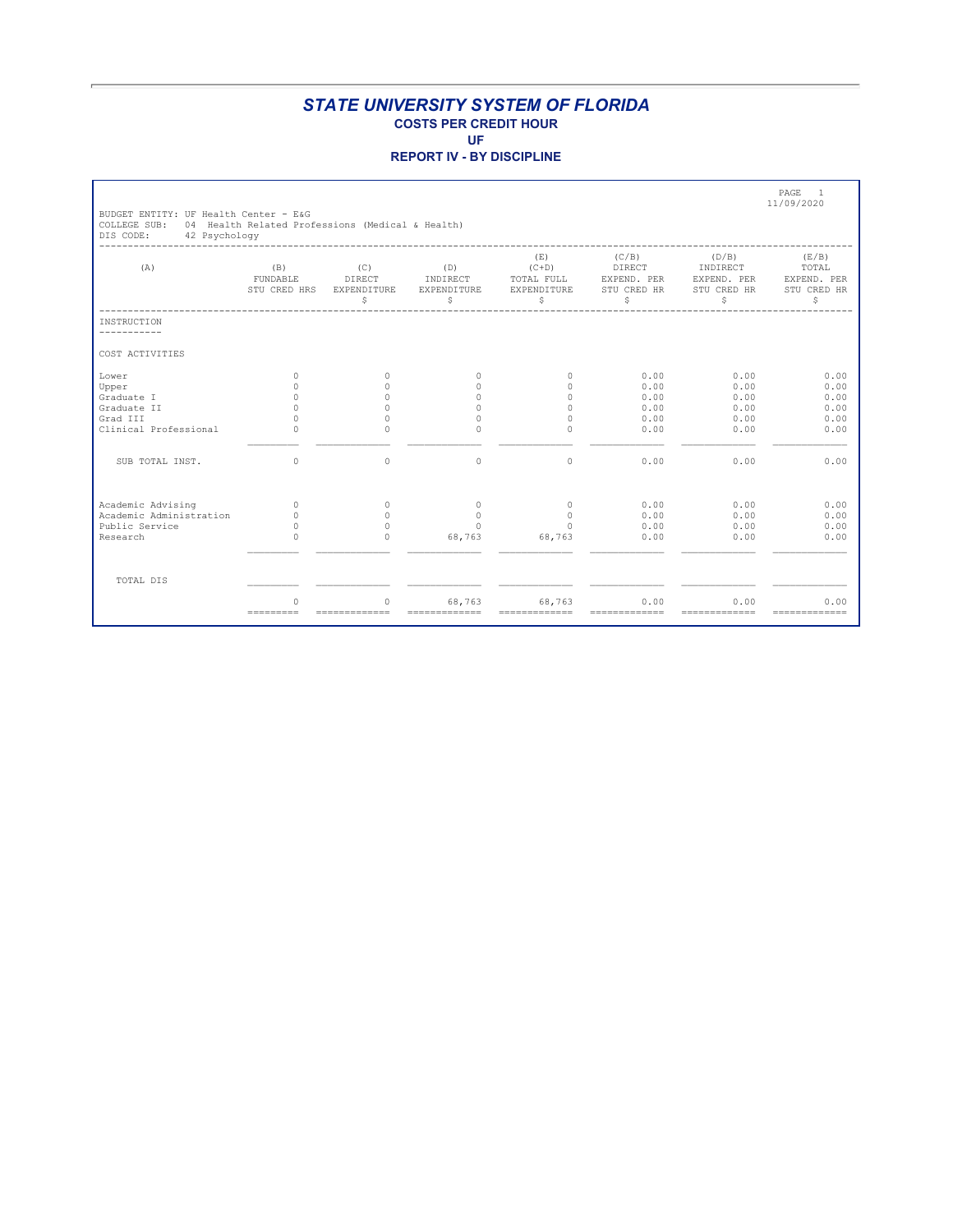|                                                                                                                                         |                                 |                                    |                                      |                                                   |                                                     |                                                       | PAGE<br>$\overline{1}$<br>11/09/2020               |  |  |
|-----------------------------------------------------------------------------------------------------------------------------------------|---------------------------------|------------------------------------|--------------------------------------|---------------------------------------------------|-----------------------------------------------------|-------------------------------------------------------|----------------------------------------------------|--|--|
| BUDGET ENTITY: UF Health Center - E&G<br>COLLEGE SUB:<br>04 Health Related Professions (Medical & Health)<br>DIS CODE:<br>42 Psychology |                                 |                                    |                                      |                                                   |                                                     |                                                       |                                                    |  |  |
| (A)                                                                                                                                     | (B)<br>FUNDABLE<br>STU CRED HRS | (C)<br>DIRECT<br>EXPENDITURE<br>\$ | (D)<br>INDIRECT<br>EXPENDITURE<br>\$ | (E)<br>$(C+D)$<br>TOTAL FULL<br>EXPENDITURE<br>\$ | (C/B)<br>DIRECT<br>EXPEND. PER<br>STU CRED HR<br>\$ | (D/B)<br>INDIRECT<br>EXPEND. PER<br>STU CRED HR<br>\$ | (E/B)<br>TOTAL<br>EXPEND. PER<br>STU CRED HR<br>\$ |  |  |
| INSTRUCTION<br>---------                                                                                                                |                                 |                                    |                                      |                                                   |                                                     |                                                       |                                                    |  |  |
| COST ACTIVITIES                                                                                                                         |                                 |                                    |                                      |                                                   |                                                     |                                                       |                                                    |  |  |
| Lower                                                                                                                                   | $\Omega$                        | $\Omega$                           | $\Omega$                             | $\Omega$                                          | 0.00                                                | 0.00                                                  | 0.00                                               |  |  |
| Upper                                                                                                                                   | $\Omega$                        | $\Omega$                           | $\cap$                               | $\Omega$                                          | 0.00                                                | 0.00                                                  | 0.00                                               |  |  |
| Graduate I                                                                                                                              | $\Omega$                        | $\Omega$                           | $\Omega$                             | $\Omega$                                          | 0.00                                                | 0.00                                                  | 0.00                                               |  |  |
| Graduate II                                                                                                                             | $\Omega$                        | $\Omega$                           | $\Omega$                             | $\Omega$                                          | 0.00                                                | 0.00                                                  | 0.00                                               |  |  |
| Grad III                                                                                                                                | $\cap$                          | $\Omega$                           | $\Omega$                             | $\Omega$                                          | 0.00                                                | 0.00                                                  | 0.00                                               |  |  |
| Clinical Professional                                                                                                                   | $\Omega$                        | $\Omega$                           | $\Omega$                             | $\Omega$                                          | 0.00                                                | 0.00                                                  | 0.00                                               |  |  |
| SUB TOTAL INST.                                                                                                                         | $\circ$                         | $\circ$                            | $\circ$                              | $\circ$                                           | 0.00                                                | 0.00                                                  | 0.00                                               |  |  |
| Academic Advising                                                                                                                       | $\circ$                         | $\circ$                            | $\circ$                              | $\circ$                                           | 0.00                                                | 0.00                                                  | 0.00                                               |  |  |
| Academic Administration                                                                                                                 | $\Omega$                        | $\Omega$                           | $\Omega$                             | $\circ$                                           | 0.00                                                | 0.00                                                  | 0.00                                               |  |  |
| Public Service                                                                                                                          | $\Omega$                        | $\bigcap$                          | $\Omega$                             | $\Omega$                                          | 0.00                                                | 0.00                                                  | 0.00                                               |  |  |
| Research                                                                                                                                | $\Omega$                        | $\Omega$                           | 68,763                               | 68,763                                            | 0.00                                                | 0.00                                                  | 0.00                                               |  |  |
| TOTAL DIS                                                                                                                               |                                 |                                    |                                      |                                                   |                                                     |                                                       |                                                    |  |  |
|                                                                                                                                         | $\Omega$                        | $\Omega$                           | 68,763<br>-------------              | 68,763<br>----------------                        | 0.00<br>-------------                               | 0.00<br>=============                                 | 0.00<br>-------------                              |  |  |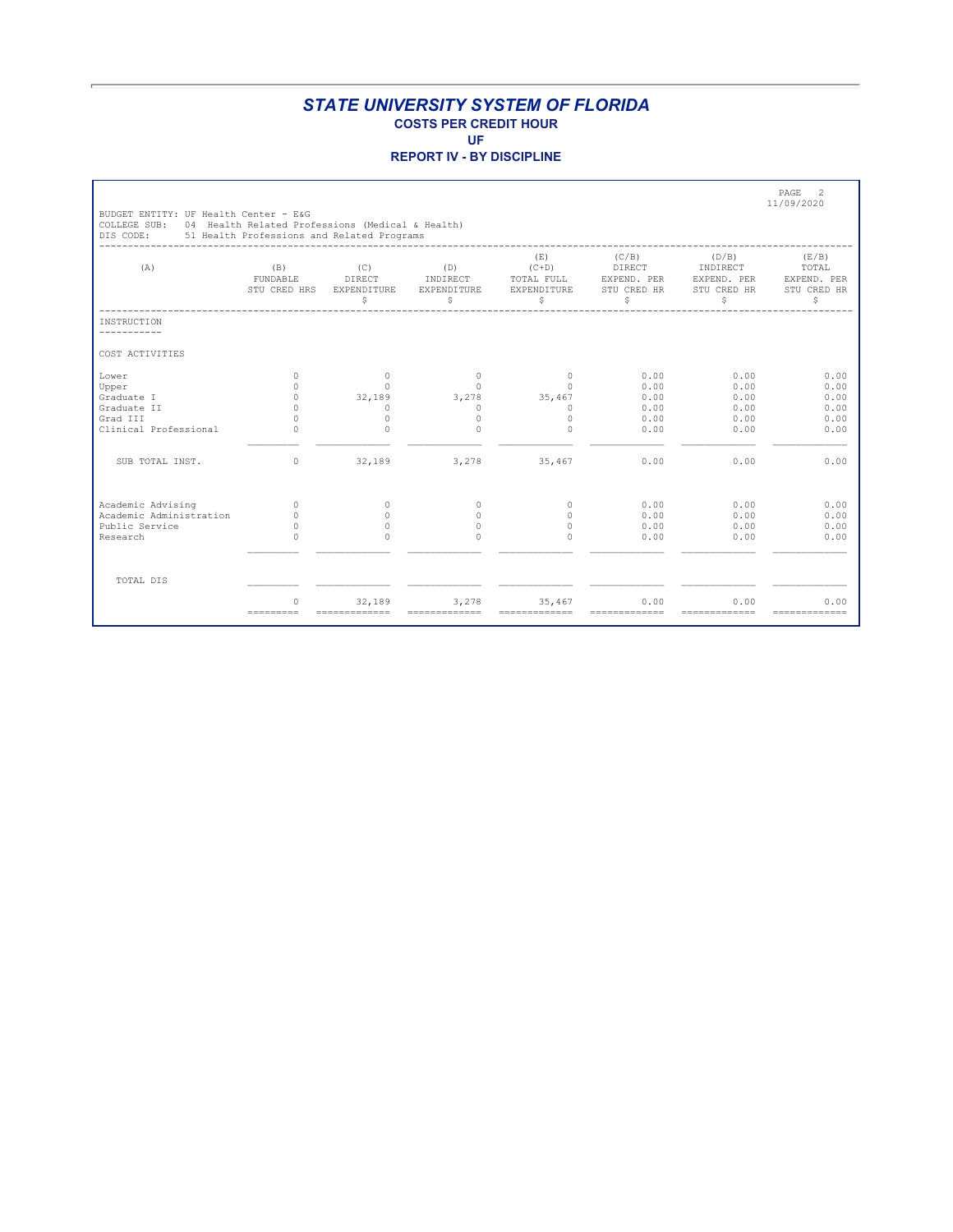|                                                                    |                                                                                                |                                    |                                      |                                                   |                                                     |                                                       | PAGE<br>$\mathcal{L}$<br>11/09/2020                |
|--------------------------------------------------------------------|------------------------------------------------------------------------------------------------|------------------------------------|--------------------------------------|---------------------------------------------------|-----------------------------------------------------|-------------------------------------------------------|----------------------------------------------------|
| BUDGET ENTITY: UF Health Center - E&G<br>COLLEGE SUB:<br>DIS CODE: | 04 Health Related Professions (Medical & Health)<br>51 Health Professions and Related Programs |                                    |                                      |                                                   |                                                     |                                                       |                                                    |
| (A)                                                                | (B)<br>FUNDABLE<br>STU CRED HRS                                                                | (C)<br>DIRECT<br>EXPENDITURE<br>\$ | (D)<br>INDIRECT<br>EXPENDITURE<br>\$ | (E)<br>$(C+D)$<br>TOTAL FULL<br>EXPENDITURE<br>\$ | (C/B)<br>DIRECT<br>EXPEND. PER<br>STU CRED HR<br>\$ | (D/B)<br>INDIRECT<br>EXPEND. PER<br>STU CRED HR<br>\$ | (E/B)<br>TOTAL<br>EXPEND. PER<br>STU CRED HR<br>\$ |
| <b>INSTRUCTION</b>                                                 |                                                                                                |                                    |                                      |                                                   |                                                     |                                                       |                                                    |
| COST ACTIVITIES                                                    |                                                                                                |                                    |                                      |                                                   |                                                     |                                                       |                                                    |
| Lower                                                              | $\Omega$                                                                                       | $\Omega$                           | $\Omega$                             | $\Omega$                                          | 0.00                                                | 0.00                                                  | 0.00                                               |
| Upper                                                              | $\Omega$                                                                                       | $\Omega$                           | $\cap$                               | $\Omega$                                          | 0.00                                                | 0.00                                                  | 0.00                                               |
| Graduate I                                                         | $\circ$                                                                                        | 32,189                             | 3,278                                | 35,467                                            | 0.00                                                | 0.00                                                  | 0.00                                               |
| Graduate II                                                        | $\Omega$                                                                                       | $\Omega$                           | $\Omega$                             | $\Omega$                                          | 0.00                                                | 0.00                                                  | 0.00                                               |
| Grad III                                                           | $\Omega$                                                                                       | $\Omega$                           | $\Omega$                             | $\Omega$                                          | 0.00                                                | 0.00                                                  | 0.00                                               |
| Clinical Professional                                              | $\Omega$                                                                                       | $\Omega$                           | $\cap$                               | $\cap$                                            | 0.00                                                | 0.00                                                  | 0.00                                               |
| SUB TOTAL INST.                                                    | $\circ$                                                                                        | 32,189                             | 3,278                                | 35,467                                            | 0.00                                                | 0.00                                                  | 0.00                                               |
| Academic Advising                                                  | $\Omega$                                                                                       | $\circ$                            | $\Omega$                             | $\Omega$                                          | 0.00                                                | 0.00                                                  | 0.00                                               |
| Academic Administration                                            | $\Omega$                                                                                       | $\Omega$                           | $\Omega$                             | $\Omega$                                          | 0.00                                                | 0.00                                                  | 0.00                                               |
| Public Service                                                     | $\Omega$                                                                                       | $\bigcap$                          | $\Omega$                             | $\Omega$                                          | 0.00                                                | 0.00                                                  | 0.00                                               |
| Research                                                           | $\Omega$                                                                                       | $\Omega$                           | $\Omega$                             | $\Omega$                                          | 0.00                                                | 0.00                                                  | 0.00                                               |
| TOTAL DIS                                                          |                                                                                                |                                    |                                      |                                                   |                                                     |                                                       |                                                    |
|                                                                    | $\Omega$<br>$=$ = = = = = = = = =                                                              | 32,189<br>-------------            | 3,278<br>-------------               | 35,467<br>-------------                           | 0.00<br>-------------                               | 0.00<br>-------------                                 | 0.00<br>-------------                              |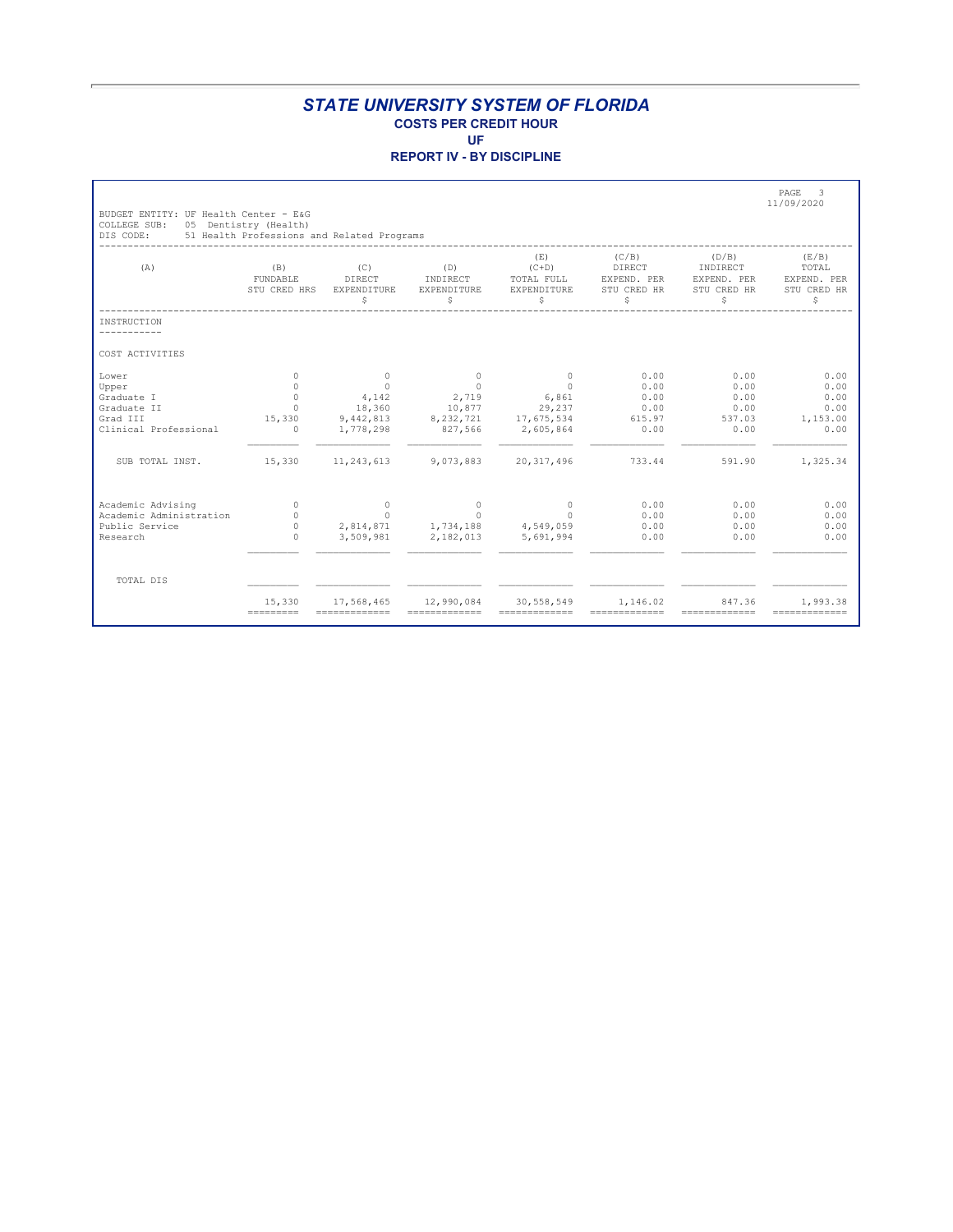**REPORT IV - BY DISCIPLINE**

Г

| BUDGET ENTITY: UF Health Center - E&G |                                                                     |                                    |                                      |                                                  |                                                     |                                                      | PAGE<br>3<br>11/09/2020                           |
|---------------------------------------|---------------------------------------------------------------------|------------------------------------|--------------------------------------|--------------------------------------------------|-----------------------------------------------------|------------------------------------------------------|---------------------------------------------------|
| COLLEGE SUB:<br>DIS CODE:             | 05 Dentistry (Health)<br>51 Health Professions and Related Programs |                                    |                                      |                                                  |                                                     |                                                      |                                                   |
| (A)                                   | (B)<br>FUNDABLE<br>STU CRED HRS                                     | (C)<br>DIRECT<br>EXPENDITURE<br>\$ | (D)<br>INDIRECT<br>EXPENDITURE<br>\$ | (E)<br>$(C+D)$<br>TOTAL FULL<br>EXPENDITURE<br>S | (C/B)<br>DIRECT<br>EXPEND. PER<br>STU CRED HR<br>\$ | (D/B)<br>INDIRECT<br>EXPEND. PER<br>STU CRED HR<br>Ŝ | (E/B)<br>TOTAL<br>EXPEND. PER<br>STU CRED HR<br>Ŝ |
| INSTRUCTION                           |                                                                     |                                    |                                      |                                                  |                                                     |                                                      |                                                   |
| COST ACTIVITIES                       |                                                                     |                                    |                                      |                                                  |                                                     |                                                      |                                                   |
| Lower<br>Upper                        | $\Omega$<br>$\Omega$                                                | $\Omega$<br>$\Omega$               | $\Omega$<br>$\Omega$                 | $\Omega$<br>$\Omega$                             | 0.00<br>0.00                                        | 0.00<br>0.00                                         | 0.00<br>0.00                                      |
| Graduate I                            | $\circ$                                                             | 4,142                              | 2,719                                | 6,861                                            | 0.00                                                | 0.00                                                 | 0.00                                              |
| Graduate II                           | $\Omega$                                                            | 18,360                             | 10,877                               | 29,237                                           | 0.00                                                | 0.00                                                 | 0.00                                              |
| Grad III                              | 15,330                                                              | 9,442,813                          | 8,232,721                            | 17,675,534                                       | 615.97                                              | 537.03                                               | 1,153.00                                          |
| Clinical Professional                 | $\circ$                                                             | 1,778,298                          | 827,566                              | 2,605,864                                        | 0.00                                                | 0.00                                                 | 0.00                                              |
| SUB TOTAL INST.                       | 15,330                                                              | 11, 243, 613                       | 9,073,883                            | 20, 317, 496                                     | 733.44                                              | 591.90                                               | 1,325.34                                          |
| Academic Advising                     | $\Omega$                                                            | $\circ$                            | $\Omega$                             | $\circ$                                          | 0.00                                                | 0.00                                                 | 0.00                                              |
| Academic Administration               | $\Omega$                                                            | $\Omega$                           | $\Omega$                             | $\Omega$                                         | 0.00                                                | 0.00                                                 | 0.00                                              |
| Public Service                        | $\circ$                                                             | 2,814,871                          | 1,734,188                            | 4,549,059                                        | 0.00                                                | 0.00                                                 | 0.00                                              |
| Research                              | $\cap$                                                              | 3,509,981                          | 2,182,013                            | 5,691,994                                        | 0.00                                                | 0.00                                                 | 0.00                                              |
| TOTAL DIS                             |                                                                     |                                    |                                      |                                                  |                                                     |                                                      |                                                   |
|                                       | 15,330<br>$=$ = = = = = = = = =                                     | 17,568,465<br>=============        | 12,990,084<br>=============          | 30,558,549<br>-------------                      | 1,146.02<br>-------------                           | 847.36<br>-------------                              | 1,993.38<br>-------------                         |